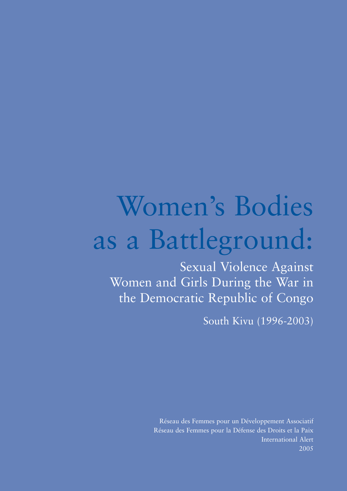# Women's Bodies as a Battleground:

Sexual Violence Against Women and Girls During the War in the Democratic Republic of Congo

South Kivu (1996-2003)

Réseau des Femmes pour un Développement Associatif Réseau des Femmes pour la Défense des Droits et la Paix International Alert 2005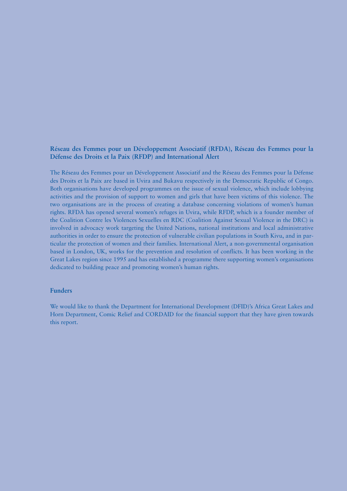#### **Réseau des Femmes pour un Développement Associatif (RFDA), Réseau des Femmes pour la Défense des Droits et la Paix (RFDP) and International Alert**

The Réseau des Femmes pour un Développement Associatif and the Réseau des Femmes pour la Défense des Droits et la Paix are based in Uvira and Bukavu respectively in the Democratic Republic of Congo. Both organisations have developed programmes on the issue of sexual violence, which include lobbying activities and the provision of support to women and girls that have been victims of this violence. The two organisations are in the process of creating a database concerning violations of women's human rights. RFDA has opened several women's refuges in Uvira, while RFDP, which is a founder member of the Coalition Contre les Violences Sexuelles en RDC (Coalition Against Sexual Violence in the DRC) is involved in advocacy work targeting the United Nations, national institutions and local administrative authorities in order to ensure the protection of vulnerable civilian populations in South Kivu, and in particular the protection of women and their families. International Alert, a non-governmental organisation based in London, UK, works for the prevention and resolution of conflicts. It has been working in the Great Lakes region since 1995 and has established a programme there supporting women's organisations dedicated to building peace and promoting women's human rights.

#### **Funders**

We would like to thank the Department for International Development (DFID)'s Africa Great Lakes and Horn Department, Comic Relief and CORDAID for the financial support that they have given towards this report.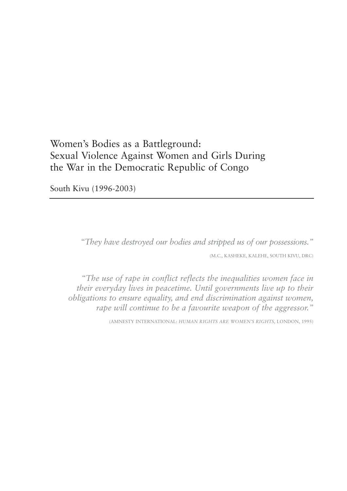## Women's Bodies as a Battleground: Sexual Violence Against Women and Girls During the War in the Democratic Republic of Congo

South Kivu (1996-2003)

*"They have destroyed our bodies and stripped us of our possessions."*

(M.C., KASHEKE, KALEHE, SOUTH KIVU, DRC)

*"The use of rape in conflict reflects the inequalities women face in their everyday lives in peacetime. Until governments live up to their obligations to ensure equality, and end discrimination against women, rape will continue to be a favourite weapon of the aggressor."*

(AMNESTY INTERNATIONAL: *HUMAN RIGHTS ARE WOMEN'S RIGHTS*, LONDON, 1995)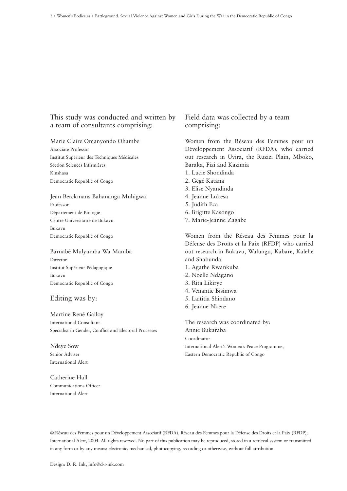#### This study was conducted and written by a team of consultants comprising:

Marie Claire Omanyondo Ohambe

Associate Professor Institut Supérieur des Techniques Médicales Section Sciences Infirmières Kinshasa Democratic Republic of Congo

Jean Berckmans Bahananga Muhigwa Professor Département de Biologie Centre Universitaire de Bukavu Bukavu Democratic Republic of Congo

Barnabé Mulyumba Wa Mamba Director Institut Supérieur Pédagogique Bukavu Democratic Republic of Congo

#### Editing was by:

#### Martine René Galloy

International Consultant Specialist in Gender, Conflict and Electoral Processes

Ndeye Sow Senior Adviser International Alert

Catherine Hall Communications Officer International Alert

#### Field data was collected by a team comprising:

Women from the Réseau des Femmes pour un Développement Associatif (RFDA), who carried out research in Uvira, the Ruzizi Plain, Mboko, Baraka, Fizi and Kazimia

- 1. Lucie Shondinda
- 2. Gégé Katana
- 3. Elise Nyandinda
- 4. Jeanne Lukesa
- 5. Judith Eca
- 6. Brigitte Kasongo
- 7. Marie-Jeanne Zagabe

Women from the Réseau des Femmes pour la Défense des Droits et la Paix (RFDP) who carried out research in Bukavu, Walungu, Kabare, Kalehe and Shabunda

- 1. Agathe Rwankuba
- 2. Noelle Ndagano
- 3. Rita Likirye
- 4. Venantie Bisimwa
- 5. Laititia Shindano
- 6. Jeanne Nkere

The research was coordinated by: Annie Bukaraba Coordinator International Alert's Women's Peace Programme, Eastern Democratic Republic of Congo

© Réseau des Femmes pour un Développement Associatif (RFDA), Réseau des Femmes pour la Défense des Droits et la Paix (RFDP), International Alert, 2004. All rights reserved. No part of this publication may be reproduced, stored in a retrieval system or transmitted in any form or by any means; electronic, mechanical, photocopying, recording or otherwise, without full attribution.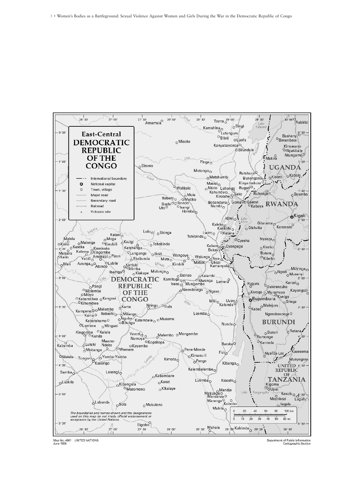

Map No. 4061<br>June 1998 UNITED NATIONS

Department of Public Information<br>Cartographic Section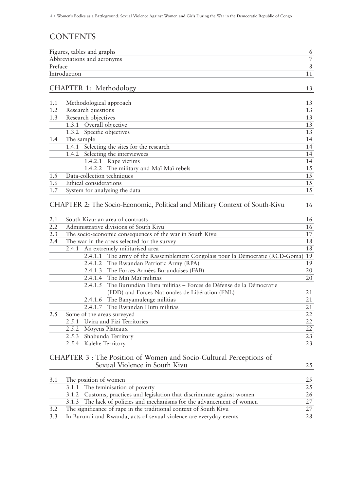## **CONTENTS**

|         | Figures, tables and graphs                                                       | 6              |
|---------|----------------------------------------------------------------------------------|----------------|
|         | Abbreviations and acronyms                                                       | $\overline{7}$ |
| Preface |                                                                                  | $\,8\,$        |
|         | Introduction                                                                     | 11             |
|         |                                                                                  |                |
|         | CHAPTER 1: Methodology                                                           | 13             |
|         |                                                                                  |                |
| 1.1     | Methodological approach                                                          | 13             |
| 1.2     | Research questions                                                               | 13             |
| 1.3     | Research objectives                                                              | 13             |
|         | 1.3.1 Overall objective                                                          | 13             |
|         | 1.3.2 Specific objectives                                                        | 13             |
| 1.4     | The sample                                                                       | 14             |
|         | 1.4.1 Selecting the sites for the research                                       | 14             |
|         | 1.4.2<br>Selecting the interviewees                                              | 14             |
|         | 1.4.2.1 Rape victims                                                             | 14             |
|         | 1.4.2.2 The military and Maï Maï rebels                                          | 15             |
| 1.5     | Data-collection techniques<br>15                                                 |                |
| 1.6     | Ethical considerations                                                           | 15             |
| 1.7     | System for analysing the data                                                    | 15             |
|         | CHAPTER 2: The Socio-Economic, Political and Military Context of South-Kivu      | 16             |
| 2.1     | South Kivu: an area of contrasts                                                 | 16             |
| 2.2     | Administrative divisions of South Kivu                                           | 16             |
| 2.3     | The socio-economic consequences of the war in South Kivu                         | 17             |
| 2.4     | The war in the areas selected for the survey                                     | 18             |
|         | An extremely militarised area<br>2.4.1                                           | 18             |
|         | The army of the Rassemblement Congolais pour la Démocratie (RCD-Goma)<br>2.4.1.1 | 19             |
|         | 2.4.1.2<br>The Rwandan Patriotic Army (RPA)                                      | 19             |
|         | 2.4.1.3<br>The Forces Armées Burundaises (FAB)                                   | 20             |
|         | The Maï Maï militias<br>2.4.1.4                                                  | 20             |
|         | The Burundian Hutu militias - Forces de Défense de la Démocratie<br>2.4.1.5      |                |
|         | (FDD) and Forces Nationales de Libération (FNL)                                  | 21             |
|         | 2.4.1.6 The Banyamulenge militias                                                | 21             |
|         | The Rwandan Hutu militias<br>2.4.1.7                                             | 21             |
|         |                                                                                  |                |

|  | 2.5 Some of the areas surveyed   |    |
|--|----------------------------------|----|
|  | 2.5.1 Uvira and Fizi Territories |    |
|  | 2.5.2 Moyens Plateaux            |    |
|  | 2.5.3 Shabunda Territory         | 23 |
|  | 2.5.4 Kalehe Territory           |    |
|  |                                  |    |

#### CHAPTER 3 : The Position of Women and Socio-Cultural Perceptions of Sexual Violence in South Kivu 25

| 3.1 | The position of women                                                    | $2.5^{\circ}$ |
|-----|--------------------------------------------------------------------------|---------------|
|     | 3.1.1 The feminisation of poverty                                        | 2.5           |
|     | 3.1.2 Customs, practices and legislation that discriminate against women | 26            |
|     | 3.1.3 The lack of policies and mechanisms for the advancement of women   |               |
| 3.2 | The significance of rape in the traditional context of South Kivu        |               |
| 3.3 | In Burundi and Rwanda, acts of sexual violence are everyday events       | 28            |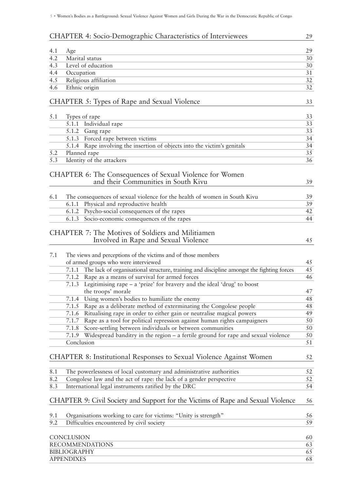|            | <b>CHAPTER 4: Socio-Demographic Characteristics of Interviewees</b>                                | 29       |
|------------|----------------------------------------------------------------------------------------------------|----------|
|            |                                                                                                    |          |
| 4.1<br>4.2 | Age<br>Marital status                                                                              | 29<br>30 |
| 4.3        | Level of education                                                                                 | 30       |
| 4.4        | Occupation                                                                                         | 31       |
| 4.5        | Religious affiliation                                                                              | 32       |
| 4.6        | Ethnic origin                                                                                      | 32       |
|            |                                                                                                    |          |
|            | <b>CHAPTER 5: Types of Rape and Sexual Violence</b>                                                | 33       |
| 5.1        | Types of rape                                                                                      | 33       |
|            | 5.1.1 Individual rape                                                                              | 33       |
|            | 5.1.2 Gang rape                                                                                    | 33       |
|            | 5.1.3 Forced rape between victims                                                                  | 34       |
|            | 5.1.4 Rape involving the insertion of objects into the victim's genitals                           | 34       |
| 5.2        | Planned rape                                                                                       | 35       |
| 5.3        | Identity of the attackers                                                                          | 36       |
|            | CHAPTER 6: The Consequences of Sexual Violence for Women                                           |          |
|            | and their Communities in South Kivu                                                                | 39       |
|            |                                                                                                    | 39       |
| 6.1        | The consequences of sexual violence for the health of women in South Kivu<br>6.1.1                 | 39       |
|            | Physical and reproductive health<br>Psycho-social consequences of the rapes<br>6.1.2               | 42       |
|            | Socio-economic consequences of the rapes<br>6.1.3                                                  | 44       |
|            |                                                                                                    |          |
|            | <b>CHAPTER 7: The Motives of Soldiers and Militiamen</b>                                           |          |
|            | Involved in Rape and Sexual Violence                                                               | 45       |
|            |                                                                                                    |          |
| 7.1        | The views and perceptions of the victims and of those members                                      |          |
|            | of armed groups who were interviewed                                                               | 45       |
|            | The lack of organisational structure, training and discipline amongst the fighting forces<br>7.1.1 | 45       |
|            | 7.1.2 Rape as a means of survival for armed forces                                                 | 46       |
|            | Legitimising rape $-$ a 'prize' for bravery and the ideal 'drug' to boost<br>7.1.3                 |          |
|            | the troops' morale                                                                                 | 47       |
|            | 7.1.4<br>Using women's bodies to humiliate the enemy                                               | 48       |
|            | Rape as a deliberate method of exterminating the Congolese people<br>7.1.5                         | 48       |
|            | Ritualising rape in order to either gain or neutralise magical powers<br>7.1.6                     | 49       |
|            | Rape as a tool for political repression against human rights campaigners<br>7.1.7                  | 50       |
|            | Score-settling between individuals or between communities<br>7.1.8                                 | 50       |
|            | Widespread banditry in the region $-$ a fertile ground for rape and sexual violence<br>7.1.9       | 50       |
|            | Conclusion                                                                                         | 51       |
|            | CHAPTER 8: Institutional Responses to Sexual Violence Against Women                                | 52       |
|            |                                                                                                    |          |
| 8.1        | The powerlessness of local customary and administrative authorities                                | 52       |
| 8.2        | Congolese law and the act of rape: the lack of a gender perspective                                | 52       |
| 8.3        | International legal instruments ratified by the DRC                                                | 54       |
|            | CHAPTER 9: Civil Society and Support for the Victims of Rape and Sexual Violence                   | 56       |
|            |                                                                                                    |          |
| 9.1        | Organisations working to care for victims: "Unity is strength"                                     | 56       |
| 9.2        | Difficulties encountered by civil society                                                          | 59       |
|            |                                                                                                    |          |
|            | CONCLUSION<br><b>RECOMMENDATIONS</b>                                                               | 60       |
|            | <b>BIBLIOGRAPHY</b>                                                                                | 63<br>65 |
|            | <b>APPENDIXES</b>                                                                                  | 68       |
|            |                                                                                                    |          |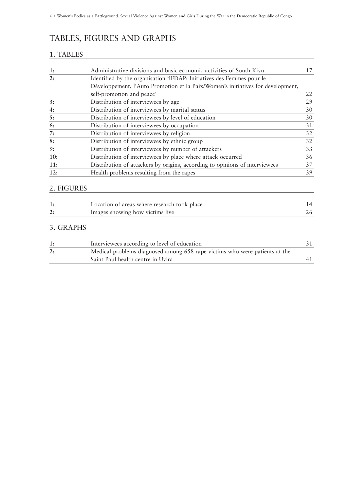## TABLES, FIGURES AND GRAPHS

## 1. TABLES

| <sup>1:</sup> | Administrative divisions and basic economic activities of South Kivu            | 17 |
|---------------|---------------------------------------------------------------------------------|----|
| 2:            | Identified by the organisation 'IFDAP: Initiatives des Femmes pour le           |    |
|               | Développement, l'Auto Promotion et la Paix/Women's initiatives for development, |    |
|               | self-promotion and peace'                                                       | 22 |
| 3:            | Distribution of interviewees by age                                             | 29 |
| 4:            | Distribution of interviewees by marital status                                  | 30 |
| 5:            | Distribution of interviewees by level of education                              | 30 |
| 6:            | Distribution of interviewees by occupation                                      | 31 |
| 7:            | Distribution of interviewees by religion                                        | 32 |
| 8:            | Distribution of interviewees by ethnic group                                    | 32 |
| 9:            | Distribution of interviewees by number of attackers                             | 33 |
| 10:           | Distribution of interviewees by place where attack occurred                     | 36 |
| 11:           | Distribution of attackers by origins, according to opinions of interviewees     | 37 |
| 12:           | Health problems resulting from the rapes                                        | 39 |
| 2. FIGURES    |                                                                                 |    |
| 1:            | Location of areas where research took place                                     | 14 |
| 2:            | Images showing how victims live                                                 | 26 |
| 3. GRAPHS     |                                                                                 |    |

| Interviewees according to level of education                               |  |
|----------------------------------------------------------------------------|--|
| Medical problems diagnosed among 658 rape victims who were patients at the |  |
| Saint Paul health centre in Uvira                                          |  |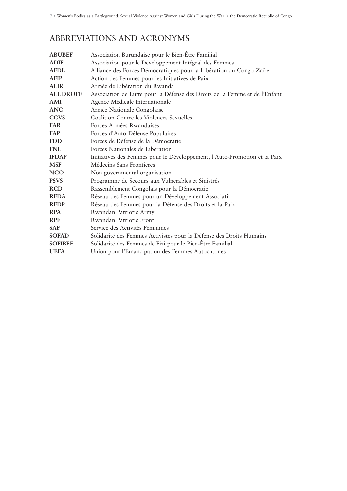## ABBREVIATIONS AND ACRONYMS

| <b>ABUBEF</b>   | Association Burundaise pour le Bien-Être Familial                          |  |  |
|-----------------|----------------------------------------------------------------------------|--|--|
| <b>ADIF</b>     | Association pour le Développement Intégral des Femmes                      |  |  |
| <b>AFDL</b>     | Alliance des Forces Démocratiques pour la Libération du Congo-Zaïre        |  |  |
| <b>AFIP</b>     | Action des Femmes pour les Initiatives de Paix                             |  |  |
| <b>ALIR</b>     | Armée de Libération du Rwanda                                              |  |  |
| <b>ALUDROFE</b> | Association de Lutte pour la Défense des Droits de la Femme et de l'Enfant |  |  |
| AMI             | Agence Médicale Internationale                                             |  |  |
| <b>ANC</b>      | Armée Nationale Congolaise                                                 |  |  |
| <b>CCVS</b>     | <b>Coalition Contre les Violences Sexuelles</b>                            |  |  |
| <b>FAR</b>      | Forces Armées Rwandaises                                                   |  |  |
| <b>FAP</b>      | Forces d'Auto-Défense Populaires                                           |  |  |
| <b>FDD</b>      | Forces de Défense de la Démocratie                                         |  |  |
| <b>FNL</b>      | Forces Nationales de Libération                                            |  |  |
| <b>IFDAP</b>    | Initiatives des Femmes pour le Développement, l'Auto-Promotion et la Paix  |  |  |
| <b>MSF</b>      | Médecins Sans Frontières                                                   |  |  |
| <b>NGO</b>      | Non governmental organisation                                              |  |  |
| <b>PSVS</b>     | Programme de Secours aux Vulnérables et Sinistrés                          |  |  |
| <b>RCD</b>      | Rassemblement Congolais pour la Démocratie                                 |  |  |
| <b>RFDA</b>     | Réseau des Femmes pour un Développement Associatif                         |  |  |
| <b>RFDP</b>     | Réseau des Femmes pour la Défense des Droits et la Paix                    |  |  |
| <b>RPA</b>      | Rwandan Patriotic Army                                                     |  |  |
| <b>RPF</b>      | Rwandan Patriotic Front                                                    |  |  |
| <b>SAF</b>      | Service des Activités Féminines                                            |  |  |
| <b>SOFAD</b>    | Solidarité des Femmes Activistes pour la Défense des Droits Humains        |  |  |
| <b>SOFIBEF</b>  | Solidarité des Femmes de Fizi pour le Bien-Être Familial                   |  |  |
| <b>UEFA</b>     | Union pour l'Emancipation des Femmes Autochtones                           |  |  |
|                 |                                                                            |  |  |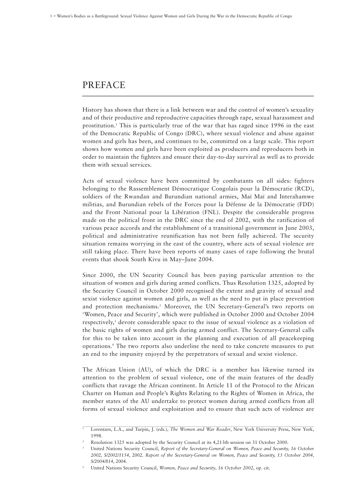## PREFACE

History has shown that there is a link between war and the control of women's sexuality and of their productive and reproductive capacities through rape, sexual harassment and prostitution.1 This is particularly true of the war that has raged since 1996 in the east of the Democratic Republic of Congo (DRC), where sexual violence and abuse against women and girls has been, and continues to be, committed on a large scale. This report shows how women and girls have been exploited as producers and reproducers both in order to maintain the fighters and ensure their day-to-day survival as well as to provide them with sexual services.

Acts of sexual violence have been committed by combatants on all sides: fighters belonging to the Rassemblement Démocratique Congolais pour la Démocratie (RCD), soldiers of the Rwandan and Burundian national armies, Maï Maï and Interahamwe militias, and Burundian rebels of the Forces pour la Défense de la Démocratie (FDD) and the Front National pour la Libération (FNL). Despite the considerable progress made on the political front in the DRC since the end of 2002, with the ratification of various peace accords and the establishment of a transitional government in June 2003, political and administrative reunification has not been fully achieved. The security situation remains worrying in the east of the country, where acts of sexual violence are still taking place. There have been reports of many cases of rape following the brutal events that shook South Kivu in May–June 2004.

Since 2000, the UN Security Council has been paying particular attention to the situation of women and girls during armed conflicts. Thus Resolution 1325, adopted by the Security Council in October 2000 recognised the extent and gravity of sexual and sexist violence against women and girls, as well as the need to put in place prevention and protection mechanisms.2 Moreover, the UN Secretary-General's two reports on 'Women, Peace and Security', which were published in October 2000 and October 2004 respectively,<sup>3</sup> devote considerable space to the issue of sexual violence as a violation of the basic rights of women and girls during armed conflict. The Secretary-General calls for this to be taken into account in the planning and execution of all peacekeeping operations.4 The two reports also underline the need to take concrete measures to put an end to the impunity enjoyed by the perpetrators of sexual and sexist violence.

The African Union (AU), of which the DRC is a member has likewise turned its attention to the problem of sexual violence, one of the main features of the deadly conflicts that ravage the African continent. In Article 11 of the Protocol to the African Charter on Human and People's Rights Relating to the Rights of Women in Africa, the member states of the AU undertake to protect women during armed conflicts from all forms of sexual violence and exploitation and to ensure that such acts of violence are

<sup>1</sup> Lorentzen, L.A., and Turpin, J. (eds.), *The Women and War Reader*, New York University Press, New York, 1998.

<sup>2</sup> Resolution 1325 was adopted by the Security Council at its 4,213th session on 31 October 2000.

<sup>3</sup> United Nations Security Council, *Report of the Secretary-General on Women, Peace and Security, 16 October 2002, S/2002/1154*, 2002. *Report of the Secretary-General on Women, Peace and Security, 13 October 2004, S/2004/814*, 2004.

<sup>4</sup> United Nations Security Council, *Women, Peace and Security*, *16 October 2002*, op. cit.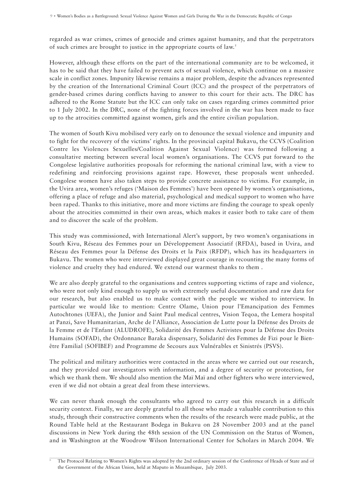regarded as war crimes, crimes of genocide and crimes against humanity, and that the perpetrators of such crimes are brought to justice in the appropriate courts of law.5

However, although these efforts on the part of the international community are to be welcomed, it has to be said that they have failed to prevent acts of sexual violence, which continue on a massive scale in conflict zones. Impunity likewise remains a major problem, despite the advances represented by the creation of the International Criminal Court (ICC) and the prospect of the perpetrators of gender-based crimes during conflicts having to answer to this court for their acts. The DRC has adhered to the Rome Statute but the ICC can only take on cases regarding crimes committed prior to 1 July 2002. In the DRC, none of the fighting forces involved in the war has been made to face up to the atrocities committed against women, girls and the entire civilian population.

The women of South Kivu mobilised very early on to denounce the sexual violence and impunity and to fight for the recovery of the victims' rights. In the provincial capital Bukavu, the CCVS (Coalition Contre les Violences Sexuelles/Coalition Against Sexual Violence) was formed following a consultative meeting between several local women's organisations. The CCVS put forward to the Congolese legislative authorities proposals for reforming the national criminal law, with a view to redefining and reinforcing provisions against rape. However, these proposals went unheeded. Congolese women have also taken steps to provide concrete assistance to victims. For example, in the Uvira area, women's refuges ('Maison des Femmes') have been opened by women's organisations, offering a place of refuge and also material, psychological and medical support to women who have been raped. Thanks to this initiative, more and more victims are finding the courage to speak openly about the atrocities committed in their own areas, which makes it easier both to take care of them and to discover the scale of the problem.

This study was commissioned, with International Alert's support, by two women's organisations in South Kivu, Réseau des Femmes pour un Développement Associatif (RFDA), based in Uvira, and Réseau des Femmes pour la Défense des Droits et la Paix (RFDP), which has its headquarters in Bukavu. The women who were interviewed displayed great courage in recounting the many forms of violence and cruelty they had endured. We extend our warmest thanks to them .

We are also deeply grateful to the organisations and centres supporting victims of rape and violence, who were not only kind enough to supply us with extremely useful documentation and raw data for our research, but also enabled us to make contact with the people we wished to interview. In particular we would like to mention: Centre Olame, Union pour l'Emancipation des Femmes Autochtones (UEFA), the Junior and Saint Paul medical centres, Vision Teqoa, the Lemera hospital at Panzi, Save Humanitarian, Arche de l'Alliance, Association de Lutte pour la Défense des Droits de la Femme et de l'Enfant (ALUDROFE), Solidarité des Femmes Activistes pour la Défense des Droits Humains (SOFAD), the Ordonnance Baraka dispensary, Solidarité des Femmes de Fizi pour le Bienêtre Familial (SOFIBEF) and Programme de Secours aux Vulnérables et Sinistrés (PSVS).

The political and military authorities were contacted in the areas where we carried out our research, and they provided our investigators with information, and a degree of security or protection, for which we thank them. We should also mention the Maï Maï and other fighters who were interviewed, even if we did not obtain a great deal from these interviews.

We can never thank enough the consultants who agreed to carry out this research in a difficult security context. Finally, we are deeply grateful to all those who made a valuable contribution to this study, through their constructive comments when the results of the research were made public, at the Round Table held at the Restaurant Bodega in Bukavu on 28 November 2003 and at the panel discussions in New York during the 48th session of the UN Commission on the Status of Women, and in Washington at the Woodrow Wilson International Center for Scholars in March 2004. We

The Protocol Relating to Women's Rights was adopted by the 2nd ordinary session of the Conference of Heads of State and of the Government of the African Union, held at Maputo in Mozambique, July 2003.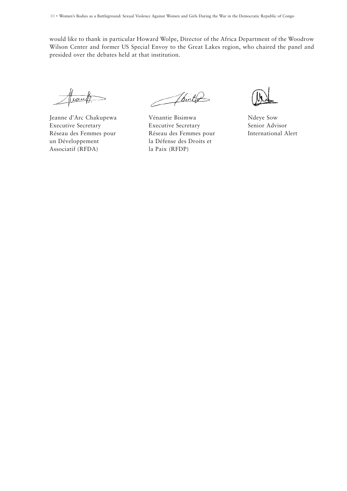would like to thank in particular Howard Wolpe, Director of the Africa Department of the Woodrow Wilson Center and former US Special Envoy to the Great Lakes region, who chaired the panel and presided over the debates held at that institution.

fleurt

Jeanne d'Arc Chakupewa Vénantie Bisimwa Ndeye Sow Executive Secretary Executive Secretary Senior Advisor Réseau des Femmes pour Réseau des Femmes pour International Alert un Développement la Défense des Droits et Associatif (RFDA) la Paix (RFDP)

Thirty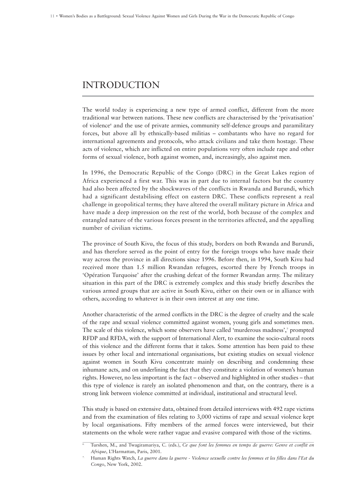## INTRODUCTION

The world today is experiencing a new type of armed conflict, different from the more traditional war between nations. These new conflicts are characterised by the 'privatisation' of violence<sup>6</sup> and the use of private armies, community self-defence groups and paramilitary forces, but above all by ethnically-based militias – combatants who have no regard for international agreements and protocols, who attack civilians and take them hostage. These acts of violence, which are inflicted on entire populations very often include rape and other forms of sexual violence, both against women, and, increasingly, also against men.

In 1996, the Democratic Republic of the Congo (DRC) in the Great Lakes region of Africa experienced a first war. This was in part due to internal factors but the country had also been affected by the shockwaves of the conflicts in Rwanda and Burundi, which had a significant destabilising effect on eastern DRC. These conflicts represent a real challenge in geopolitical terms; they have altered the overall military picture in Africa and have made a deep impression on the rest of the world, both because of the complex and entangled nature of the various forces present in the territories affected, and the appalling number of civilian victims.

The province of South Kivu, the focus of this study, borders on both Rwanda and Burundi, and has therefore served as the point of entry for the foreign troops who have made their way across the province in all directions since 1996. Before then, in 1994, South Kivu had received more than 1.5 million Rwandan refugees, escorted there by French troops in 'Opération Turquoise' after the crushing defeat of the former Rwandan army. The military situation in this part of the DRC is extremely complex and this study briefly describes the various armed groups that are active in South Kivu, either on their own or in alliance with others, according to whatever is in their own interest at any one time.

Another characteristic of the armed conflicts in the DRC is the degree of cruelty and the scale of the rape and sexual violence committed against women, young girls and sometimes men. The scale of this violence, which some observers have called 'murderous madness',<sup>7</sup> prompted RFDP and RFDA, with the support of International Alert, to examine the socio-cultural roots of this violence and the different forms that it takes. Some attention has been paid to these issues by other local and international organisations, but existing studies on sexual violence against women in South Kivu concentrate mainly on describing and condemning these inhumane acts, and on underlining the fact that they constitute a violation of women's human rights. However, no less important is the fact – observed and highlighted in other studies – that this type of violence is rarely an isolated phenomenon and that, on the contrary, there is a strong link between violence committed at individual, institutional and structural level.

This study is based on extensive data, obtained from detailed interviews with 492 rape victims and from the examination of files relating to 3,000 victims of rape and sexual violence kept by local organisations. Fifty members of the armed forces were interviewed, but their statements on the whole were rather vague and evasive compared with those of the victims.

<sup>6.</sup> Turshen, M., and Twagiramariya, C. (eds.), *Ce que font les femmes en temps de guerre: Genre et conflit en Afrique*, L'Harmattan, Paris, 2001.

<sup>7.</sup> Human Rights Watch, *La guerre dans la guerre - Violence sexuelle contre les femmes et les filles dans l'Est du Congo*, New York, 2002.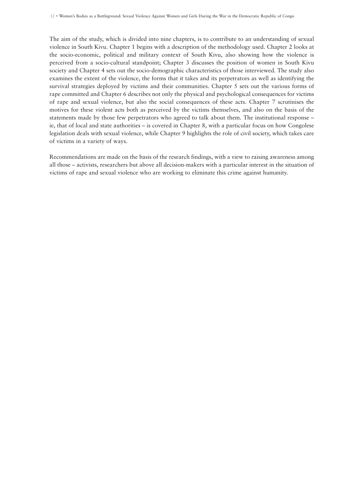The aim of the study, which is divided into nine chapters, is to contribute to an understanding of sexual violence in South Kivu. Chapter 1 begins with a description of the methodology used. Chapter 2 looks at the socio-economic, political and military context of South Kivu, also showing how the violence is perceived from a socio-cultural standpoint; Chapter 3 discusses the position of women in South Kivu society and Chapter 4 sets out the socio-demographic characteristics of those interviewed. The study also examines the extent of the violence, the forms that it takes and its perpetrators as well as identifying the survival strategies deployed by victims and their communities. Chapter 5 sets out the various forms of rape committed and Chapter 6 describes not only the physical and psychological consequences for victims of rape and sexual violence, but also the social consequences of these acts. Chapter 7 scrutinises the motives for these violent acts both as perceived by the victims themselves, and also on the basis of the statements made by those few perpetrators who agreed to talk about them. The institutional response – ie, that of local and state authorities – is covered in Chapter 8, with a particular focus on how Congolese legislation deals with sexual violence, while Chapter 9 highlights the role of civil society, which takes care of victims in a variety of ways.

Recommendations are made on the basis of the research findings, with a view to raising awareness among all those – activists, researchers but above all decision-makers with a particular interest in the situation of victims of rape and sexual violence who are working to eliminate this crime against humanity.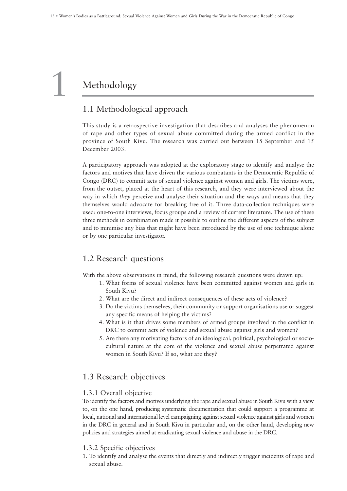## Methodology

1

#### 1.1 Methodological approach

This study is a retrospective investigation that describes and analyses the phenomenon of rape and other types of sexual abuse committed during the armed conflict in the province of South Kivu. The research was carried out between 15 September and 15 December 2003.

A participatory approach was adopted at the exploratory stage to identify and analyse the factors and motives that have driven the various combatants in the Democratic Republic of Congo (DRC) to commit acts of sexual violence against women and girls. The victims were, from the outset, placed at the heart of this research, and they were interviewed about the way in which *they* perceive and analyse their situation and the ways and means that they themselves would advocate for breaking free of it. Three data-collection techniques were used: one-to-one interviews, focus groups and a review of current literature. The use of these three methods in combination made it possible to outline the different aspects of the subject and to minimise any bias that might have been introduced by the use of one technique alone or by one particular investigator.

#### 1.2 Research questions

With the above observations in mind, the following research questions were drawn up:

- 1. What forms of sexual violence have been committed against women and girls in South Kivu?
- 2. What are the direct and indirect consequences of these acts of violence?
- 3. Do the victims themselves, their community or support organisations use or suggest any specific means of helping the victims?
- 4. What is it that drives some members of armed groups involved in the conflict in DRC to commit acts of violence and sexual abuse against girls and women?
- 5. Are there any motivating factors of an ideological, political, psychological or sociocultural nature at the core of the violence and sexual abuse perpetrated against women in South Kivu? If so, what are they?

#### 1.3 Research objectives

#### 1.3.1 Overall objective

To identify the factors and motives underlying the rape and sexual abuse in South Kivu with a view to, on the one hand, producing systematic documentation that could support a programme at local, national and international level campaigning against sexual violence against girls and women in the DRC in general and in South Kivu in particular and, on the other hand, developing new policies and strategies aimed at eradicating sexual violence and abuse in the DRC.

#### 1.3.2 Specific objectives

1. To identify and analyse the events that directly and indirectly trigger incidents of rape and sexual abuse.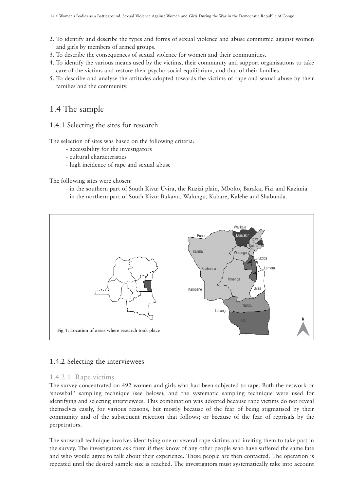- 2. To identify and describe the types and forms of sexual violence and abuse committed against women and girls by members of armed groups.
- 3. To describe the consequences of sexual violence for women and their communities.
- 4. To identify the various means used by the victims, their community and support organisations to take care of the victims and restore their psycho-social equilibrium, and that of their families.
- 5. To describe and analyse the attitudes adopted towards the victims of rape and sexual abuse by their families and the community.

#### 1.4 The sample

#### 1.4.1 Selecting the sites for research

The selection of sites was based on the following criteria:

- accessibility for the investigators
- cultural characteristics
- high incidence of rape and sexual abuse

The following sites were chosen:

- in the southern part of South Kivu: Uvira, the Ruzizi plain, Mboko, Baraka, Fizi and Kazimia
- in the northern part of South Kivu: Bukavu, Walungu, Kabare, Kalehe and Shabunda.



#### 1.4.2 Selecting the interviewees

#### 1.4.2.1 Rape victims

The survey concentrated on 492 women and girls who had been subjected to rape. Both the network or 'snowball' sampling technique (see below), and the systematic sampling technique were used for identifying and selecting interviewees. This combination was adopted because rape victims do not reveal themselves easily, for various reasons, but mostly because of the fear of being stigmatised by their community and of the subsequent rejection that follows; or because of the fear of reprisals by the perpetrators.

The snowball technique involves identifying one or several rape victims and inviting them to take part in the survey. The investigators ask them if they know of any other people who have suffered the same fate and who would agree to talk about their experience. These people are then contacted. The operation is repeated until the desired sample size is reached. The investigators must systematically take into account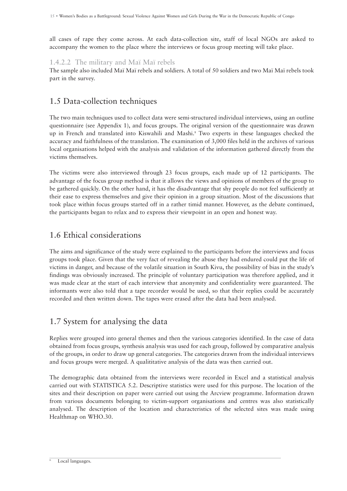all cases of rape they come across. At each data-collection site, staff of local NGOs are asked to accompany the women to the place where the interviews or focus group meeting will take place.

#### 1.4.2.2 The military and Maï Maï rebels

The sample also included Maï Maï rebels and soldiers. A total of 50 soldiers and two Maï Maï rebels took part in the survey.

## 1.5 Data-collection techniques

The two main techniques used to collect data were semi-structured individual interviews, using an outline questionnaire (see Appendix 1), and focus groups. The original version of the questionnaire was drawn up in French and translated into Kiswahili and Mashi.8 Two experts in these languages checked the accuracy and faithfulness of the translation. The examination of 3,000 files held in the archives of various local organisations helped with the analysis and validation of the information gathered directly from the victims themselves.

The victims were also interviewed through 23 focus groups, each made up of 12 participants. The advantage of the focus group method is that it allows the views and opinions of members of the group to be gathered quickly. On the other hand, it has the disadvantage that shy people do not feel sufficiently at their ease to express themselves and give their opinion in a group situation. Most of the discussions that took place within focus groups started off in a rather timid manner. However, as the debate continued, the participants began to relax and to express their viewpoint in an open and honest way.

## 1.6 Ethical considerations

The aims and significance of the study were explained to the participants before the interviews and focus groups took place. Given that the very fact of revealing the abuse they had endured could put the life of victims in danger, and because of the volatile situation in South Kivu, the possibility of bias in the study's findings was obviously increased. The principle of voluntary participation was therefore applied, and it was made clear at the start of each interview that anonymity and confidentiality were guaranteed. The informants were also told that a tape recorder would be used, so that their replies could be accurately recorded and then written down. The tapes were erased after the data had been analysed.

## 1.7 System for analysing the data

Replies were grouped into general themes and then the various categories identified. In the case of data obtained from focus groups, synthesis analysis was used for each group, followed by comparative analysis of the groups, in order to draw up general categories. The categories drawn from the individual interviews and focus groups were merged. A qualititative analysis of the data was then carried out.

The demographic data obtained from the interviews were recorded in Excel and a statistical analysis carried out with STATISTICA 5.2. Descriptive statistics were used for this purpose. The location of the sites and their description on paper were carried out using the Arcview programme. Information drawn from various documents belonging to victim-support organisations and centres was also statistically analysed. The description of the location and characteristics of the selected sites was made using Healthmap on WHO.30.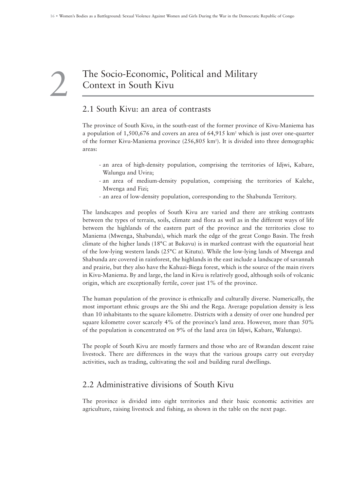# 2

## The Socio-Economic, Political and Military Context in South Kivu

#### 2.1 South Kivu: an area of contrasts

The province of South Kivu, in the south-east of the former province of Kivu-Maniema has a population of  $1,500,676$  and covers an area of  $64,915$  km<sup>2</sup> which is just over one-quarter of the former Kivu-Maniema province (256,805 km2 ). It is divided into three demographic areas:

- an area of high-density population, comprising the territories of Idjwi, Kabare, Walungu and Uvira;
- an area of medium-density population, comprising the territories of Kalehe, Mwenga and Fizi;
- an area of low-density population, corresponding to the Shabunda Territory.

The landscapes and peoples of South Kivu are varied and there are striking contrasts between the types of terrain, soils, climate and flora as well as in the different ways of life between the highlands of the eastern part of the province and the territories close to Maniema (Mwenga, Shabunda), which mark the edge of the great Congo Basin. The fresh climate of the higher lands (18 $^{\circ}$ C at Bukavu) is in marked contrast with the equatorial heat of the low-lying western lands (25°C at Kitutu). While the low-lying lands of Mwenga and Shabunda are covered in rainforest, the highlands in the east include a landscape of savannah and prairie, but they also have the Kahuzi-Biega forest, which is the source of the main rivers in Kivu-Maniema. By and large, the land in Kivu is relatively good, although soils of volcanic origin, which are exceptionally fertile, cover just 1% of the province.

The human population of the province is ethnically and culturally diverse. Numerically, the most important ethnic groups are the Shi and the Rega. Average population density is less than 10 inhabitants to the square kilometre. Districts with a density of over one hundred per square kilometre cover scarcely 4% of the province's land area. However, more than 50% of the population is concentrated on 9% of the land area (in Idjwi, Kabare, Walungu).

The people of South Kivu are mostly farmers and those who are of Rwandan descent raise livestock. There are differences in the ways that the various groups carry out everyday activities, such as trading, cultivating the soil and building rural dwellings.

#### 2.2 Administrative divisions of South Kivu

The province is divided into eight territories and their basic economic activities are agriculture, raising livestock and fishing, as shown in the table on the next page.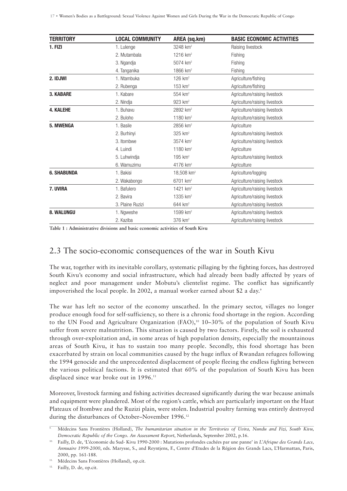| <b>TERRITORY</b>   | <b>LOCAL COMMUNITY</b> | AREA (sq.km)          | <b>BASIC ECONOMIC ACTIVITIES</b> |
|--------------------|------------------------|-----------------------|----------------------------------|
| 1. FIZI            | 1. Lulenge             | 3248 km <sup>2</sup>  | Raising livestock                |
|                    | 2. Mutambala           | 1216 km <sup>2</sup>  | Fishing                          |
|                    | 3. Ngandja             | 5074 km <sup>2</sup>  | Fishing                          |
|                    | 4. Tanganika           | 1866 km <sup>2</sup>  | Fishing                          |
| 2. IDJWI           | 1. Ntambuka            | $126$ km <sup>2</sup> | Agriculture/fishing              |
|                    | 2. Rubenga             | $153$ km <sup>2</sup> | Agriculture/fishing              |
| <b>3. KABARE</b>   | 1. Kabare              | 554 km <sup>2</sup>   | Agriculture/raising livestock    |
|                    | 2. Nindja              | $923$ km <sup>2</sup> | Agriculture/raising livestock    |
| <b>4. KALEHE</b>   | 1. Buhavu              | 2892 km <sup>2</sup>  | Agriculture/raising livestock    |
|                    | 2. Buloho              | 1180 km <sup>2</sup>  | Agriculture/raising livestock    |
| 5. MWENGA          | 1. Basile              | 2856 km <sup>2</sup>  | Agriculture                      |
|                    | 2. Burhinyi            | 325 km <sup>2</sup>   | Agriculture/raising livestock    |
|                    | 3. Itombwe             | 3574 km <sup>2</sup>  | Agriculture/raising livestock    |
|                    | 4. Luindi              | 1180 km <sup>2</sup>  | Agriculture                      |
|                    | 5. Luhwindja           | $195$ km <sup>2</sup> | Agriculture/raising livestock    |
|                    | 6. Wamuzimu            | 4176 km <sup>2</sup>  | Agriculture                      |
| <b>6. SHABUNDA</b> | 1. Bakisi              | 18,508 $km^2$         | Agriculture/logging              |
|                    | 2. Wakabongo           | 6701 km <sup>2</sup>  | Agriculture/raising livestock    |
| 7. UVIRA           | 1. Bafulero            | 1421 $km^2$           | Agriculture/raising livestock    |
|                    | 2. Bavira              | 1335 $km^2$           | Agriculture/raising livestock    |
|                    | 3. Plaine Ruzizi       | $644$ km <sup>2</sup> | Agriculture/raising livestock    |
| <b>8. WALUNGU</b>  | 1. Ngweshe             | 1599 $km^2$           | Agriculture/raising livestock    |
|                    | 2. Kaziba              | 376 km <sup>2</sup>   | Agriculture/raising livestock    |

**Table 1 : Administrative divisions and basic economic activities of South Kivu**

## 2.3 The socio-economic consequences of the war in South Kivu

The war, together with its inevitable corollary, systematic pillaging by the fighting forces, has destroyed South Kivu's economy and social infrastructure, which had already been badly affected by years of neglect and poor management under Mobutu's clientelist regime. The conflict has significantly impoverished the local people. In 2002, a manual worker earned about \$2 a day.<sup>9</sup>

The war has left no sector of the economy unscathed. In the primary sector, villages no longer produce enough food for self-sufficiency, so there is a chronic food shortage in the region. According to the UN Food and Agriculture Organization (FAO),<sup>10</sup> 10–30% of the population of South Kivu suffer from severe malnutrition. This situation is caused by two factors. Firstly, the soil is exhausted through over-exploitation and, in some areas of high population density, especially the mountainous areas of South Kivu, it has to sustain too many people. Secondly, this food shortage has been exacerbated by strain on local communities caused by the huge influx of Rwandan refugees following the 1994 genocide and the unprecedented displacement of people fleeing the endless fighting between the various political factions. It is estimated that 60% of the population of South Kivu has been displaced since war broke out in 1996.<sup>11</sup>

Moreover, livestock farming and fishing activities decreased significantly during the war because animals and equipment were plundered. Most of the region's cattle, which are particularly important on the Haut Plateaux of Itombwe and the Ruzizi plain, were stolen. Industrial poultry farming was entirely destroyed during the disturbances of October–November 1996.<sup>12</sup>

<sup>9.</sup> Médecins Sans Frontières (Holland), *The humanitarian situation in the Territories of Uvira, Nundu and Fizi, South Kivu, Democratic Republic of the Congo. An Assessment Report*, Netherlands, September 2002, p.16.

<sup>10.</sup> Failly, D. de, 'L'économie du Sud- Kivu 1990-2000 : Mutations profondes cachées par une panne' in *L'Afrique des Grands Lacs, Annuaire 1999-2000*, eds. Marysse, S., and Reyntjens, F., Centre d'Etudes de la Région des Grands Lacs, L'Harmattan, Paris, 2000, pp. 161-188.

<sup>11.</sup> Médecins Sans Frontières (Holland), op.cit.

<sup>12.</sup> Failly, D. de, op.cit.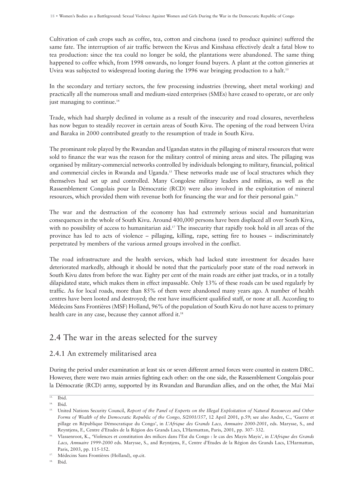Cultivation of cash crops such as coffee, tea, cotton and cinchona (used to produce quinine) suffered the same fate. The interruption of air traffic between the Kivus and Kinshasa effectively dealt a fatal blow to tea production: since the tea could no longer be sold, the plantations were abandoned. The same thing happened to coffee which, from 1998 onwards, no longer found buyers. A plant at the cotton ginneries at Uvira was subjected to widespread looting during the 1996 war bringing production to a halt.<sup>13</sup>

In the secondary and tertiary sectors, the few processing industries (brewing, sheet metal working) and practically all the numerous small and medium-sized enterprises (SMEs) have ceased to operate, or are only just managing to continue.<sup>14</sup>

Trade, which had sharply declined in volume as a result of the insecurity and road closures, nevertheless has now begun to steadily recover in certain areas of South Kivu. The opening of the road between Uvira and Baraka in 2000 contributed greatly to the resumption of trade in South Kivu.

The prominant role played by the Rwandan and Ugandan states in the pillaging of mineral resources that were sold to finance the war was the reason for the military control of mining areas and sites. The pillaging was organised by military-commercial networks controlled by individuals belonging to military, financial, political and commercial circles in Rwanda and Uganda.15 These networks made use of local structures which they themselves had set up and controlled. Many Congolese military leaders and militias, as well as the Rassemblement Congolais pour la Démocratie (RCD) were also involved in the exploitation of mineral resources, which provided them with revenue both for financing the war and for their personal gain.<sup>16</sup>

The war and the destruction of the economy has had extremely serious social and humanitarian consequences in the whole of South Kivu. Around 400,000 persons have been displaced all over South Kivu, with no possibility of access to humanitarian aid.<sup>17</sup> The insecurity that rapidly took hold in all areas of the province has led to acts of violence – pillaging, killing, rape, setting fire to houses – indiscriminately perpetrated by members of the various armed groups involved in the conflict.

The road infrastructure and the health services, which had lacked state investment for decades have deteriorated markedly, although it should be noted that the particularly poor state of the road network in South Kivu dates from before the war. Eighty per cent of the main roads are either just tracks, or in a totally dilapidated state, which makes them in effect impassable. Only 13% of these roads can be used regularly by traffic. As for local roads, more than 85% of them were abandoned many years ago. A number of health centres have been looted and destroyed; the rest have insufficient qualified staff, or none at all. According to Médecins Sans Frontières (MSF) Holland, 96% of the population of South Kivu do not have access to primary health care in any case, because they cannot afford it.<sup>18</sup>

## 2.4 The war in the areas selected for the survey

#### 2.4.1 An extremely militarised area

During the period under examination at least six or seven different armed forces were counted in eastern DRC. However, there were two main armies fighting each other: on the one side, the Rassemblement Congolais pour la Démocratie (RCD) army, supported by its Rwandan and Burundian allies, and on the other, the Maï Maï

18. Ibid.

 $13.$  Ibid. 14. Ibid.

<sup>&</sup>lt;sup>15.</sup> United Nations Security Council, *Report of the Panel of Experts on the Illegal Exploitation of Natural Resources and Other Forms of Wealth of the Democratic Republic of the Congo, S/2001/357*, 12 April 2001, p.59; see also Andre, C., 'Guerre et pillage en République Démocratique du Congo', in *L'Afrique des Grands Lacs, Annuaire 2000-2001*, eds. Marysse, S., and Reyntjens, F., Centre d'Etudes de la Région des Grands Lacs, L'Harmattan, Paris, 2001, pp. 307- 332.

<sup>16.</sup> Vlassenroot, K., 'Violences et constitution des milices dans l'Est du Congo : le cas des Mayis Mayis', in *L'Afrique des Grands Lacs, Annuaire 1999-2000* eds. Marysse, S., and Reyntjens, F., Centre d'Etudes de la Région des Grands Lacs, L'Harmattan, Paris, 2003, pp. 115-152.

<sup>17.</sup> Médecins Sans Frontières (Holland), op.cit.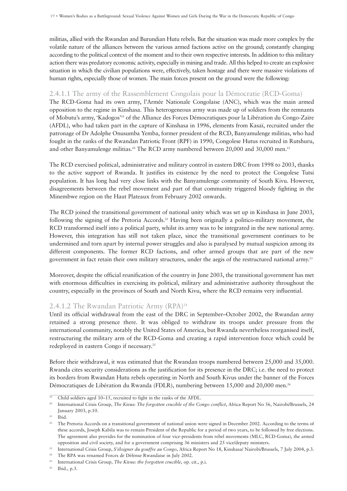militias, allied with the Rwandan and Burundian Hutu rebels. But the situation was made more complex by the volatile nature of the alliances between the various armed factions active on the ground; constantly changing according to the political context of the moment and to their own respective interests. In addition to this military action there was predatory economic activity, especially in mining and trade. All this helped to create an explosive situation in which the civilian populations were, effectively, taken hostage and there were massive violations of human rights, especially those of women. The main forces present on the ground were the following:

#### 2.4.1.1 The army of the Rassemblement Congolais pour la Démocratie (RCD-Goma)

The RCD-Goma had its own army, l'Armée Nationale Congolaise (ANC), which was the main armed opposition to the regime in Kinshasa. This heterogeneous army was made up of soldiers from the remnants of Mobutu's army, 'Kadogos'19 of the Alliance des Forces Démocratiques pour la Libération du Congo-Zaïre (AFDL), who had taken part in the capture of Kinshasa in 1996, elements from Kasaï, recruited under the patronage of Dr Adolphe Onusumba Yemba, former president of the RCD, Banyamulenge militias, who had fought in the ranks of the Rwandan Patriotic Front (RPF) in 1990, Congolese Hutus recruited in Rutshuru, and other Banyamulenge militias.<sup>20</sup> The RCD army numbered between 20,000 and 30,000 men.<sup>21</sup>

The RCD exercised political, administrative and military control in eastern DRC from 1998 to 2003, thanks to the active support of Rwanda. It justifies its existence by the need to protect the Congolese Tutsi population. It has long had very close links with the Banyamulenge community of South Kivu. However, disagreements between the rebel movement and part of that community triggered bloody fighting in the Minembwe region on the Haut Plateaux from February 2002 onwards.

The RCD joined the transitional government of national unity which was set up in Kinshasa in June 2003, following the signing of the Pretoria Accords.<sup>22</sup> Having been originally a politico-military movement, the RCD transformed itself into a political party, whilst its army was to be integrated in the new national army. However, this integration has still not taken place, since the transitional government continues to be undermined and torn apart by internal power struggles and also is paralysed by mutual suspicion among its different components. The former RCD factions, and other armed groups that are part of the new government in fact retain their own military structures, under the aegis of the restructured national army.<sup>23</sup>

Moreover, despite the official reunification of the country in June 2003, the transitional government has met with enormous difficulties in exercising its political, military and administrative authority throughout the country, especially in the provinces of South and North Kivu, where the RCD remains very influential.

#### 2.4.1.2 The Rwandan Patriotic Army  $(RPA)^{24}$

Until its official withdrawal from the east of the DRC in September–October 2002, the Rwandan army retained a strong presence there. It was obliged to withdraw its troops under pressure from the international community, notably the United States of America, but Rwanda nevertheless reorganised itself, restructuring the military arm of the RCD-Goma and creating a rapid intervention force which could be redeployed in eastern Congo if necessary.25

Before their withdrawal, it was estimated that the Rwandan troops numbered between 25,000 and 35,000. Rwanda cites security considerations as the justification for its presence in the DRC; i.e. the need to protect its borders from Rwandan Hutu rebels operating in North and South Kivus under the banner of the Forces Démocratiques de Libération du Rwanda (FDLR), numbering between 15,000 and 20,000 men.<sup>26</sup>

<sup>&</sup>lt;sup>19.</sup> Child soldiers aged  $10-15$ , recruited to fight in the ranks of the AFDL.

<sup>&</sup>lt;sup>20.</sup> International Crisis Group, *The Kivus: The forgotten crucible of the Congo conflict*, Africa Report No 56, Nairobi/Brussels, 24 January 2003, p.10.

<sup>21.</sup> Ibid.

<sup>&</sup>lt;sup>22.</sup> The Pretoria Accords on a transitional government of national union were signed in December 2002. According to the terms of these accords, Joseph Kabila was to remain President of the Republic for a period of two years, to be followed by free elections. The agreement also provides for the nomination of four vice-presidents from rebel movements (MLC, RCD-Goma), the armed opposition and civil society, and for a government comprising 36 ministers and 25 vice/deputy ministers.

<sup>23.</sup> International Crisis Group, *S'éloigner du gouffre au Congo*, Africa Report No 18, Kinshasa/ Nairobi/Brussels, 7 July 2004, p.3. 24. The RPA was renamed Forces de Défense Rwandaise in July 2002.

<sup>25.</sup> International Crisis Group, *The Kivus: the forgotten crucible*, op. cit., p.i.

Ibid., p.3.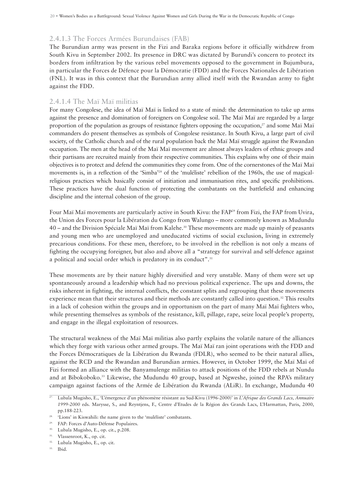#### 2.4.1.3 The Forces Armées Burundaises (FAB)

The Burundian army was present in the Fizi and Baraka regions before it officially withdrew from South Kivu in September 2002. Its presence in DRC was dictated by Burundi's concern to protect its borders from infiltration by the various rebel movements opposed to the government in Bujumbura, in particular the Forces de Défence pour la Démocratie (FDD) and the Forces Nationales de Libération (FNL). It was in this context that the Burundian army allied itself with the Rwandan army to fight against the FDD.

#### 2.4.1.4 The Maï Maï militias

For many Congolese, the idea of Maï Maï is linked to a state of mind: the determination to take up arms against the presence and domination of foreigners on Congolese soil. The Maï Maï are regarded by a large proportion of the population as groups of resistance fighters opposing the occupation,<sup>27</sup> and some Maï Maï commanders do present themselves as symbols of Congolese resistance. In South Kivu, a large part of civil society, of the Catholic church and of the rural population back the Maï Maï struggle against the Rwandan occupation. The men at the head of the Maï Maï movement are almost always leaders of ethnic groups and their partisans are recruited mainly from their respective communities. This explains why one of their main objectives is to protect and defend the communities they come from. One of the cornerstones of the Maï Maï movements is, in a reflection of the 'Simba'28 of the 'muléliste' rebellion of the 1960s, the use of magicalreligious practices which basically consist of initiation and immunisation rites, and specific prohibitions. These practices have the dual function of protecting the combatants on the battlefield and enhancing discipline and the internal cohesion of the group.

Four Maï Maï movements are particularly active in South Kivu: the FAP<sup>29</sup> from Fizi, the FAP from Uvira, the Union des Forces pour la Libération du Congo from Walungo – more commonly known as Mudundu 40 – and the Division Spéciale Maï Maï from Kalehe.30 These movements are made up mainly of peasants and young men who are unemployed and uneducated victims of social exclusion, living in extremely precarious conditions. For these men, therefore, to be involved in the rebellion is not only a means of fighting the occupying foreigner, but also and above all a "strategy for survival and self-defence against a political and social order which is predatory in its conduct".<sup>31</sup>

These movements are by their nature highly diversified and very unstable. Many of them were set up spontaneously around a leadership which had no previous political experience. The ups and downs, the risks inherent in fighting, the internal conflicts, the constant splits and regrouping that these movements experience mean that their structures and their methods are constantly called into question.<sup>32</sup> This results in a lack of cohesion within the groups and in opportunism on the part of many Maï Maï fighters who, while presenting themselves as symbols of the resistance, kill, pillage, rape, seize local people's property, and engage in the illegal exploitation of resources.

The structural weakness of the Maï Maï militias also partly explains the volatile nature of the alliances which they forge with various other armed groups. The Maï Maï ran joint operations with the FDD and the Forces Démocratiques de la Libération du Rwanda (FDLR), who seemed to be their natural allies, against the RCD and the Rwandan and Burundian armies. However, in October 1999, the Maï Maï of Fizi formed an alliance with the Banyamulenge militias to attack positions of the FDD rebels at Nundu and at Bibokoboko.33 Likewise, the Mudundu 40 group, based at Ngweshe, joined the RPA's military campaign against factions of the Armée de Libération du Rwanda (ALiR). In exchange, Mudundu 40

<sup>27.</sup> Lubala Mugisho, E., 'L'émergence d'un phénomène résistant au Sud-Kivu (1996-2000)' in *L'Afrique des Grands Lacs, Annuaire 1999-2000* eds. Marysse, S., and Reyntjens, F., Centre d'Etudes de la Région des Grands Lacs, L'Harmattan, Paris, 2000, pp.188-223.

<sup>28.</sup> 'Lions' in Kiswahili: the name given to the 'muléliste' combatants.

<sup>29.</sup> FAP: Forces d'Auto-Défense Populaires.

Lubala Mugisho, E., op. cit., p.208.

<sup>31.</sup> Vlassenroot, K., op. cit.

<sup>&</sup>lt;sup>32.</sup> Lubala Mugisho, E., op. cit.<br><sup>33.</sup> Ibid

Ibid.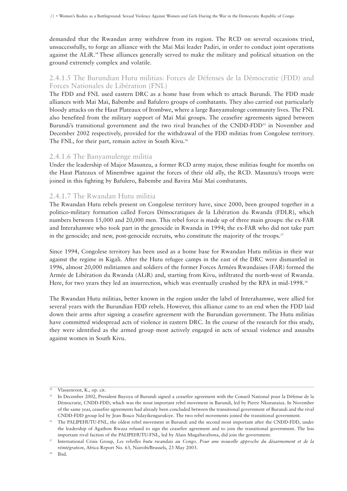demanded that the Rwandan army withdrew from its region. The RCD on several occasions tried, unsuccessfully, to forge an alliance with the Maï Maï leader Padiri, in order to conduct joint operations against the ALiR.34 These alliances generally served to make the military and political situation on the ground extremely complex and volatile.

#### 2.4.1.5 The Burundian Hutu militias: Forces de Défenses de la Démocratie (FDD) and Forces Nationales de Libération (FNL)

The FDD and FNL used eastern DRC as a home base from which to attack Burundi. The FDD made alliances with Maï Maï, Babembe and Bafulero groups of combatants. They also carried out particularly bloody attacks on the Haut Plateaux of Itombwe, where a large Banyamulenge community lives. The FNL also benefited from the military support of Maï Maï groups. The ceasefire agreements signed between Burundi's transitional government and the two rival branches of the CNDD-FDD<sup>35</sup> in November and December 2002 respectively, provided for the withdrawal of the FDD militias from Congolese territory. The FNL, for their part, remain active in South Kivu.<sup>36</sup>

#### 2.4.1.6 The Banyamulenge militia

Under the leadership of Major Masunzu, a former RCD army major, these militias fought for months on the Haut Plateaux of Minembwe against the forces of their old ally, the RCD. Masunzu's troops were joined in this fighting by Bafulero, Babembe and Bavira Maï Maï combatants.

#### 2.4.1.7 The Rwandan Hutu militia

The Rwandan Hutu rebels present on Congolese territory have, since 2000, been grouped together in a politico-military formation called Forces Démocratiques de la Libération du Rwanda (FDLR), which numbers between 15,000 and 20,000 men. This rebel force is made up of three main groups: the ex-FAR and Interahamwe who took part in the genocide in Rwanda in 1994; the ex-FAR who did not take part in the genocide; and new, post-genocide recruits, who constitute the majority of the troops.<sup>37</sup>

Since 1994, Congolese territory has been used as a home base for Rwandan Hutu militias in their war against the regime in Kigali. After the Hutu refugee camps in the east of the DRC were dismantled in 1996, almost 20,000 militiamen and soldiers of the former Forces Armées Rwandaises (FAR) formed the Armée de Libération du Rwanda (ALiR) and, starting from Kivu, infiltrated the north-west of Rwanda. Here, for two years they led an insurrection, which was eventually crushed by the RPA in mid-1998.<sup>38</sup>

The Rwandan Hutu militias, better known in the region under the label of Interahamwe, were allied for several years with the Burundian FDD rebels. However, this alliance came to an end when the FDD laid down their arms after signing a ceasefire agreement with the Burundian government. The Hutu militias have committed widespread acts of violence in eastern DRC. In the course of the research for this study, they were identified as the armed group most actively engaged in acts of sexual violence and assaults against women in South Kivu.

Vlassenroot, K., op. cit.

<sup>35</sup> In December 2002, President Buyoya of Burundi signed a ceasefire agreement with the Conseil National pour la Défense de la Démocratie, CNDD-FDD, which was the most important rebel movement in Burundi, led by Pierre Nkurunziza. In November of the same year, ceasefire agreements had already been concluded between the transitional government of Burundi and the rival CNDD-FDD group led by Jean Bosco Ndayikengurukiye. The two rebel movements joined the transitional government.

<sup>36</sup> The PALIPEHUTU-FNL, the oldest rebel movement in Burundi and the second most important after the CNDD-FDD, under the leadership of Agathon Rwaza refused to sign the ceasefire agreement and to join the transitional government. The less important rival faction of the PALIPEHUTU-FNL, led by Alain Mugabarabona, did join the government.

<sup>37</sup> International Crisis Group, *Les rebelles hutu rwandais au Congo. Pour une nouvelle approche du désarmement et de la réintégration*, Africa Report No. 63, Nairobi/Brussels, 23 May 2003.

<sup>38</sup> Ibid.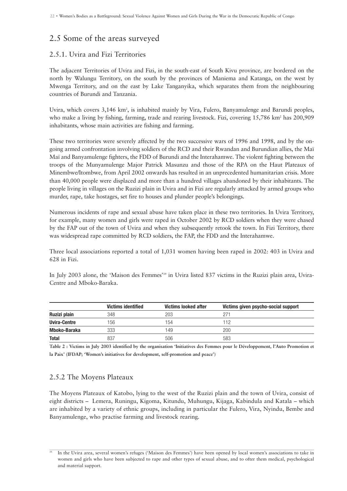## 2.5 Some of the areas surveyed

#### 2.5.1. Uvira and Fizi Territories

The adjacent Territories of Uvira and Fizi, in the south-east of South Kivu province, are bordered on the north by Walungu Territory, on the south by the provinces of Maniema and Katanga, on the west by Mwenga Territory, and on the east by Lake Tanganyika, which separates them from the neighbouring countries of Burundi and Tanzania.

Uvira, which covers 3,146 km<sup>2</sup>, is inhabited mainly by Vira, Fulero, Banyamulenge and Barundi peoples, who make a living by fishing, farming, trade and rearing livestock. Fizi, covering 15,786 km<sup>2</sup> has 200,909 inhabitants, whose main activities are fishing and farming.

These two territories were severely affected by the two successive wars of 1996 and 1998, and by the ongoing armed confrontation involving soldiers of the RCD and their Rwandan and Burundian allies, the Maï Maï and Banyamulenge fighters, the FDD of Burundi and the Interahamwe. The violent fighting between the troops of the Munyamulenge Major Patrick Masunzu and those of the RPA on the Haut Plateaux of Minembwe/Itombwe, from April 2002 onwards has resulted in an unprecedented humanitarian crisis. More than 40,000 people were displaced and more than a hundred villages abandoned by their inhabitants. The people living in villages on the Ruzizi plain in Uvira and in Fizi are regularly attacked by armed groups who murder, rape, take hostages, set fire to houses and plunder people's belongings.

Numerous incidents of rape and sexual abuse have taken place in these two territories. In Uvira Territory, for example, many women and girls were raped in October 2002 by RCD soldiers when they were chased by the FAP out of the town of Uvira and when they subsequently retook the town. In Fizi Territory, there was widespread rape committed by RCD soldiers, the FAP, the FDD and the Interahamwe.

Three local associations reported a total of 1,031 women having been raped in 2002: 403 in Uvira and 628 in Fizi.

In July 2003 alone, the 'Maison des Femmes'39 in Uvira listed 837 victims in the Ruzizi plain area, Uvira-Centre and Mboko-Baraka.

|              | <b>Victims identified</b> | Victims looked after | Victims given psycho-social support |
|--------------|---------------------------|----------------------|-------------------------------------|
| Ruzizi plain | 348                       | 203                  | - 27                                |
| Uvira-Centre | 156                       | 154                  | 112                                 |
| Mboko-Baraka | 333                       | 149                  | 200                                 |
| <b>Total</b> | 837                       | 506                  | 583                                 |

**Table 2 : Victims in July 2003 identified by the organisation 'Initiatives des Femmes pour le Développement, l'Auto Promotion et la Paix' (IFDAP; 'Women's initiatives for development, self-promotion and peace')**

#### 2.5.2 The Moyens Plateaux

The Moyens Plateaux of Katobo, lying to the west of the Ruzizi plain and the town of Uvira, consist of eight districts – Lemera, Runingu, Kigoma, Kitundu, Muhungu, Kijaga, Kabindula and Katala – which are inhabited by a variety of ethnic groups, including in particular the Fulero, Vira, Nyindu, Bembe and Banyamulenge, who practise farming and livestock rearing.

<sup>39.</sup> In the Uvira area, several women's refuges ('Maison des Femmes') have been opened by local women's associations to take in women and girls who have been subjected to rape and other types of sexual abuse, and to ofter them medical, psychological and material support.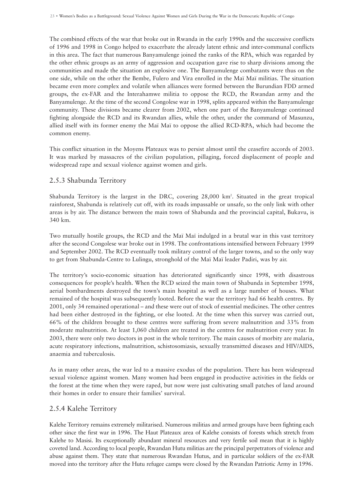The combined effects of the war that broke out in Rwanda in the early 1990s and the successive conflicts of 1996 and 1998 in Congo helped to exacerbate the already latent ethnic and inter-communal conflicts in this area. The fact that numerous Banyamulenge joined the ranks of the RPA, which was regarded by the other ethnic groups as an army of aggression and occupation gave rise to sharp divisions among the communities and made the situation an explosive one. The Banyamulenge combatants were thus on the one side, while on the other the Bembe, Fulero and Vira enrolled in the Maï Maï militias. The situation became even more complex and volatile when alliances were formed between the Burundian FDD armed groups, the ex-FAR and the Interahamwe militia to oppose the RCD, the Rwandan army and the Banyamulenge. At the time of the second Congolese war in 1998, splits appeared within the Banyamulenge community. These divisions became clearer from 2002, when one part of the Banyamulenge continued fighting alongside the RCD and its Rwandan allies, while the other, under the command of Masunzu, allied itself with its former enemy the Maï Maï to oppose the allied RCD-RPA, which had become the common enemy.

This conflict situation in the Moyens Plateaux was to persist almost until the ceasefire accords of 2003. It was marked by massacres of the civilian population, pillaging, forced displacement of people and widespread rape and sexual violence against women and girls.

#### 2.5.3 Shabunda Territory

Shabunda Territory is the largest in the DRC, covering 28,000 km<sup>2</sup>. Situated in the great tropical rainforest, Shabunda is relatively cut off, with its roads impassable or unsafe, so the only link with other areas is by air. The distance between the main town of Shabunda and the provincial capital, Bukavu, is 340 km.

Two mutually hostile groups, the RCD and the Maï Maï indulged in a brutal war in this vast territory after the second Congolese war broke out in 1998. The confrontations intensified between February 1999 and September 2002. The RCD eventually took military control of the larger towns, and so the only way to get from Shabunda-Centre to Lulingu, stronghold of the Maï Maï leader Padiri, was by air.

The territory's socio-economic situation has deteriorated significantly since 1998, with disastrous consequences for people's health. When the RCD seized the main town of Shabunda in September 1998, aerial bombardments destroyed the town's main hospital as well as a large number of houses. What remained of the hospital was subsequently looted. Before the war the territory had 66 health centres. By 2001, only 34 remained operational – and these were out of stock of essential medicines. The other centres had been either destroyed in the fighting, or else looted. At the time when this survey was carried out, 66% of the children brought to these centres were suffering from severe malnutrition and 33% from moderate malnutrition. At least 1,060 children are treated in the centres for malnutrition every year. In 2003, there were only two doctors in post in the whole territory. The main causes of morbity are malaria, acute respiratory infections, malnutrition, schistosomiasis, sexually transmitted diseases and HIV/AIDS, anaemia and tuberculosis.

As in many other areas, the war led to a massive exodus of the population. There has been widespread sexual violence against women. Many women had been engaged in productive activities in the fields or the forest at the time when they were raped, but now were just cultivating small patches of land around their homes in order to ensure their families' survival.

#### 2.5.4 Kalehe Territory

Kalehe Territory remains extremely militarised. Numerous militias and armed groups have been fighting each other since the first war in 1996. The Haut Plateaux area of Kalehe consists of forests which stretch from Kalehe to Masisi. Its exceptionally abundant mineral resources and very fertile soil mean that it is highly coveted land. According to local people, Rwandan Hutu militias are the principal perpetrators of violence and abuse against them. They state that numerous Rwandan Hutus, and in particular soldiers of the ex-FAR moved into the territory after the Hutu refugee camps were closed by the Rwandan Patriotic Army in 1996.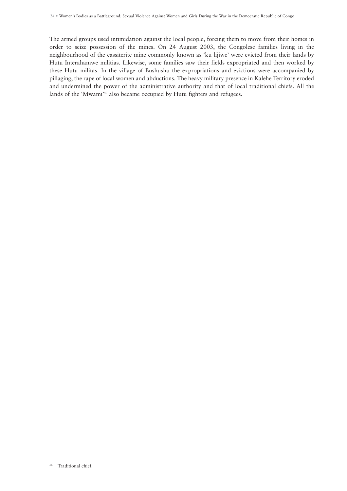The armed groups used intimidation against the local people, forcing them to move from their homes in order to seize possession of the mines. On 24 August 2003, the Congolese families living in the neighbourhood of the cassiterite mine commonly known as 'ku lijiwe' were evicted from their lands by Hutu Interahamwe militias. Likewise, some families saw their fields expropriated and then worked by these Hutu militas. In the village of Bushushu the expropriations and evictions were accompanied by pillaging, the rape of local women and abductions. The heavy military presence in Kalehe Territory eroded and undermined the power of the administrative authority and that of local traditional chiefs. All the lands of the 'Mwami'<sup>40</sup> also became occupied by Hutu fighters and refugees.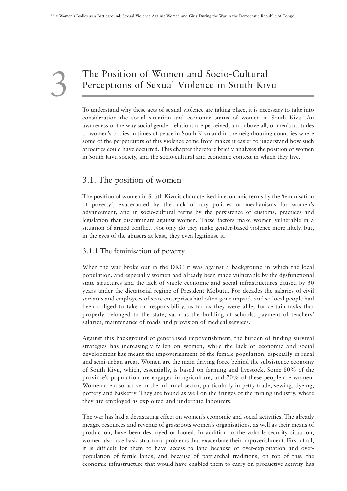3

## The Position of Women and Socio-Cultural Perceptions of Sexual Violence in South Kivu

To understand why these acts of sexual violence are taking place, it is necessary to take into consideration the social situation and economic status of women in South Kivu. An awareness of the way social gender relations are perceived, and, above all, of men's attitudes to women's bodies in times of peace in South Kivu and in the neighbouring countries where some of the perpetrators of this violence come from makes it easier to understand how such atrocities could have occurred. This chapter therefore briefly analyses the position of women in South Kivu society, and the socio-cultural and economic context in which they live.

#### 3.1. The position of women

The position of women in South Kivu is characterised in economic terms by the 'feminisation of poverty', exacerbated by the lack of any policies or mechanisms for women's advancement, and in socio-cultural terms by the persistence of customs, practices and legislation that discriminate against women. These factors make women vulnerable in a situation of armed conflict. Not only do they make gender-based violence more likely, but, in the eyes of the abusers at least, they even legitimise it.

#### 3.1.1 The feminisation of poverty

When the war broke out in the DRC it was against a background in which the local population, and especially women had already been made vulnerable by the dysfunctional state structures and the lack of viable economic and social infrastructures caused by 30 years under the dictatorial regime of President Mobutu. For decades the salaries of civil servants and employees of state enterprises had often gone unpaid, and so local people had been obliged to take on responsibility, as far as they were able, for certain tasks that properly belonged to the state, such as the building of schools, payment of teachers' salaries, maintenance of roads and provision of medical services.

Against this background of generalised impoverishment, the burden of finding survival strategies has increasingly fallen on women, while the lack of economic and social development has meant the impoverishment of the female population, especially in rural and semi-urban areas. Women are the main driving force behind the subsistence economy of South Kivu, which, essentially, is based on farming and livestock. Some 80% of the province's population are engaged in agriculture, and 70% of these people are women. Women are also active in the informal sector, particularly in petty trade, sewing, dyeing, pottery and basketry. They are found as well on the fringes of the mining industry, where they are employed as exploited and underpaid labourers.

The war has had a devastating effect on women's economic and social activities. The already meagre resources and revenue of grassroots women's organisations, as well as their means of production, have been destroyed or looted. In addition to the volatile security situation, women also face basic structural problems that exacerbate their impoverishment. First of all, it is difficult for them to have access to land because of over-exploitation and overpopulation of fertile lands, and because of patriarchal traditions; on top of this, the economic infrastructure that would have enabled them to carry on productive activity has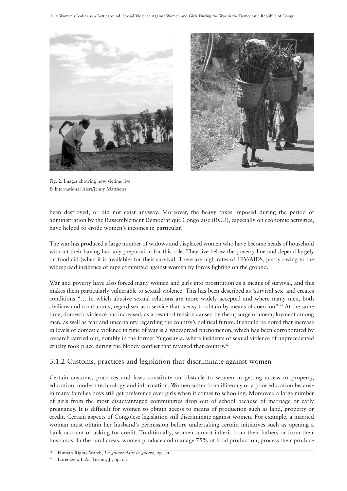



Fig. 2: Images showing how victims live © International Alert/Jenny Matthews

been destroyed, or did not exist anyway. Moreover, the heavy taxes imposed during the period of administration by the Rassemblement Démocratique Congolaise (RCD), especially on economic activities, have helped to erode women's incomes in particular.

The war has produced a large number of widows and displaced women who have become heads of household without their having had any preparation for this role. They live below the poverty line and depend largely on food aid (when it is available) for their survival. There are high rates of HIV/AIDS, partly owing to the widespread incidence of rape committed against women by forces fighting on the ground.

War and poverty have also forced many women and girls into prostitution as a means of survival, and this makes them particularly vulnerable to sexual violence. This has been described as 'survival sex' and creates conditions "… in which abusive sexual relations are more widely accepted and where many men, both civilians and combatants, regard sex as a service that is easy to obtain by means of coercion".<sup>41</sup> At the same time, domestic violence has increased, as a result of tension caused by the upsurge of unemployment among men, as well as fear and uncertainty regarding the country's political future. It should be noted that increase in levels of domestic violence in time of war is a widespread phenomenon, which has been corroborated by research carried out, notably in the former Yugoslavia, where incidents of sexual violence of unprecedented cruelty took place during the bloody conflict that ravaged that country.42

#### 3.1.2 Customs, practices and legislation that discriminate against women

Certain customs, practices and laws constitute an obstacle to women in getting access to property, education, modern technology and information. Women suffer from illiteracy or a poor education because in many families boys still get preference over girls when it comes to schooling. Moreover, a large number of girls from the most disadvantaged communities drop out of school because of marriage or early pregnancy. It is difficult for women to obtain access to means of production such as land, property or credit. Certain aspects of Congolese legislation still discriminate against women. For example, a married woman must obtain her husband's permission before undertaking certain initiatives such as opening a bank account or asking for credit. Traditionally, women cannot inherit from their fathers or from their husbands. In the rural areas, women produce and manage 75% of food production, process their produce

<sup>41.</sup> Human Rights Watch, *La guerre dans la guerre,* op. cit.

Lorentzen, L.A., Turpin, J., op. cit.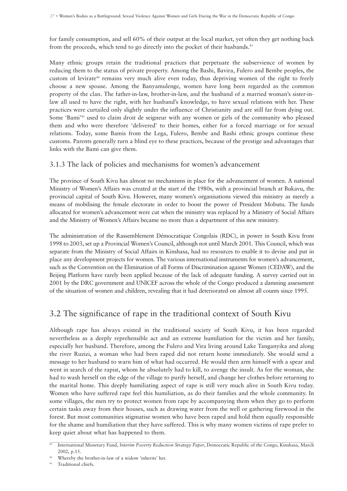for family consumption, and sell 60% of their output at the local market, yet often they get nothing back from the proceeds, which tend to go directly into the pocket of their husbands.<sup>43</sup>

Many ethnic groups retain the traditional practices that perpetuate the subservience of women by reducing them to the status of private property. Among the Bashi, Bavira, Fulero and Bembe peoples, the custom of levirate<sup>44</sup> remains very much alive even today, thus depriving women of the right to freely choose a new spouse. Among the Banyamulenge, women have long been regarded as the common property of the clan. The father-in-law, brother-in-law, and the husband of a married woman's sister-inlaw all used to have the right, with her husband's knowledge, to have sexual relations with her. These practices were curtailed only slightly under the influence of Christianity and are still far from dying out. Some 'Bami'45 used to claim droit de seigneur with any women or girls of the community who pleased them and who were therefore 'delivered' to their homes, either for a forced marriage or for sexual relations. Today, some Bamis from the Lega, Fulero, Bembe and Bashi ethnic groups continue these customs. Parents generally turn a blind eye to these practices, because of the prestige and advantages that links with the Bami can give them.

#### 3.1.3 The lack of policies and mechanisms for women's advancement

The province of South Kivu has almost no mechanisms in place for the advancement of women. A national Ministry of Women's Affairs was created at the start of the 1980s, with a provincial branch at Bukavu, the provincial capital of South Kivu. However, many women's organisations viewed this ministry as merely a means of mobilising the female electorate in order to boost the power of President Mobutu. The funds allocated for women's advancement were cut when the ministry was replaced by a Ministry of Social Affairs and the Ministry of Women's Affairs became no more than a department of this new ministry.

The administration of the Rassemblement Démocratique Congolais (RDC), in power in South Kivu from 1998 to 2003, set up a Provincial Women's Council, although not until March 2001. This Council, which was separate from the Ministry of Social Affairs in Kinshasa, had no resources to enable it to devise and put in place any development projects for women. The various international instruments for women's advancement, such as the Convention on the Elimination of all Forms of Discrimination against Women (CEDAW), and the Beijing Platform have rarely been applied because of the lack of adequate funding. A survey carried out in 2001 by the DRC government and UNICEF across the whole of the Congo produced a damning assessment of the situation of women and children, revealing that it had deteriorated on almost all counts since 1995.

## 3.2 The significance of rape in the traditional context of South Kivu

Although rape has always existed in the traditional society of South Kivu, it has been regarded nevertheless as a deeply reprehensible act and an extreme humiliation for the victim and her family, especially her husband. Therefore, among the Fulero and Vira living around Lake Tanganyika and along the river Ruzizi, a woman who had been raped did not return home immediately. She would send a message to her husband to warn him of what had occurred. He would then arm himself with a spear and went in search of the rapist, whom he absolutely had to kill, to avenge the insult. As for the woman, she had to wash herself on the edge of the village to purify herself, and change her clothes before returning to the marital home. This deeply humiliating aspect of rape is still very much alive in South Kivu today. Women who have suffered rape feel this humiliation, as do their families and the whole community. In some villages, the men try to protect women from rape by accompanying them when they go to perform certain tasks away from their houses, such as drawing water from the well or gathering firewood in the forest. But most communities stigmatise women who have been raped and hold them equally responsible for the shame and humiliation that they have suffered. This is why many women victims of rape prefer to keep quiet about what has happened to them.

<sup>43.</sup> International Monetary Fund, *Interim Poverty Reduction Strategy Paper*, Democratic Republic of the Congo, Kinshasa, March 2002, p.15.

Whereby the brother-in-law of a widow 'inherits' her.

<sup>45.</sup> Traditional chiefs.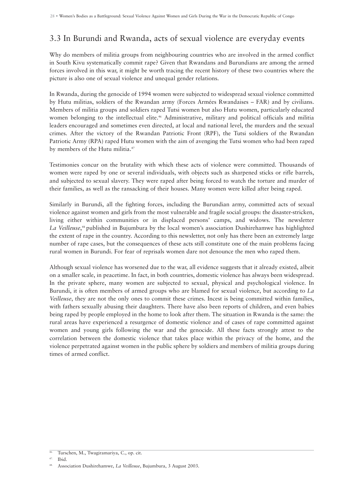## 3.3 In Burundi and Rwanda, acts of sexual violence are everyday events

Why do members of militia groups from neighbouring countries who are involved in the armed conflict in South Kivu systematically commit rape? Given that Rwandans and Burundians are among the armed forces involved in this war, it might be worth tracing the recent history of these two countries where the picture is also one of sexual violence and unequal gender relations.

In Rwanda, during the genocide of 1994 women were subjected to widespread sexual violence committed by Hutu militias, soldiers of the Rwandan army (Forces Armées Rwandaises – FAR) and by civilians. Members of militia groups and soldiers raped Tutsi women but also Hutu women, particularly educated women belonging to the intellectual elite.<sup>46</sup> Administrative, military and political officials and militia leaders encouraged and sometimes even directed, at local and national level, the murders and the sexual crimes. After the victory of the Rwandan Patriotic Front (RPF), the Tutsi soldiers of the Rwandan Patriotic Army (RPA) raped Hutu women with the aim of avenging the Tutsi women who had been raped by members of the Hutu militia.<sup>47</sup>

Testimonies concur on the brutality with which these acts of violence were committed. Thousands of women were raped by one or several individuals, with objects such as sharpened sticks or rifle barrels, and subjected to sexual slavery. They were raped after being forced to watch the torture and murder of their families, as well as the ransacking of their houses. Many women were killed after being raped.

Similarly in Burundi, all the fighting forces, including the Burundian army, committed acts of sexual violence against women and girls from the most vulnerable and fragile social groups: the disaster-stricken, living either within communities or in displaced persons' camps, and widows. The newsletter La Veilleuse,<sup>48</sup> published in Bujumbura by the local women's association Dushirehamwe has highlighted the extent of rape in the country. According to this newsletter, not only has there been an extremely large number of rape cases, but the consequences of these acts still constitute one of the main problems facing rural women in Burundi. For fear of reprisals women dare not denounce the men who raped them.

Although sexual violence has worsened due to the war, all evidence suggests that it already existed, albeit on a smaller scale, in peacetime. In fact, in both countries, domestic violence has always been widespread. In the private sphere, many women are subjected to sexual, physical and psychological violence. In Burundi, it is often members of armed groups who are blamed for sexual violence, but according to *La Veilleuse*, they are not the only ones to commit these crimes. Incest is being committed within families, with fathers sexually abusing their daughters. There have also been reports of children, and even babies being raped by people employed in the home to look after them. The situation in Rwanda is the same: the rural areas have experienced a resurgence of domestic violence and of cases of rape committed against women and young girls following the war and the genocide. All these facts strongly attest to the correlation between the domestic violence that takes place within the privacy of the home, and the violence perpetrated against women in the public sphere by soldiers and members of militia groups during times of armed conflict.

<sup>46.</sup> Turschen, M., Twagiramariya, C., op. cit.

<sup>47.</sup> Ibid.

<sup>48.</sup> Association Dushirehamwe, *La Veilleuse*, Bujumbura, 3 August 2003.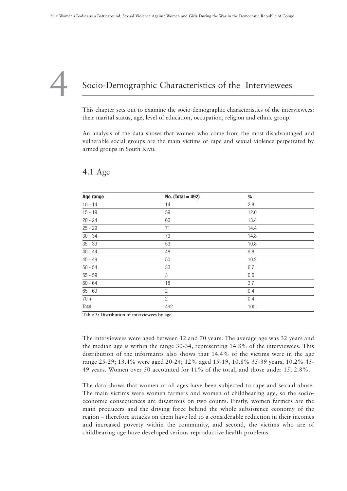## Socio-Demographic Characteristics of the Interviewees 4

This chapter sets out to examine the socio-demographic characteristics of the interviewees: their marital status, age, level of education, occupation, religion and ethnic group.

An analysis of the data shows that women who come from the most disadvantaged and vulnerable social groups are the main victims of rape and sexual violence perpetrated by armed groups in South Kivu.

| Age range | No. (Total = $492$ ) | $\%$ |
|-----------|----------------------|------|
| $10 - 14$ | 14                   | 2.8  |
| $15 - 19$ | 59                   | 12.0 |
| $20 - 24$ | 66                   | 13.4 |
| $25 - 29$ | 71                   | 14.4 |
| $30 - 34$ | 73                   | 14.8 |
| $35 - 39$ | 53                   | 10.8 |
| $40 - 44$ | 48                   | 9.8  |
| $45 - 49$ | 50                   | 10.2 |
| $50 - 54$ | 33                   | 6.7  |
| $55 - 59$ | 3                    | 0.6  |
| $60 - 64$ | 18                   | 3.7  |
| $65 - 69$ | $\overline{2}$       | 0.4  |
| $70 +$    | $\overline{2}$       | 0.4  |
| Total     | 492                  | 100  |

#### 4.1 Age

**Table 3: Distribution of interviewees by age.**

The interviewees were aged between 12 and 70 years. The average age was 32 years and the median age is within the range 30-34, representing 14.8% of the interviewees. This distribution of the informants also shows that 14.4% of the victims were in the age range 25-29; 13.4% were aged 20-24; 12% aged 15-19, 10.8% 35-39 years, 10.2% 45- 49 years. Women over 50 accounted for 11% of the total, and those under 15, 2.8%.

The data shows that women of all ages have been subjected to rape and sexual abuse. The main victims were women farmers and women of childbearing age, so the socioeconomic consequences are disastrous on two counts. Firstly, women farmers are the main producers and the driving force behind the whole subsistence economy of the region – therefore attacks on them have led to a considerable reduction in their incomes and increased poverty within the community, and second, the victims who are of childbearing age have developed serious reproductive health problems.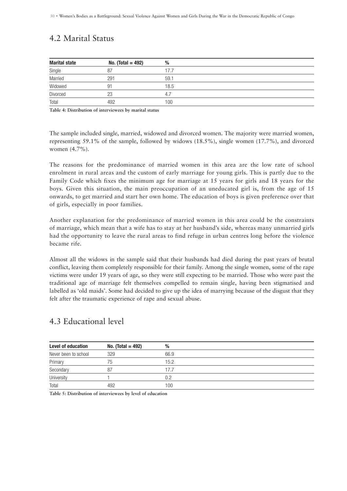## 4.2 Marital Status

| <b>Marital state</b> | No. (Total = $492$ ) | %    |
|----------------------|----------------------|------|
| Single               | 87                   | 17.7 |
| Married              | 291                  | 59.1 |
| Widowed              | 91                   | 18.5 |
| ___<br>Divorced      | 23                   | 4.7  |
| Total                | 492                  | 100  |

**Table 4: Distribution of interviewees by marital status**

The sample included single, married, widowed and divorced women. The majority were married women, representing 59.1% of the sample, followed by widows (18.5%), single women (17.7%), and divorced women (4.7%).

The reasons for the predominance of married women in this area are the low rate of school enrolment in rural areas and the custom of early marriage for young girls. This is partly due to the Family Code which fixes the minimum age for marriage at 15 years for girls and 18 years for the boys. Given this situation, the main preoccupation of an uneducated girl is, from the age of 15 onwards, to get married and start her own home. The education of boys is given preference over that of girls, especially in poor families.

Another explanation for the predominance of married women in this area could be the constraints of marriage, which mean that a wife has to stay at her husband's side, whereas many unmarried girls had the opportunity to leave the rural areas to find refuge in urban centres long before the violence became rife.

Almost all the widows in the sample said that their husbands had died during the past years of brutal conflict, leaving them completely responsible for their family. Among the single women, some of the rape victims were under 19 years of age, so they were still expecting to be married. Those who were past the traditional age of marriage felt themselves compelled to remain single, having been stigmatised and labelled as 'old maids'. Some had decided to give up the idea of marrying because of the disgust that they felt after the traumatic experience of rape and sexual abuse.

| No. (Total = $492$ ) | %    |  |
|----------------------|------|--|
| 329                  | 66.9 |  |
| 75                   | 15.2 |  |
| 87                   | 17.7 |  |
|                      | 0.2  |  |
| 492                  | 100  |  |
|                      |      |  |

#### 4.3 Educational level

**Table 5: Distribution of interviewees by level of education**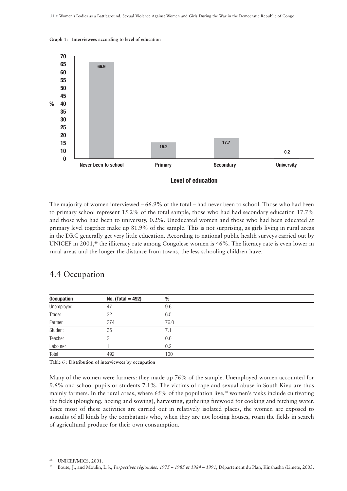

**Graph 1: Interviewees according to level of education**

The majority of women interviewed – 66.9% of the total – had never been to school. Those who had been to primary school represent 15.2% of the total sample, those who had had secondary education 17.7% and those who had been to university, 0.2%. Uneducated women and those who had been educated at primary level together make up 81.9% of the sample. This is not surprising, as girls living in rural areas in the DRC generally get very little education. According to national public health surveys carried out by UNICEF in  $2001$ ,<sup>49</sup> the illiteracy rate among Congolese women is  $46\%$ . The literacy rate is even lower in rural areas and the longer the distance from towns, the less schooling children have.

| 4.4 Occupation |  |
|----------------|--|
|                |  |
|                |  |

| <b>Occupation</b> | No. (Total = $492$ ) | %    |  |
|-------------------|----------------------|------|--|
| Unemployed        | 47                   | 9.6  |  |
| Trader            | 32                   | 6.5  |  |
| Farmer            | 374                  | 76.0 |  |
| Student           | 35                   | 7.1  |  |
| Teacher           | ◠                    | 0.6  |  |
| Labourer          |                      | 0.2  |  |
| Total             | 492                  | 100  |  |

**Table 6 : Distribution of interviewees by occupation**

Many of the women were farmers: they made up 76% of the sample. Unemployed women accounted for 9.6% and school pupils or students 7.1%. The victims of rape and sexual abuse in South Kivu are thus mainly farmers. In the rural areas, where  $65\%$  of the population live,<sup>50</sup> women's tasks include cultivating the fields (ploughing, hoeing and sowing), harvesting, gathering firewood for cooking and fetching water. Since most of these activities are carried out in relatively isolated places, the women are exposed to assaults of all kinds by the combatants who, when they are not looting houses, roam the fields in search of agricultural produce for their own consumption.

<sup>50.</sup> Boute, J., and Moulin, L.S., *Perpectives régionales, 1975 – 1985 et 1984 – 1991*, Département du Plan, Kinshasha /Limete, 2003.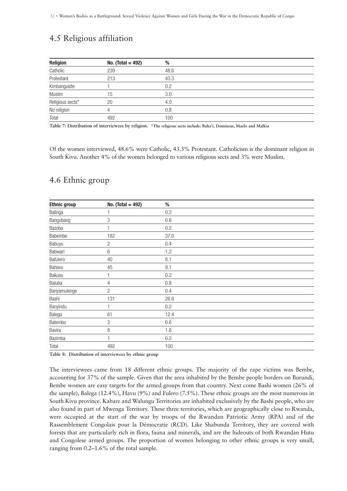## 4.5 Religious affiliation

| Religion         | No. (Total = $492$ ) | %    |
|------------------|----------------------|------|
| Catholic         | 239                  | 48.6 |
| Protestant       | 213                  | 43.3 |
| Kimbanguiste     |                      | 0.2  |
| Muslim           | 15                   | 3.0  |
| Religious sects* | 20                   | 4.0  |
| No religion      | 4                    | 0.8  |
| Total            | 492                  | 100  |

**Table 7: Distribution of interviewees by religion. \*The religious sects include: Baha'i, Domineur, Maelo and Malkia**

Of the women interviewed, 48.6% were Catholic, 43.3% Protestant. Catholicism is the dominant religion in South Kivu. Another 4% of the women belonged to various religious sects and 3% were Muslim.

| <b>Ethnic group</b> | No. (Total = 492) | $\%$ |
|---------------------|-------------------|------|
| Balinga             |                   | 0.2  |
| Bangubang           | 3                 | 0.6  |
| Bazoba              | 1                 | 0.2  |
| Babembe             | 182               | 37.0 |
| Babuyu              | $\overline{2}$    | 0.4  |
| Babwari             | $6\,$             | 1.2  |
| Bafulero            | 40                | 8.1  |
| Bahavu              | 45                | 9.1  |
| Bakusu              |                   | 0.2  |
| Baluba              | 4                 | 0.8  |
| Banyamulenge        | $\overline{c}$    | 0.4  |
| Bashi               | 131               | 26.6 |
| Banyindu            |                   | 0.2  |
| Balega              | 61                | 12.4 |
| Batembo             | 3                 | 0.6  |
| Bavira              | 8                 | 1.6  |
| Bazimba             | 1                 | 0.2  |
| Total               | 492               | 100  |
|                     |                   |      |

#### 4.6 Ethnic group

**Table 8: Distribution of interviewees by ethnic group** 

The interviewees came from 18 different ethnic groups. The majority of the rape victims was Bembe, accounting for 37% of the sample. Given that the area inhabited by the Bembe people borders on Burundi, Bembe women are easy targets for the armed groups from that country. Next come Bashi women (26% of the sample), Balega (12.4%), Havu (9%) and Fulero (7.5%). These ethnic groups are the most numerous in South Kivu province. Kabare and Walungu Territories are inhabited exclusively by the Bashi people, who are also found in part of Mwenga Territory. These three territories, which are geographically close to Rwanda, were occupied at the start of the war by troops of the Rwandan Patriotic Army (RPA) and of the Rassemblement Congolais pour la Démocratie (RCD). Like Shabunda Territory, they are covered with forests that are particularly rich in flora, fauna and minerals, and are the hideouts of both Rwandan Hutu and Congolese armed groups. The proportion of women belonging to other ethnic groups is very small, ranging from 0.2–1.6% of the total sample.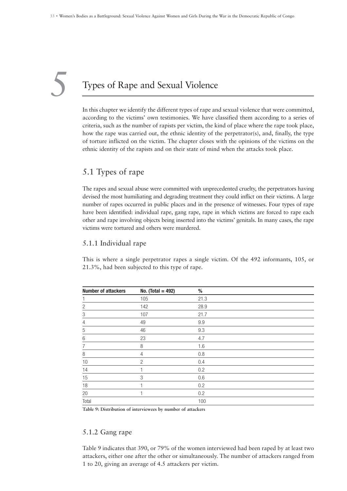## Types of Rape and Sexual Violence 5

In this chapter we identify the different types of rape and sexual violence that were committed, according to the victims' own testimonies. We have classified them according to a series of criteria, such as the number of rapists per victim, the kind of place where the rape took place, how the rape was carried out, the ethnic identity of the perpetrator(s), and, finally, the type of torture inflicted on the victim. The chapter closes with the opinions of the victims on the ethnic identity of the rapists and on their state of mind when the attacks took place.

#### 5.1 Types of rape

The rapes and sexual abuse were committed with unprecedented cruelty, the perpetrators having devised the most humiliating and degrading treatment they could inflict on their victims. A large number of rapes occurred in public places and in the presence of witnesses. Four types of rape have been identified: individual rape, gang rape, rape in which victims are forced to rape each other and rape involving objects being inserted into the victims' genitals. In many cases, the rape victims were tortured and others were murdered.

#### 5.1.1 Individual rape

This is where a single perpetrator rapes a single victim. Of the 492 informants, 105, or 21.3%, had been subjected to this type of rape.

| <b>Number of attackers</b> | No. (Total = 492) | $\%$ |
|----------------------------|-------------------|------|
|                            | 105               | 21.3 |
| 2                          | 142               | 28.9 |
| 3                          | 107               | 21.7 |
| 4                          | 49                | 9.9  |
| $\mathbf 5$                | 46                | 9.3  |
| 6                          | 23                | 4.7  |
| 7                          | 8                 | 1.6  |
| 8                          | 4                 | 0.8  |
| 10                         | $\overline{2}$    | 0.4  |
| 14                         |                   | 0.2  |
| 15                         | 3                 | 0.6  |
| 18                         |                   | 0.2  |
| 20                         |                   | 0.2  |
| Total                      |                   | 100  |

**Table 9: Distribution of interviewees by number of attackers** 

#### 5.1.2 Gang rape

Table 9 indicates that 390, or 79% of the women interviewed had been raped by at least two attackers, either one after the other or simultaneously. The number of attackers ranged from 1 to 20, giving an average of 4.5 attackers per victim.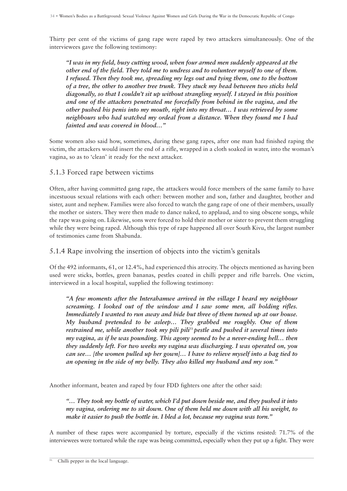Thirty per cent of the victims of gang rape were raped by two attackers simultaneously. One of the interviewees gave the following testimony:

*"I was in my field, busy cutting wood, when four armed men suddenly appeared at the other end of the field. They told me to undress and to volunteer myself to one of them. I refused. Then they took me, spreading my legs out and tying them, one to the bottom of a tree, the other to another tree trunk. They stuck my head between two sticks held diagonally, so that I couldn't sit up without strangling myself. I stayed in this position and one of the attackers penetrated me forcefully from behind in the vagina, and the other pushed his penis into my mouth, right into my throat… I was retrieved by some neighbours who had watched my ordeal from a distance. When they found me I had fainted and was covered in blood…"* 

Some women also said how, sometimes, during these gang rapes, after one man had finished raping the victim, the attackers would insert the end of a rifle, wrapped in a cloth soaked in water, into the woman's vagina, so as to 'clean' it ready for the next attacker.

5.1.3 Forced rape between victims

Often, after having committed gang rape, the attackers would force members of the same family to have incestuous sexual relations with each other: between mother and son, father and daughter, brother and sister, aunt and nephew. Families were also forced to watch the gang rape of one of their members, usually the mother or sisters. They were then made to dance naked, to applaud, and to sing obscene songs, while the rape was going on. Likewise, sons were forced to hold their mother or sister to prevent them struggling while they were being raped. Although this type of rape happened all over South Kivu, the largest number of testimonies came from Shabunda.

#### 5.1.4 Rape involving the insertion of objects into the victim's genitals

Of the 492 informants, 61, or 12.4%, had experienced this atrocity. The objects mentioned as having been used were sticks, bottles, green bananas, pestles coated in chilli pepper and rifle barrels. One victim, interviewed in a local hospital, supplied the following testimony:

*"A few moments after the Interahamwe arrived in the village I heard my neighbour screaming. I looked out of the window and I saw some men, all holding rifles. Immediately I wanted to run away and hide but three of them turned up at our house. My husband pretended to be asleep… They grabbed me roughly. One of them restrained me, while another took my pili pili51 pestle and pushed it several times into my vagina, as if he was pounding. This agony seemed to be a never-ending hell… then they suddenly left. For two weeks my vagina was discharging. I was operated on, you can see… [the women pulled up her gown]… I have to relieve myself into a bag tied to an opening in the side of my belly. They also killed my husband and my son."*

Another informant, beaten and raped by four FDD fighters one after the other said:

*"… They took my bottle of water, which I'd put down beside me, and they pushed it into my vagina, ordering me to sit down. One of them held me down with all his weight, to make it easier to push the bottle in. I bled a lot, because my vagina was torn."*

A number of these rapes were accompanied by torture, especially if the victims resisted: 71.7% of the interviewees were tortured while the rape was being committed, especially when they put up a fight. They were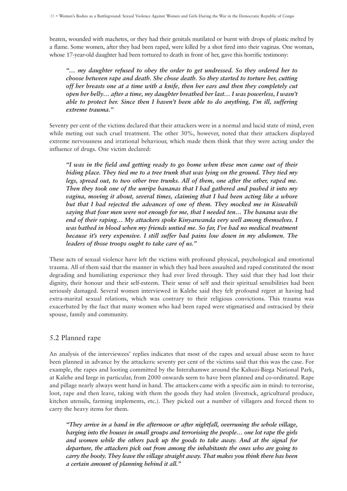beaten, wounded with machetes, or they had their genitals mutilated or burnt with drops of plastic melted by a flame. Some women, after they had been raped, were killed by a shot fired into their vaginas. One woman, whose 17-year-old daughter had been tortured to death in front of her, gave this horrific testimony:

*"… my daughter refused to obey the order to get undressed. So they ordered her to choose between rape and death. She chose death. So they started to torture her, cutting off her breasts one at a time with a knife, then her ears and then they completely cut open her belly… after a time, my daughter breathed her last… I was powerless, I wasn't able to protect her. Since then I haven't been able to do anything, I'm ill, suffering extreme trauma."*

Seventy per cent of the victims declared that their attackers were in a normal and lucid state of mind, even while meting out such cruel treatment. The other 30%, however, noted that their attackers displayed extreme nervousness and irrational behaviour, which made them think that they were acting under the influence of drugs. One victim declared:

*"I was in the field and getting ready to go home when these men came out of their hiding place. They tied me to a tree trunk that was lying on the ground. They tied my legs, spread out, to two other tree trunks. All of them, one after the other, raped me. Then they took one of the unripe bananas that I had gathered and pushed it into my vagina, moving it about, several times, claiming that I had been acting like a whore but that I had rejected the advances of one of them. They mocked me in Kiswahili saying that four men were not enough for me, that I needed ten… The banana was the end of their raping… My attackers spoke Kinyarwanda very well among themselves. I was bathed in blood when my friends untied me. So far, I've had no medical treatment because it's very expensive. I still suffer bad pains low down in my abdomen. The leaders of those troops ought to take care of us."*

These acts of sexual violence have left the victims with profound physical, psychological and emotional trauma. All of them said that the manner in which they had been assaulted and raped constituted the most degrading and humiliating experience they had ever lived through. They said that they had lost their dignity, their honour and their self-esteem. Their sense of self and their spiritual sensibilities had been seriously damaged. Several women interviewed in Kalehe said they felt profound regret at having had extra-marital sexual relations, which was contrary to their religious convictions. This trauma was exacerbated by the fact that many women who had been raped were stigmatised and ostracised by their spouse, family and community.

#### 5.2 Planned rape

An analysis of the interviewees' replies indicates that most of the rapes and sexual abuse seem to have been planned in advance by the attackers: seventy per cent of the victims said that this was the case. For example, the rapes and looting committed by the Interahamwe around the Kahuzi-Biega National Park, at Kalehe and Izege in particular, from 2000 onwards seem to have been planned and co-ordinated. Rape and pillage nearly always went hand in hand. The attackers came with a specific aim in mind: to terrorise, loot, rape and then leave, taking with them the goods they had stolen (livestock, agricultural produce, kitchen utensils, farming implements, etc.). They picked out a number of villagers and forced them to carry the heavy items for them.

*"They arrive in a band in the afternoon or after nightfall, overruning the whole village, barging into the houses in small groups and terrorising the people… one lot rape the girls and women while the others pack up the goods to take away. And at the signal for departure, the attackers pick out from among the inhabitants the ones who are going to carry the booty. They leave the village straight away. That makes you think there has been a certain amount of planning behind it all."*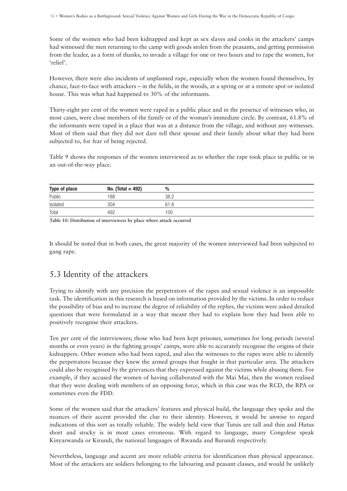Some of the women who had been kidnapped and kept as sex slaves and cooks in the attackers' camps had witnessed the men returning to the camp with goods stolen from the peasants, and getting permission from the leader, as a form of thanks, to invade a village for one or two hours and to rape the women, for 'relief'.

However, there were also incidents of unplanned rape, especially when the women found themselves, by chance, face-to-face with attackers – in the fields, in the woods, at a spring or at a remote spot or isolated house. This was what had happened to 30% of the informants.

Thirty-eight per cent of the women were raped in a public place and in the presence of witnesses who, in most cases, were close members of the family or of the woman's immediate circle. By contrast, 61.8% of the informants were raped in a place that was at a distance from the village, and without any witnesses. Most of them said that they did not dare tell their spouse and their family about what they had been subjected to, for fear of being rejected.

Table 9 shows the responses of the women interviewed as to whether the rape took place in public or in an out-of-the-way place.

| Type of place | No. (Total = $492$ ) | %    |  |
|---------------|----------------------|------|--|
| Public        | 188                  | 38.2 |  |
| Isolated      | 304                  | 61.8 |  |
| Total         | 492                  | 100  |  |

**Table 10: Distribution of interviewees by place where attack occurred**

It should be noted that in both cases, the great majority of the women interviewed had been subjected to gang rape.

# 5.3 Identity of the attackers

Trying to identify with any precision the perpetrators of the rapes and sexual violence is an impossible task. The identification in this research is based on information provided by the victims. In order to reduce the possibility of bias and to increase the degree of reliability of the replies, the victims were asked detailed questions that were formulated in a way that meant they had to explain how they had been able to positively recognise their attackers.

Ten per cent of the interviewees; those who had been kept prisoner, sometimes for long periods (several months or even years) in the fighting groups' camps, were able to accurately recognise the origins of their kidnappers. Other women who had been raped, and also the witnesses to the rapes were able to identify the perpetrators because they knew the armed groups that fought in that particular area. The attackers could also be recognised by the grievances that they expressed against the victims while abusing them. For example, if they accused the women of having collaborated with the Maï Maï, then the women realised that they were dealing with members of an opposing force, which in this case was the RCD, the RPA or sometimes even the FDD.

Some of the women said that the attackers' features and physical build, the language they spoke and the nuances of their accent provided the clue to their identity. However, it would be unwise to regard indications of this sort as totally reliable. The widely held view that Tutsis are tall and thin and Hutus short and stocky is in most cases erroneous. With regard to language, many Congolese speak Kinyarwanda or Kirundi, the national languages of Rwanda and Burundi respectively.

Nevertheless, language and accent are more reliable criteria for identification than physical appearance. Most of the attackers are soldiers belonging to the labouring and peasant classes, and would be unlikely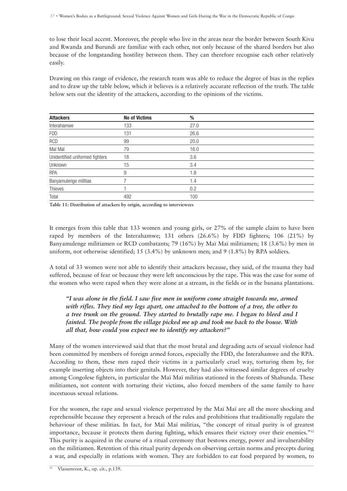to lose their local accent. Moreover, the people who live in the areas near the border between South Kivu and Rwanda and Burundi are familiar with each other, not only because of the shared borders but also because of the longstanding hostility between them. They can therefore recognise each other relatively easily.

Drawing on this range of evidence, the research team was able to reduce the degree of bias in the replies and to draw up the table below, which it believes is a relatively accurate reflection of the truth. The table below sets out the identity of the attackers, according to the opinions of the victims.

| <b>Attackers</b>                | <b>No of Victims</b> | %    |
|---------------------------------|----------------------|------|
| Interahamwe                     | 133                  | 27.0 |
| <b>FDD</b>                      | 131                  | 26.6 |
| <b>RCD</b>                      | 99                   | 20.0 |
| Maï Maï                         | 79                   | 16.0 |
| Unidentified uniformed fighters | 18                   | 3.6  |
| Unknown                         | 15                   | 3.4  |
| <b>RPA</b>                      | 9                    | 1.8  |
| Banyamulenge militias           |                      | 1.4  |
| Thieves                         |                      | 0.2  |
| Total                           | 492                  | 100  |

**Table 11: Distribution of attackers by origin, according to interviewees** 

It emerges from this table that 133 women and young girls, or 27% of the sample claim to have been raped by members of the Interahamwe; 131 others (26.6%) by FDD fighters; 106 (21%) by Banyamulenge militiamen or RCD combatants; 79 (16%) by Maï Maï militiamen; 18 (3.6%) by men in uniform, not otherwise identified; 15 (3.4%) by unknown men; and 9 (1.8%) by RPA soldiers.

A total of 33 women were not able to identify their attackers because, they said, of the trauma they had suffered, because of fear or because they were left unconscious by the rape. This was the case for some of the women who were raped when they were alone at a stream, in the fields or in the banana plantations.

*"I was alone in the field. I saw five men in uniform come straight towards me, armed with rifles. They tied my legs apart, one attached to the bottom of a tree, the other to a tree trunk on the ground. They started to brutally rape me. I began to bleed and I fainted. The people from the village picked me up and took me back to the house. With all that, how could you expect me to identify my attackers?"*

Many of the women interviewed said that that the most brutal and degrading acts of sexual violence had been committed by members of foreign armed forces, especially the FDD, the Interahamwe and the RPA. According to them, these men raped their victims in a particularly cruel way, torturing them by, for example inserting objects into their genitals. However, they had also witnessed similar degrees of cruelty among Congolese fighters, in particular the Maï Maï militias stationed in the forests of Shabunda. These militiamen, not content with torturing their victims, also forced members of the same family to have incestuous sexual relations.

For the women, the rape and sexual violence perpetrated by the Maï Maï are all the more shocking and reprehensible because they represent a breach of the rules and prohibitions that traditionally regulate the behaviour of these militias. In fact, for Maï Maï militias, "the concept of ritual purity is of greatest importance, because it protects them during fighting, which ensures their victory over their enemies."52 This purity is acquired in the course of a ritual ceremony that bestows energy, power and invulnerability on the militiamen. Retention of this ritual purity depends on observing certain norms and precepts during a war, and especially in relations with women. They are forbidden to eat food prepared by women, to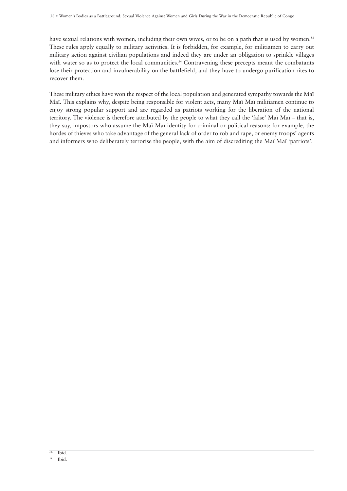have sexual relations with women, including their own wives, or to be on a path that is used by women.<sup>53</sup> These rules apply equally to military activities. It is forbidden, for example, for militiamen to carry out military action against civilian populations and indeed they are under an obligation to sprinkle villages with water so as to protect the local communities.<sup>54</sup> Contravening these precepts meant the combatants lose their protection and invulnerability on the battlefield, and they have to undergo purification rites to recover them.

These military ethics have won the respect of the local population and generated sympathy towards the Maï Maï. This explains why, despite being responsible for violent acts, many Maï Maï militiamen continue to enjoy strong popular support and are regarded as patriots working for the liberation of the national territory. The violence is therefore attributed by the people to what they call the 'false' Maï Maï – that is, they say, impostors who assume the Maï Maï identity for criminal or political reasons: for example, the hordes of thieves who take advantage of the general lack of order to rob and rape, or enemy troops' agents and informers who deliberately terrorise the people, with the aim of discrediting the Maï Maï 'patriots'.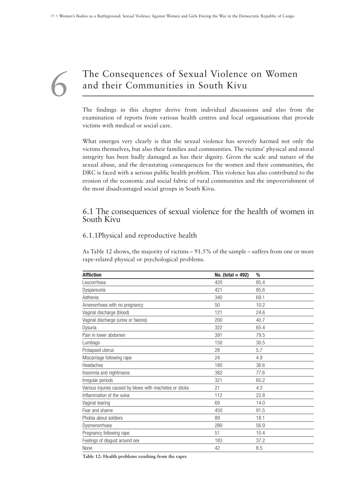# The Consequences of Sexual Violence on Women and their Communities in South Kivu

The findings in this chapter derive from individual discussions and also from the examination of reports from various health centres and local organisations that provide victims with medical or social care.

What emerges very clearly is that the sexual violence has severely harmed not only the victims themselves, but also their families and communities. The victims' physical and moral integrity has been badly damaged as has their dignity. Given the scale and nature of the sexual abuse, and the devastating consequences for the women and their communities, the DRC is faced with a serious public health problem. This violence has also contributed to the erosion of the economic and social fabric of rural communities and the impoverishment of the most disadvantaged social groups in South Kivu.

## 6.1 The consequences of sexual violence for the health of women in South Kivu

#### 6.1.1Physical and reproductive health

6

As Table 12 shows, the majority of victims – 91.5% of the sample – suffers from one or more rape-related physical or psychological problems.

| <b>Affliction</b>                                        | No. (total = $492$ ) | %    |
|----------------------------------------------------------|----------------------|------|
| Leucorrhoea                                              | 420                  | 85.4 |
| Dyspareunia                                              | 421                  | 85.6 |
| Asthenia                                                 | 340                  | 69.1 |
| Amenorrhoea with no pregnancy                            | 50                   | 10.2 |
| Vaginal discharge (blood)                                | 121                  | 24.6 |
| Vaginal discharge (urine or faeces)                      | 200                  | 40.7 |
| Dysuria                                                  | 322                  | 65.4 |
| Pain in lower abdomen                                    | 391                  | 79.5 |
| Lumbago                                                  | 150                  | 30.5 |
| Prolapsed uterus                                         | 28                   | 5.7  |
| Miscarriage following rape                               | 24                   | 4.9  |
| Headaches                                                | 180                  | 36.6 |
| Insomnia and nightmares                                  | 382                  | 77.6 |
| Irregular periods                                        | 321                  | 65.2 |
| Various injuries caused by blows with machetes or sticks | 21                   | 4.3  |
| Inflammation of the vulva                                | 112                  | 22.8 |
| Vaginal tearing                                          | 69                   | 14.0 |
| Fear and shame                                           | 450                  | 91.5 |
| Phobia about soldiers                                    | 89                   | 18.1 |
| Dysmenorrhoea                                            | 280                  | 56.9 |
| Pregnancy following rape                                 | 51                   | 10.4 |
| Feelings of disgust around sex                           | 183                  | 37.2 |
| None                                                     | 42                   | 8.5  |

**Table 12: Health problems resulting from the rapes**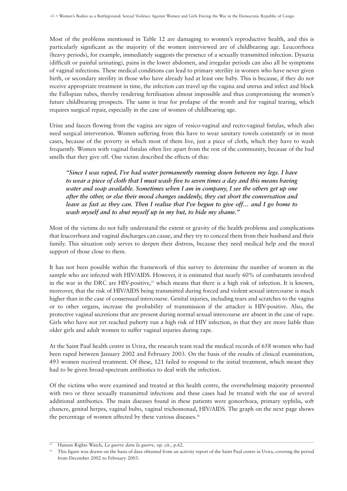Most of the problems mentioned in Table 12 are damaging to women's reproductive health, and this is particularly significant as the majority of the women interviewed are of childbearing age. Leucorrhoea (heavy periods), for example, immediately suggests the presence of a sexually transmitted infection. Dysuria (difficult or painful urinating), pains in the lower abdomen, and irregular periods can also all be symptoms of vaginal infections. These medical conditions can lead to primary sterility in women who have never given birth, or secondary sterility in those who have already had at least one baby. This is because, if they do not receive appropriate treatment in time, the infection can travel up the vagina and uterus and infect and block the Fallopian tubes, thereby rendering fertilisation almost impossible and thus compromising the women's future childbearing prospects. The same is true for prolapse of the womb and for vaginal tearing, which requires surgical repair, especially in the case of women of childbearing age.

Urine and faeces flowing from the vagina are signs of vesico-vaginal and recto-vaginal fistulas, which also need surgical intervention. Women suffering from this have to wear sanitary towels constantly or in most cases, because of the poverty in which most of them live, just a piece of cloth, which they have to wash frequently. Women with vaginal fistulas often live apart from the rest of the community, because of the bad smells that they give off. One victim described the effects of this:

*"Since I was raped, I've had water permanently running down between my legs. I have to wear a piece of cloth that I must wash five to seven times a day and this means having water and soap available. Sometimes when I am in company, I see the others get up one after the other, or else their mood changes suddenly, they cut short the conversation and leave as fast as they can. Then I realise that I've begun to give off… and I go home to wash myself and to shut myself up in my hut, to hide my shame."*

Most of the victims do not fully understand the extent or gravity of the health problems and complications that leucorrhoea and vaginal discharges can cause, and they try to conceal them from their husband and their family. This situation only serves to deepen their distress, because they need medical help and the moral support of those close to them.

It has not been possible within the framework of this survey to determine the number of women in the sample who are infected with HIV/AIDS. However, it is estimated that nearly 60% of combatants involved in the war in the DRC are HIV-positive,<sup>55</sup> which means that there is a high risk of infection. It is known, moreover, that the risk of HIV/AIDS being transmitted during forced and violent sexual intercourse is much higher than in the case of consensual intercourse. Genital injuries, including tears and scratches to the vagina or to other organs, increase the probability of transmission if the attacker is HIV-positive. Also, the protective vaginal secretions that are present during normal sexual intercourse are absent in the case of rape. Girls who have not yet reached puberty run a high risk of HIV infection, in that they are more liable than older girls and adult women to suffer vaginal injuries during rape.

At the Saint Paul health centre in Uvira, the research team read the medical records of 658 women who had been raped between January 2002 and February 2003. On the basis of the results of clinical examination, 493 women received treatment. Of these, 121 failed to respond to the initial treatment, which meant they had to be given broad-spectrum antibiotics to deal with the infection.

Of the victims who were examined and treated at this health centre, the overwhelming majority presented with two or three sexually transmitted infections and these cases had be treated with the use of several additional antibiotics. The main diseases found in these patients were gonorrhoea, primary syphilis, soft chancre, genital herpes, vaginal bubo, vaginal trichomonad, HIV/AIDS. The graph on the next page shows the percentage of women affected by these various diseases.<sup>56</sup>

<sup>55.</sup> Human Rights Watch, *La guerre dans la guerre,* op. cit., p.62.

<sup>56.</sup> This figure was drawn on the basis of data obtained from an activity report of the Saint Paul centre in Uvira, covering the period from December 2002 to February 2003.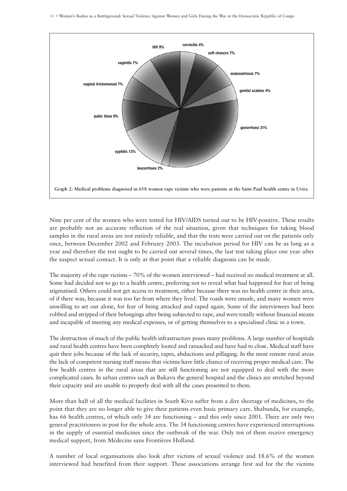

Nine per cent of the women who were tested for HIV/AIDS turned out to be HIV-positive. These results are probably not an accurate reflection of the real situation, given that techniques for taking blood samples in the rural areas are not entirely reliable, and that the tests were carried out on the patients only once, between December 2002 and February 2003. The incubation period for HIV can be as long as a year and therefore the test ought to be carried out several times, the last test taking place one year after the suspect sexual contact. It is only at that point that a reliable diagnosis can be made.

The majority of the rape victims – 70% of the women interviewed – had received no medical treatment at all. Some had decided not to go to a health centre, preferring not to reveal what had happened for fear of being stigmatised. Others could not get access to treatment, either because there was no health centre in their area, of if there was, because it was too far from where they lived. The roads were unsafe, and many women were unwilling to set out alone, for fear of being attacked and raped again. Some of the interviewees had been robbed and stripped of their belongings after being subjected to rape, and were totally without financial means and incapable of meeting any medical expenses, or of getting themselves to a specialised clinic in a town.

The destruction of much of the public health infrastructure poses many problems. A large number of hospitals and rural health centres have been completely looted and ransacked and have had to close. Medical staff have quit their jobs because of the lack of security, rapes, abductions and pillaging. In the most remote rural areas the lack of competent nursing staff means that victims have little chance of receiving proper medical care. The few health centres in the rural areas that are still functioning are not equipped to deal with the more complicated cases. In urban centres such as Bukavu the general hospital and the clinics are stretched beyond their capacity and are unable to properly deal with all the cases presented to them.

More than half of all the medical facilities in South Kivu suffer from a dire shortage of medicines, to the point that they are no longer able to give their patients even basic primary care. Shabunda, for example, has 66 health centres, of which only 34 are functioning – and this only since 2001. There are only two general practitioners in post for the whole area. The 34 functioning centres have experienced interruptions in the supply of essential medicines since the outbreak of the war. Only ten of them receive emergency medical support, from Médecins sans Frontières Holland.

A number of local organisations also look after victims of sexual violence and 18.6% of the women interviewed had benefited from their support. These associations arrange first aid for the the victims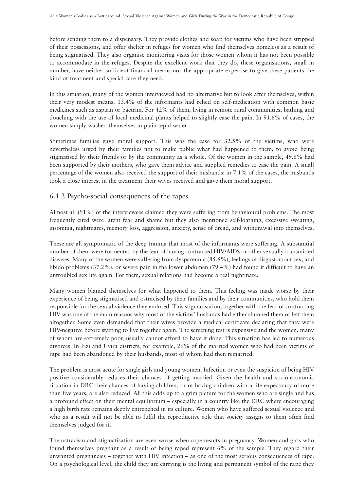before sending them to a dispensary. They provide clothes and soap for victims who have been stripped of their possessions, and offer shelter in refuges for women who find themselves homeless as a result of being stigmatised. They also organise monitoring visits for those women whom it has not been possible to accommodate in the refuges. Despite the excellent work that they do, these organisations, small in number, have neither sufficient financial means nor the appropriate expertise to give these patients the kind of treatment and special care they need.

In this situation, many of the women interviewed had no alternative but to look after themselves, within their very modest means. 13.4% of the informants had relied on self-medication with common basic medicines such as aspirin or bactrim. For 42% of them, living in remote rural communities, bathing and douching with the use of local medicinal plants helped to slightly ease the pain. In 91.6% of cases, the women simply washed themselves in plain tepid water.

Sometimes families gave moral support. This was the case for 32.5% of the victims, who were nevertheless urged by their families not to make public what had happened to them, to avoid being stigmatised by their friends or by the community as a whole. Of the women in the sample, 49.6% had been supported by their mothers, who gave them advice and supplied remedies to ease the pain. A small percentage of the women also received the support of their husbands: in 7.1% of the cases, the husbands took a close interest in the treatment their wives received and gave them moral support.

#### 6.1.2 Psycho-social consequences of the rapes

Almost all (91%) of the interviewees claimed they were suffering from behavioural problems. The most frequently cited were latent fear and shame but they also mentioned self-loathing, excessive sweating, insomnia, nightmares, memory loss, aggression, anxiety, sense of dread, and withdrawal into themselves.

These are all symptomatic of the deep trauma that most of the informants were suffering. A substantial number of them were tormented by the fear of having contracted HIV/AIDS or other sexually transmitted diseases. Many of the women were suffering from dyspareunia (85.6%), feelings of disgust about sex, and libido problems (37.2%), or severe pain in the lower abdomen (79.4%) had found it difficult to have an untroubled sex life again. For them, sexual relations had become a real nightmare.

Many women blamed themselves for what happened to them. This feeling was made worse by their experience of being stigmatised and ostracised by their families and by their communities, who hold them responsible for the sexual violence they endured. This stigmatisation, together with the fear of contracting HIV was one of the main reasons why most of the victims' husbands had either shunned them or left them altogether. Some even demanded that their wives provide a medical certificate declaring that they were HIV-negative before starting to live together again. The screening test is expensive and the women, many of whom are extremely poor, usually cannot afford to have it done. This situation has led to numerous divorces. In Fizi and Uvira districts, for example, 26% of the married women who had been victims of rape had been abandoned by their husbands, most of whom had then remarried.

The problem is most acute for single girls and young women. Infection or even the suspicion of being HIV positive considerably reduces their chances of getting married. Given the health and socio-economic situation in DRC their chances of having children, or of having children with a life expectancy of more than five years, are also reduced. All this adds up to a grim picture for the women who are single and has a profound effect on their mental equilibrium – especially in a country like the DRC where encouraging a high birth rate remains deeply entrenched in its culture. Women who have suffered sexual violence and who as a result will not be able to fulfil the reproductive role that society assigns to them often find themselves judged for it.

The ostracism and stigmatisation are even worse when rape results in pregnancy. Women and girls who found themselves pregnant as a result of being raped represent 6% of the sample. They regard their unwanted pregnancies – together with HIV infection – as one of the most serious consequences of rape. On a psychological level, the child they are carrying is the living and permanent symbol of the rape they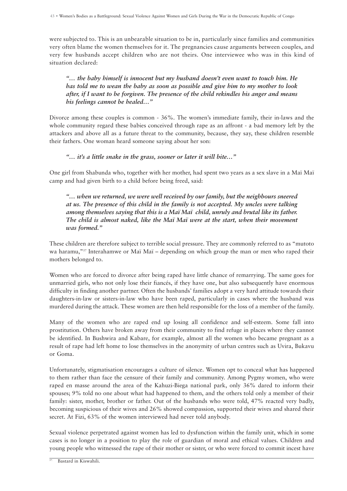were subjected to. This is an unbearable situation to be in, particularly since families and communities very often blame the women themselves for it. The pregnancies cause arguments between couples, and very few husbands accept children who are not theirs. One interviewee who was in this kind of situation declared:

*"… the baby himself is innocent but my husband doesn't even want to touch him. He has told me to wean the baby as soon as possible and give him to my mother to look after, if I want to be forgiven. The presence of the child rekindles his anger and means his feelings cannot be healed…"*

Divorce among these couples is common - 36%. The women's immediate family, their in-laws and the whole community regard these babies conceived through rape as an affront - a bad memory left by the attackers and above all as a future threat to the community, because, they say, these children resemble their fathers. One woman heard someone saying about her son:

#### *"… it's a little snake in the grass, sooner or later it will bite…"*

One girl from Shabunda who, together with her mother, had spent two years as a sex slave in a Maï Maï camp and had given birth to a child before being freed, said:

*"… when we returned, we were well received by our family, but the neighbours sneered at us. The presence of this child in the family is not accepted. My uncles were talking among themselves saying that this is a Maï Maï child, unruly and brutal like its father. The child is almost naked, like the Maï Maï were at the start, when their movement was formed."*

These children are therefore subject to terrible social pressure. They are commonly referred to as "mutoto wa haramu,"<sup>57</sup> Interahamwe or Maï Maï – depending on which group the man or men who raped their mothers belonged to.

Women who are forced to divorce after being raped have little chance of remarrying. The same goes for unmarried girls, who not only lose their fiancés, if they have one, but also subsequently have enormous difficulty in finding another partner. Often the husbands' families adopt a very hard attitude towards their daughters-in-law or sisters-in-law who have been raped, particularly in cases where the husband was murdered during the attack. These women are then held responsible for the loss of a member of the family.

Many of the women who are raped end up losing all confidence and self-esteem. Some fall into prostitution. Others have broken away from their community to find refuge in places where they cannot be identified. In Bushwira and Kabare, for example, almost all the women who became pregnant as a result of rape had left home to lose themselves in the anonymity of urban centres such as Uvira, Bukavu or Goma.

Unfortunately, stigmatisation encourages a culture of silence. Women opt to conceal what has happened to them rather than face the censure of their family and community. Among Pygmy women, who were raped en masse around the area of the Kahuzi-Biega national park, only 36% dared to inform their spouses; 9% told no one about what had happened to them, and the others told only a member of their family: sister, mother, brother or father. Out of the husbands who were told, 47% reacted very badly, becoming suspicious of their wives and 26% showed compassion, supported their wives and shared their secret. At Fizi, 63% of the women interviewed had never told anybody.

Sexual violence perpetrated against women has led to dysfunction within the family unit, which in some cases is no longer in a position to play the role of guardian of moral and ethical values. Children and young people who witnessed the rape of their mother or sister, or who were forced to commit incest have

<sup>57.</sup> Bastard in Kiswahili.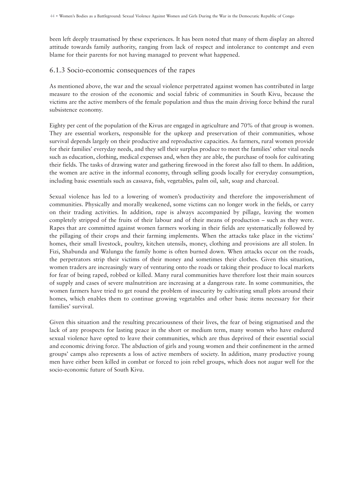been left deeply traumatised by these experiences. It has been noted that many of them display an altered attitude towards family authority, ranging from lack of respect and intolerance to contempt and even blame for their parents for not having managed to prevent what happened.

#### 6.1.3 Socio-economic consequences of the rapes

As mentioned above, the war and the sexual violence perpetrated against women has contributed in large measure to the erosion of the economic and social fabric of communities in South Kivu, because the victims are the active members of the female population and thus the main driving force behind the rural subsistence economy.

Eighty per cent of the population of the Kivus are engaged in agriculture and 70% of that group is women. They are essential workers, responsible for the upkeep and preservation of their communities, whose survival depends largely on their productive and reproductive capacities. As farmers, rural women provide for their families' everyday needs, and they sell their surplus produce to meet the families' other vital needs such as education, clothing, medical expenses and, when they are able, the purchase of tools for cultivating their fields. The tasks of drawing water and gathering firewood in the forest also fall to them. In addition, the women are active in the informal economy, through selling goods locally for everyday consumption, including basic essentials such as cassava, fish, vegetables, palm oil, salt, soap and charcoal.

Sexual violence has led to a lowering of women's productivity and therefore the impoverishment of communities. Physically and morally weakened, some victims can no longer work in the fields, or carry on their trading activities. In addition, rape is always accompanied by pillage, leaving the women completely stripped of the fruits of their labour and of their means of production – such as they were. Rapes that are committed against women farmers working in their fields are systematically followed by the pillaging of their crops and their farming implements. When the attacks take place in the victims' homes, their small livestock, poultry, kitchen utensils, money, clothing and provisions are all stolen. In Fizi, Shabunda and Walungu the family home is often burned down. When attacks occur on the roads, the perpetrators strip their victims of their money and sometimes their clothes. Given this situation, women traders are increasingly wary of venturing onto the roads or taking their produce to local markets for fear of being raped, robbed or killed. Many rural communities have therefore lost their main sources of supply and cases of severe malnutrition are increasing at a dangerous rate. In some communities, the women farmers have tried to get round the problem of insecurity by cultivating small plots around their homes, which enables them to continue growing vegetables and other basic items necessary for their families' survival.

Given this situation and the resulting precariousness of their lives, the fear of being stigmatised and the lack of any prospects for lasting peace in the short or medium term, many women who have endured sexual violence have opted to leave their communities, which are thus deprived of their essential social and economic driving force. The abduction of girls and young women and their confinement in the armed groups' camps also represents a loss of active members of society. In addition, many productive young men have either been killed in combat or forced to join rebel groups, which does not augur well for the socio-economic future of South Kivu.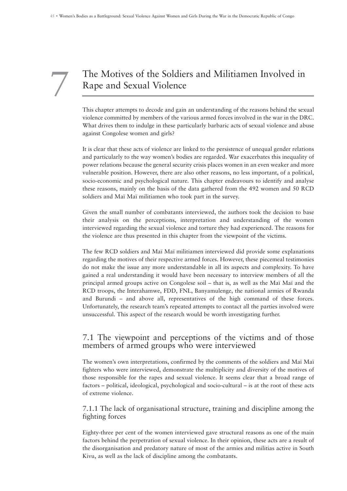7

# The Motives of the Soldiers and Militiamen Involved in Rape and Sexual Violence

This chapter attempts to decode and gain an understanding of the reasons behind the sexual violence committed by members of the various armed forces involved in the war in the DRC. What drives them to indulge in these particularly barbaric acts of sexual violence and abuse against Congolese women and girls?

It is clear that these acts of violence are linked to the persistence of unequal gender relations and particularly to the way women's bodies are regarded. War exacerbates this inequality of power relations because the general security crisis places women in an even weaker and more vulnerable position. However, there are also other reasons, no less important, of a political, socio-economic and psychological nature. This chapter endeavours to identify and analyse these reasons, mainly on the basis of the data gathered from the 492 women and 50 RCD soldiers and Maï Maï militiamen who took part in the survey.

Given the small number of combatants interviewed, the authors took the decision to base their analysis on the perceptions, interpretation and understanding of the women interviewed regarding the sexual violence and torture they had experienced. The reasons for the violence are thus presented in this chapter from the viewpoint of the victims.

The few RCD soldiers and Maï Maï militiamen interviewed did provide some explanations regarding the motives of their respective armed forces. However, these piecemeal testimonies do not make the issue any more understandable in all its aspects and complexity. To have gained a real understanding it would have been necessary to interview members of all the principal armed groups active on Congolese soil – that is, as well as the Maï Maï and the RCD troops, the Interahamwe, FDD, FNL, Banyamulenge, the national armies of Rwanda and Burundi – and above all, representatives of the high command of these forces. Unfortunately, the research team's repeated attempts to contact all the parties involved were unsuccessful. This aspect of the research would be worth investigating further.

## 7.1 The viewpoint and perceptions of the victims and of those members of armed groups who were interviewed

The women's own interpretations, confirmed by the comments of the soldiers and Maï Maï fighters who were interviewed, demonstrate the multiplicity and diversity of the motives of those responsible for the rapes and sexual violence. It seems clear that a broad range of factors – political, ideological, psychological and socio-cultural – is at the root of these acts of extreme violence.

#### 7.1.1 The lack of organisational structure, training and discipline among the fighting forces

Eighty-three per cent of the women interviewed gave structural reasons as one of the main factors behind the perpetration of sexual violence. In their opinion, these acts are a result of the disorganisation and predatory nature of most of the armies and militias active in South Kivu, as well as the lack of discipline among the combatants.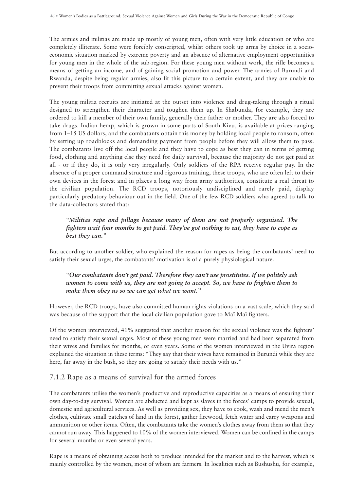The armies and militias are made up mostly of young men, often with very little education or who are completely illiterate. Some were forcibly conscripted, whilst others took up arms by choice in a socioeconomic situation marked by extreme poverty and an absence of alternative employment opportunities for young men in the whole of the sub-region. For these young men without work, the rifle becomes a means of getting an income, and of gaining social promotion and power. The armies of Burundi and Rwanda, despite being regular armies, also fit this picture to a certain extent, and they are unable to prevent their troops from committing sexual attacks against women.

The young militia recruits are initiated at the outset into violence and drug-taking through a ritual designed to strengthen their character and toughen them up. In Shabunda, for example, they are ordered to kill a member of their own family, generally their father or mother. They are also forced to take drugs. Indian hemp, which is grown in some parts of South Kivu, is available at prices ranging from 1–15 US dollars, and the combatants obtain this money by holding local people to ransom, often by setting up roadblocks and demanding payment from people before they will allow them to pass. The combatants live off the local people and they have to cope as best they can in terms of getting food, clothing and anything else they need for daily survival, because the majority do not get paid at all - or if they do, it is only very irregularly. Only soldiers of the RPA receive regular pay. In the absence of a proper command structure and rigorous training, these troops, who are often left to their own devices in the forest and in places a long way from army authorities, constitute a real threat to the civilian population. The RCD troops, notoriously undisciplined and rarely paid, display particularly predatory behaviour out in the field. One of the few RCD soldiers who agreed to talk to the data-collectors stated that:

#### *"Militias rape and pillage because many of them are not properly organised. The fighters wait four months to get paid. They've got nothing to eat, they have to cope as best they can."*

But according to another soldier, who explained the reason for rapes as being the combatants' need to satisfy their sexual urges, the combatants' motivation is of a purely physiological nature.

#### *"Our combatants don't get paid. Therefore they can't use prostitutes. If we politely ask women to come with us, they are not going to accept. So, we have to frighten them to make them obey us so we can get what we want."*

However, the RCD troops, have also committed human rights violations on a vast scale, which they said was because of the support that the local civilian population gave to Maï Maï fighters.

Of the women interviewed, 41% suggested that another reason for the sexual violence was the fighters' need to satisfy their sexual urges. Most of these young men were married and had been separated from their wives and families for months, or even years. Some of the women interviewed in the Uvira region explained the situation in these terms: "They say that their wives have remained in Burundi while they are here, far away in the bush, so they are going to satisfy their needs with us."

#### 7.1.2 Rape as a means of survival for the armed forces

The combatants utilise the women's productive and reproductive capacities as a means of ensuring their own day-to-day survival. Women are abducted and kept as slaves in the forces' camps to provide sexual, domestic and agricultural services. As well as providing sex, they have to cook, wash and mend the men's clothes, cultivate small patches of land in the forest, gather firewood, fetch water and carry weapons and ammunition or other items. Often, the combatants take the women's clothes away from them so that they cannot run away. This happened to 10% of the women interviewed. Women can be confined in the camps for several months or even several years.

Rape is a means of obtaining access both to produce intended for the market and to the harvest, which is mainly controlled by the women, most of whom are farmers. In localities such as Bushushu, for example,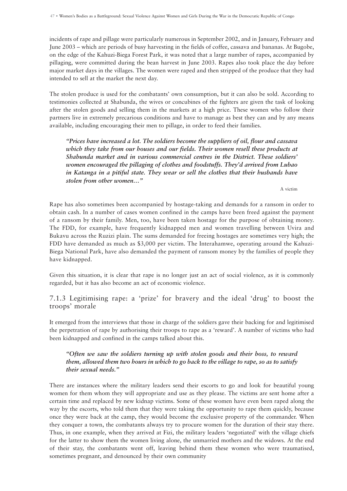incidents of rape and pillage were particularly numerous in September 2002, and in January, February and June 2003 – which are periods of busy harvesting in the fields of coffee, cassava and bananas. At Bugobe, on the edge of the Kahuzi-Biega Forest Park, it was noted that a large number of rapes, accompanied by pillaging, were committed during the bean harvest in June 2003. Rapes also took place the day before major market days in the villages. The women were raped and then stripped of the produce that they had intended to sell at the market the next day.

The stolen produce is used for the combatants' own consumption, but it can also be sold. According to testimonies collected at Shabunda, the wives or concubines of the fighters are given the task of looking after the stolen goods and selling them in the markets at a high price. These women who follow their partners live in extremely precarious conditions and have to manage as best they can and by any means available, including encouraging their men to pillage, in order to feed their families.

*"Prices have increased a lot. The soldiers become the suppliers of oil, flour and cassava which they take from our houses and our fields. Their women resell these products at Shabunda market and in various commercial centres in the District. These soldiers' women encouraged the pillaging of clothes and foodstuffs. They'd arrived from Lubao in Katanga in a pitiful state. They wear or sell the clothes that their husbands have stolen from other women…"*

A victim

Rape has also sometimes been accompanied by hostage-taking and demands for a ransom in order to obtain cash. In a number of cases women confined in the camps have been freed against the payment of a ransom by their family. Men, too, have been taken hostage for the purpose of obtaining money. The FDD, for example, have frequently kidnapped men and women travelling between Uvira and Bukavu across the Ruzizi plain. The sums demanded for freeing hostages are sometimes very high; the FDD have demanded as much as \$3,000 per victim. The Interahamwe, operating around the Kahuzi-Biega National Park, have also demanded the payment of ransom money by the families of people they have kidnapped.

Given this situation, it is clear that rape is no longer just an act of social violence, as it is commonly regarded, but it has also become an act of economic violence.

#### 7.1.3 Legitimising rape: a 'prize' for bravery and the ideal 'drug' to boost the troops' morale

It emerged from the interviews that those in charge of the soldiers gave their backing for and legitimised the perpetration of rape by authorising their troops to rape as a 'reward'. A number of victims who had been kidnapped and confined in the camps talked about this.

#### *"Often we saw the soldiers turning up with stolen goods and their boss, to reward them, allowed them two hours in which to go back to the village to rape, so as to satisfy their sexual needs."*

There are instances where the military leaders send their escorts to go and look for beautiful young women for them whom they will appropriate and use as they please. The victims are sent home after a certain time and replaced by new kidnap victims. Some of these women have even been raped along the way by the escorts, who told them that they were taking the opportunity to rape them quickly, because once they were back at the camp, they would become the exclusive property of the commander. When they conquer a town, the combatants always try to procure women for the duration of their stay there. Thus, in one example, when they arrived at Fizi, the military leaders 'negotiated' with the village chiefs for the latter to show them the women living alone, the unmarried mothers and the widows. At the end of their stay, the combatants went off, leaving behind them these women who were traumatised, sometimes pregnant, and denounced by their own community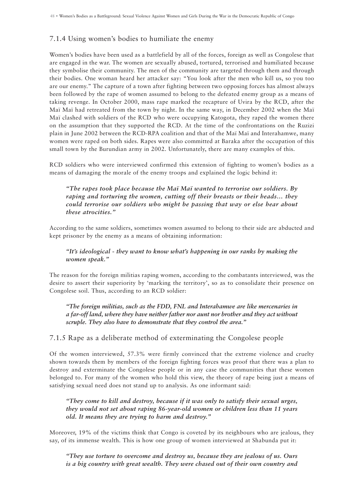## 7.1.4 Using women's bodies to humiliate the enemy

Women's bodies have been used as a battlefield by all of the forces, foreign as well as Congolese that are engaged in the war. The women are sexually abused, tortured, terrorised and humiliated because they symbolise their community. The men of the community are targeted through them and through their bodies. One woman heard her attacker say: "You look after the men who kill us, so you too are our enemy." The capture of a town after fighting between two opposing forces has almost always been followed by the rape of women assumed to belong to the defeated enemy group as a means of taking revenge. In October 2000, mass rape marked the recapture of Uvira by the RCD, after the Maï Maï had retreated from the town by night. In the same way, in December 2002 when the Maï Maï clashed with soldiers of the RCD who were occupying Katogota, they raped the women there on the assumption that they supported the RCD. At the time of the confrontations on the Ruzizi plain in June 2002 between the RCD-RPA coalition and that of the Maï Maï and Interahamwe, many women were raped on both sides. Rapes were also committed at Baraka after the occupation of this small town by the Burundian army in 2002. Unfortunately, there are many examples of this.

RCD soldiers who were interviewed confirmed this extension of fighting to women's bodies as a means of damaging the morale of the enemy troops and explained the logic behind it:

*"The rapes took place because the Maï Maï wanted to terrorise our soldiers. By raping and torturing the women, cutting off their breasts or their heads… they could terrorise our soldiers who might be passing that way or else hear about these atrocities."*

According to the same soldiers, sometimes women assumed to belong to their side are abducted and kept prisoner by the enemy as a means of obtaining information:

#### *"It's ideological - they want to know what's happening in our ranks by making the women speak."*

The reason for the foreign militias raping women, according to the combatants interviewed, was the desire to assert their superiority by 'marking the territory', so as to consolidate their presence on Congolese soil. Thus, according to an RCD soldier:

*"The foreign militias, such as the FDD, FNL and Interahamwe are like mercenaries in a far-off land, where they have neither father nor aunt nor brother and they act without scruple. They also have to demonstrate that they control the area."*

#### 7.1.5 Rape as a deliberate method of exterminating the Congolese people

Of the women interviewed, 57.3% were firmly convinced that the extreme violence and cruelty shown towards them by members of the foreign fighting forces was proof that there was a plan to destroy and exterminate the Congolese people or in any case the communities that these women belonged to. For many of the women who hold this view, the theory of rape being just a means of satisfying sexual need does not stand up to analysis. As one informant said:

*"They come to kill and destroy, because if it was only to satisfy their sexual urges, they would not set about raping 86-year-old women or children less than 11 years old. It means they are trying to harm and destroy."*

Moreover, 19% of the victims think that Congo is coveted by its neighbours who are jealous, they say, of its immense wealth. This is how one group of women interviewed at Shabunda put it:

*"They use torture to overcome and destroy us, because they are jealous of us. Ours is a big country with great wealth. They were chased out of their own country and*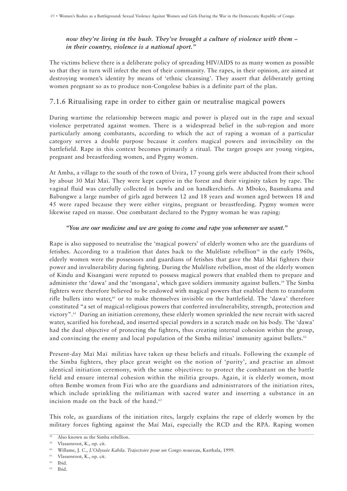*now they're living in the bush. They've brought a culture of violence with them – in their country, violence is a national sport."*

The victims believe there is a deliberate policy of spreading HIV/AIDS to as many women as possible so that they in turn will infect the men of their community. The rapes, in their opinion, are aimed at destroying women's identity by means of 'ethnic cleansing'. They assert that deliberately getting women pregnant so as to produce non-Congolese babies is a definite part of the plan.

#### 7.1.6 Ritualising rape in order to either gain or neutralise magical powers

During wartime the relationship between magic and power is played out in the rape and sexual violence perpetrated against women. There is a widespread belief in the sub-region and more particularly among combatants, according to which the act of raping a woman of a particular category serves a double purpose because it confers magical powers and invincibility on the battlefield. Rape in this context becomes primarily a ritual. The target groups are young virgins, pregnant and breastfeeding women, and Pygmy women.

At Amba, a village to the south of the town of Uvira, 17 young girls were abducted from their school by about 30 Maï Maï. They were kept captive in the forest and their virginity taken by rape. The vaginal fluid was carefully collected in bowls and on handkerchiefs. At Mboko, Basmukuma and Babungwe a large number of girls aged between 12 and 18 years and women aged between 18 and 45 were raped because they were either virgins, pregnant or breastfeeding. Pygmy women were likewise raped en masse. One combatant declared to the Pygmy woman he was raping:

#### *"You are our medicine and we are going to come and rape you whenever we want."*

Rape is also supposed to neutralise the 'magical powers' of elderly women who are the guardians of fetishes. According to a tradition that dates back to the Muléliste rebellion<sup>58</sup> in the early 1960s, elderly women were the possessors and guardians of fetishes that gave the Maï Maï fighters their power and invulnerability during fighting. During the Muléliste rebellion, most of the elderly women of Kindu and Kisangani were reputed to possess magical powers that enabled them to prepare and administer the 'dawa' and the 'mongana', which gave soldiers immunity against bullets.<sup>59</sup> The Simba fighters were therefore believed to be endowed with magical powers that enabled them to transform rifle bullets into water,<sup>60</sup> or to make themselves invisible on the battlefield. The 'dawa' therefore constituted "a set of magical-religious powers that conferred invulnerability, strength, protection and victory".61 During an initiation ceremony, these elderly women sprinkled the new recruit with sacred water, scarified his forehead, and inserted special powders in a scratch made on his body. The 'dawa' had the dual objective of protecting the fighters, thus creating internal cohesion within the group, and convincing the enemy and local population of the Simba militias' immunity against bullets.<sup>62</sup>

Present-day Maï Maï militias have taken up these beliefs and rituals. Following the example of the Simba fighters, they place great weight on the notion of 'purity', and practise an almost identical initiation ceremony, with the same objectives: to protect the combatant on the battle field and ensure internal cohesion within the militia groups. Again, it is elderly women, most often Bembe women from Fizi who are the guardians and administrators of the initiation rites, which include sprinkling the militiaman with sacred water and inserting a substance in an incision made on the back of the hand.<sup>63</sup>

This role, as guardians of the initiation rites, largely explains the rape of elderly women by the military forces fighting against the Maï Maï, especially the RCD and the RPA. Raping women

<sup>58.</sup> Also known as the Simba rebellion.

Vlassenroot, K., op. cit.

<sup>60.</sup> Willame, J. C., *L'Odyssée Kabila. Trajectoire pour un Congo nouveau*, Karthala, 1999.

<sup>61.</sup> Vlassenroot, K., op. cit.

 $\frac{62.}{63.}$  Ibid.

Ibid.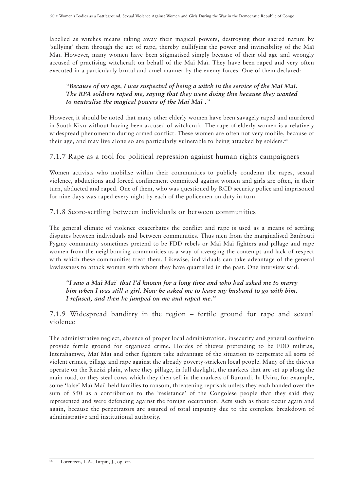labelled as witches means taking away their magical powers, destroying their sacred nature by 'sullying' them through the act of rape, thereby nullifying the power and invincibility of the Maï Maï. However, many women have been stigmatised simply because of their old age and wrongly accused of practising witchcraft on behalf of the Maï Maï. They have been raped and very often executed in a particularly brutal and cruel manner by the enemy forces. One of them declared:

#### *"Because of my age, I was suspected of being a witch in the service of the Maï Maï. The RPA soldiers raped me, saying that they were doing this because they wanted to neutralise the magical powers of the Maï Maï ."*

However, it should be noted that many other elderly women have been savagely raped and murdered in South Kivu without having been accused of witchcraft. The rape of elderly women is a relatively widespread phenomenon during armed conflict. These women are often not very mobile, because of their age, and may live alone so are particularly vulnerable to being attacked by solders.<sup>64</sup>

## 7.1.7 Rape as a tool for political repression against human rights campaigners

Women activists who mobilise within their communities to publicly condemn the rapes, sexual violence, abductions and forced confinement committed against women and girls are often, in their turn, abducted and raped. One of them, who was questioned by RCD security police and imprisoned for nine days was raped every night by each of the policemen on duty in turn.

## 7.1.8 Score-settling between individuals or between communities

The general climate of violence exacerbates the conflict and rape is used as a means of settling disputes between individuals and between communities. Thus men from the marginalised Banbouti Pygmy community sometimes pretend to be FDD rebels or Maï Maï fighters and pillage and rape women from the neighbouring communities as a way of avenging the contempt and lack of respect with which these communities treat them. Likewise, individuals can take advantage of the general lawlessness to attack women with whom they have quarrelled in the past. One interview said:

*"I saw a Maï Maï that I'd known for a long time and who had asked me to marry him when I was still a girl. Now he asked me to leave my husband to go with him. I refused, and then he jumped on me and raped me."*

## 7.1.9 Widespread banditry in the region – fertile ground for rape and sexual violence

The administrative neglect, absence of proper local administration, insecurity and general confusion provide fertile ground for organised crime. Hordes of thieves pretending to be FDD militias, Interahamwe, Maï Maï and other fighters take advantage of the situation to perpetrate all sorts of violent crimes, pillage and rape against the already poverty-stricken local people. Many of the thieves operate on the Ruzizi plain, where they pillage, in full daylight, the markets that are set up along the main road, or they steal cows which they then sell in the markets of Burundi. In Uvira, for example, some 'false' Maï Maï held families to ransom, threatening reprisals unless they each handed over the sum of \$50 as a contribution to the 'resistance' of the Congolese people that they said they represented and were defending against the foreign occupation. Acts such as these occur again and again, because the perpetrators are assured of total impunity due to the complete breakdown of administrative and institutional authority.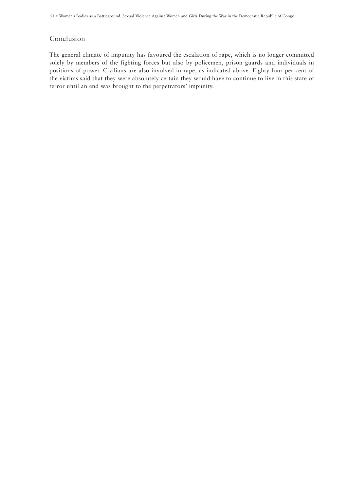#### Conclusion

The general climate of impunity has favoured the escalation of rape, which is no longer committed solely by members of the fighting forces but also by policemen, prison guards and individuals in positions of power. Civilians are also involved in rape, as indicated above. Eighty-four per cent of the victims said that they were absolutely certain they would have to continue to live in this state of terror until an end was brought to the perpetrators' impunity.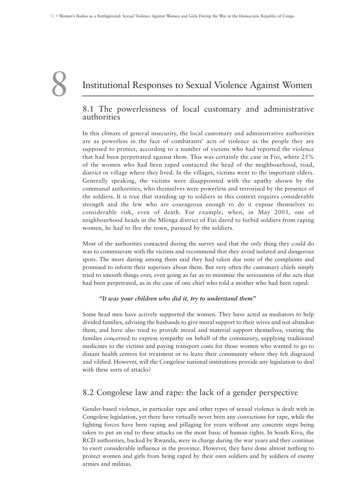# 8

# Institutional Responses to Sexual Violence Against Women

## 8.1 The powerlessness of local customary and administrative authorities

In this climate of general insecurity, the local customary and administrative authorities are as powerless in the face of combatants' acts of violence as the people they are supposed to protect, according to a number of victims who had reported the violence that had been perpetrated against them. This was certainly the case in Fizi, where 25% of the women who had been raped contacted the head of the neighbourhood, road, district or village where they lived. In the villages, victims went to the important elders. Generally speaking, the victims were disappointed with the apathy shown by the communal authorities, who themselves were powerless and terrorised by the presence of the soldiers. It is true that standing up to soldiers in this context requires considerable strength and the few who are courageous enough to do it expose themselves to considerable risk, even of death. For example, when, in May 2003, one of neighbourhood heads in the Mlenga district of Fizi dared to forbid soldiers from raping women, he had to flee the town, pursued by the soldiers.

Most of the authorities contacted during the survey said that the only thing they could do was to commiserate with the victims and recommend that they avoid isolated and dangerous spots. The more daring among them said they had taken due note of the complaints and promised to inform their superiors about them. But very often the customary chiefs simply tried to smooth things over, even going as far as to minimise the seriousness of the acts that had been perpetrated, as in the case of one chief who told a mother who had been raped:

#### *"It was your children who did it, try to understand them"*

Some head men have actively supported the women. They have acted as mediators to help divided families, advising the husbands to give moral support to their wives and not abandon them, and have also tried to provide moral and material support themselves, visiting the families concerned to express sympathy on behalf of the community, supplying traditional medicines to the victims and paying transport costs for those women who wanted to go to distant health centres for treatment or to leave their community where they felt disgraced and vilified. However, will the Congolese national institutions provide any legislation to deal with these sorts of attacks?

# 8.2 Congolese law and rape: the lack of a gender perspective

Gender-based violence, in particular rape and other types of sexual violence is dealt with in Congolese legislation, yet there have virtually never been any convictions for rape, while the fighting forces have been raping and pillaging for years without any concrete steps being taken to put an end to these attacks on the most basic of human rights. In South Kivu, the RCD authorities, backed by Rwanda, were in charge during the war years and they continue to exert considerable influence in the province. However, they have done almost nothing to protect women and girls from being raped by their own soldiers and by soldiers of enemy armies and militias.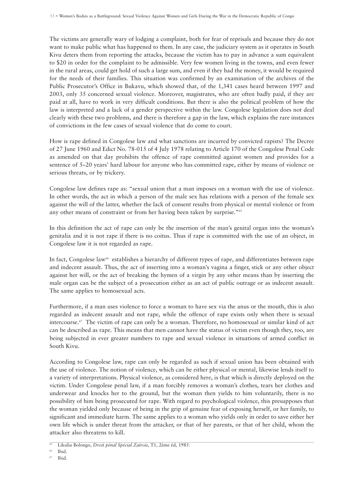The victims are generally wary of lodging a complaint, both for fear of reprisals and because they do not want to make public what has happened to them. In any case, the judiciary system as it operates in South Kivu deters them from reporting the attacks, because the victim has to pay in advance a sum equivalent to \$20 in order for the complaint to be admissible. Very few women living in the towns, and even fewer in the rural areas, could get hold of such a large sum, and even if they had the money, it would be required for the needs of their families. This situation was confirmed by an examination of the archives of the Public Prosecutor's Office in Bukavu, which showed that, of the 1,341 cases heard between 1997 and 2003, only 35 concerned sexual violence. Moreover, magistrates, who are often badly paid, if they are paid at all, have to work in very difficult conditions. But there is also the political problem of how the law is interpreted and a lack of a gender perspective within the law. Congolese legislation does not deal clearly with these two problems, and there is therefore a gap in the law, which explains the rare instances of convictions in the few cases of sexual violence that do come to court.

How is rape defined in Congolese law and what sanctions are incurred by convicted rapists? The Decree of 27 June 1960 and Edict No. 78-015 of 4 July 1978 relating to Article 170 of the Congolese Penal Code as amended on that day prohibits the offence of rape committed against women and provides for a sentence of 5–20 years' hard labour for anyone who has committed rape, either by means of violence or serious threats, or by trickery.

Congolese law defines rape as: "sexual union that a man imposes on a woman with the use of violence. In other words, the act in which a person of the male sex has relations with a person of the female sex against the will of the latter, whether the lack of consent results from physical or mental violence or from any other means of constraint or from her having been taken by surprise."<sup>65</sup>

In this definition the act of rape can only be the insertion of the man's genital organ into the woman's genitalia and it is not rape if there is no coitus. Thus if rape is committed with the use of an object, in Congolese law it is not regarded as rape.

In fact, Congolese law<sup>66</sup> establishes a hierarchy of different types of rape, and differentiates between rape and indecent assault. Thus, the act of inserting into a woman's vagina a finger, stick or any other object against her will, or the act of breaking the hymen of a virgin by any other means than by inserting the male organ can be the subject of a prosecution either as an act of public outrage or as indecent assault. The same applies to homosexual acts.

Furthermore, if a man uses violence to force a woman to have sex via the anus or the mouth, this is also regarded as indecent assault and not rape, while the offence of rape exists only when there is sexual intercourse.67 The victim of rape can only be a woman. Therefore, no homosexual or similar kind of act can be described as rape. This means that men cannot have the status of victim even though they, too, are being subjected in ever greater numbers to rape and sexual violence in situations of armed conflict in South Kivu.

According to Congolese law, rape can only be regarded as such if sexual union has been obtained with the use of violence. The notion of violence, which can be either physical or mental, likewise lends itself to a variety of interpretations. Physical violence, as considered here, is that which is directly deployed on the victim. Under Congolese penal law, if a man forcibly removes a woman's clothes, tears her clothes and underwear and knocks her to the ground, but the woman then yields to him voluntarily, there is no possibility of him being prosecuted for rape. With regard to psychological violence, this presupposes that the woman yielded only because of being in the grip of genuine fear of exposing herself, or her family, to significant and immediate harm. The same applies to a woman who yields only in order to save either her own life which is under threat from the attacker, or that of her parents, or that of her child, whom the attacker also threatens to kill.

<sup>65.</sup> Likulia Bolongo, *Droit pénal Spécial Zaïrois*, T1, 2ème éd, 1985.

Ibid.

Ibid.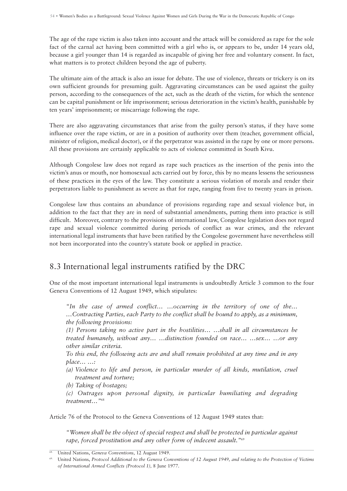The age of the rape victim is also taken into account and the attack will be considered as rape for the sole fact of the carnal act having been committed with a girl who is, or appears to be, under 14 years old, because a girl younger than 14 is regarded as incapable of giving her free and voluntary consent. In fact, what matters is to protect children beyond the age of puberty.

The ultimate aim of the attack is also an issue for debate. The use of violence, threats or trickery is on its own sufficient grounds for presuming guilt. Aggravating circumstances can be used against the guilty person, according to the consequences of the act, such as the death of the victim, for which the sentence can be capital punishment or life imprisonment; serious deterioration in the victim's health, punishable by ten years' imprisonment; or miscarriage following the rape.

There are also aggravating circumstances that arise from the guilty person's status, if they have some influence over the rape victim, or are in a position of authority over them (teacher, government official, minister of religion, medical doctor), or if the perpetrator was assisted in the rape by one or more persons. All these provisions are certainly applicable to acts of violence committed in South Kivu.

Although Congolese law does not regard as rape such practices as the insertion of the penis into the victim's anus or mouth, nor homosexual acts carried out by force, this by no means lessens the seriousness of these practices in the eyes of the law. They constitute a serious violation of morals and render their perpetrators liable to punishment as severe as that for rape, ranging from five to twenty years in prison.

Congolese law thus contains an abundance of provisions regarding rape and sexual violence but, in addition to the fact that they are in need of substantial amendments, putting them into practice is still difficult. Moreover, contrary to the provisions of international law, Congolese legislation does not regard rape and sexual violence committed during periods of conflict as war crimes, and the relevant international legal instruments that have been ratified by the Congolese government have nevertheless still not been incorporated into the country's statute book or applied in practice.

# 8.3 International legal instruments ratified by the DRC

One of the most important international legal instruments is undoubtedly Article 3 common to the four Geneva Conventions of 12 August 1949, which stipulates:

*"In the case of armed conflict… …occurring in the territory of one of the… …Contracting Parties, each Party to the conflict shall be bound to apply, as a minimum, the following provisions:*

*(1) Persons taking no active part in the hostilities… …shall in all circumstances be treated humanely, without any… …distinction founded on race… …sex… …or any other similar criteria.*

*To this end, the following acts are and shall remain prohibited at any time and in any place… …:*

- *(a) Violence to life and person, in particular murder of all kinds, mutilation, cruel treatment and torture;*
- *(b) Taking of hostages;*

*(c) Outrages upon personal dignity, in particular humiliating and degrading treatment…"*<sup>68</sup>

Article 76 of the Protocol to the Geneva Conventions of 12 August 1949 states that:

*"Women shall be the object of special respect and shall be protected in particular against rape, forced prostitution and any other form of indecent assault."*<sup>69</sup>

<sup>68.</sup> United Nations, *Geneva Conventions*, 12 August 1949.

<sup>69.</sup> United Nations, *Protocol Additional to the Geneva Conventions of 12 August 1949, and relating to the Protection of Victims of International Armed Conflicts (Protocol 1),* 8 June 1977.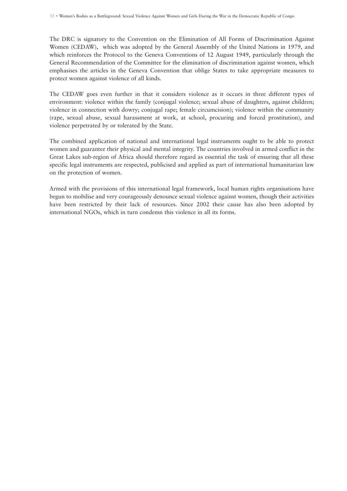The DRC is signatory to the Convention on the Elimination of All Forms of Discrimination Against Women (CEDAW), which was adopted by the General Assembly of the United Nations in 1979, and which reinforces the Protocol to the Geneva Conventions of 12 August 1949, particularly through the General Recommendation of the Committee for the elimination of discrimination against women, which emphasises the articles in the Geneva Convention that oblige States to take appropriate measures to protect women against violence of all kinds.

The CEDAW goes even further in that it considers violence as it occurs in three different types of environment: violence within the family (conjugal violence; sexual abuse of daughters, against children; violence in connection with dowry; conjugal rape; female circumcision); violence within the community (rape, sexual abuse, sexual harassment at work, at school, procuring and forced prostitution), and violence perpetrated by or tolerated by the State.

The combined application of national and international legal instruments ought to be able to protect women and guarantee their physical and mental integrity. The countries involved in armed conflict in the Great Lakes sub-region of Africa should therefore regard as essential the task of ensuring that all these specific legal instruments are respected, publicised and applied as part of international humanitarian law on the protection of women.

Armed with the provisions of this international legal framework, local human rights organisations have begun to mobilise and very courageously denounce sexual violence against women, though their activities have been restricted by their lack of resources. Since 2002 their cause has also been adopted by international NGOs, which in turn condemn this violence in all its forms.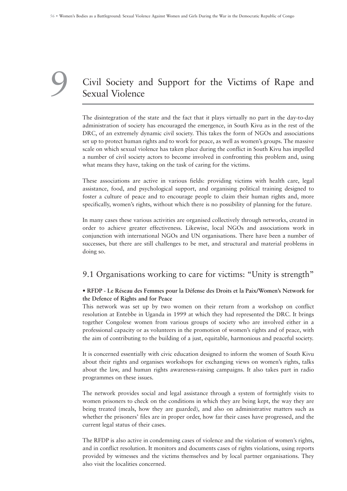# Civil Society and Support for the Victims of Rape and Sexual Violence 9

The disintegration of the state and the fact that it plays virtually no part in the day-to-day administration of society has encouraged the emergence, in South Kivu as in the rest of the DRC, of an extremely dynamic civil society. This takes the form of NGOs and associations set up to protect human rights and to work for peace, as well as women's groups. The massive scale on which sexual violence has taken place during the conflict in South Kivu has impelled a number of civil society actors to become involved in confronting this problem and, using what means they have, taking on the task of caring for the victims.

These associations are active in various fields: providing victims with health care, legal assistance, food, and psychological support, and organising political training designed to foster a culture of peace and to encourage people to claim their human rights and, more specifically, women's rights, without which there is no possibility of planning for the future.

In many cases these various activities are organised collectively through networks, created in order to achieve greater effectiveness. Likewise, local NGOs and associations work in conjunction with international NGOs and UN organisations. There have been a number of successes, but there are still challenges to be met, and structural and material problems in doing so.

## 9.1 Organisations working to care for victims: "Unity is strength"

#### **• RFDP - Le Réseau des Femmes pour la Défense des Droits et la Paix/Women's Network for the Defence of Rights and for Peace**

This network was set up by two women on their return from a workshop on conflict resolution at Entebbe in Uganda in 1999 at which they had represented the DRC. It brings together Congolese women from various groups of society who are involved either in a professional capacity or as volunteers in the promotion of women's rights and of peace, with the aim of contributing to the building of a just, equitable, harmonious and peaceful society.

It is concerned essentially with civic education designed to inform the women of South Kivu about their rights and organises workshops for exchanging views on women's rights, talks about the law, and human rights awareness-raising campaigns. It also takes part in radio programmes on these issues.

The network provides social and legal assistance through a system of fortnightly visits to women prisoners to check on the conditions in which they are being kept, the way they are being treated (meals, how they are guarded), and also on administrative matters such as whether the prisoners' files are in proper order, how far their cases have progressed, and the current legal status of their cases.

The RFDP is also active in condemning cases of violence and the violation of women's rights, and in conflict resolution. It monitors and documents cases of rights violations, using reports provided by witnesses and the victims themselves and by local partner organisations. They also visit the localities concerned.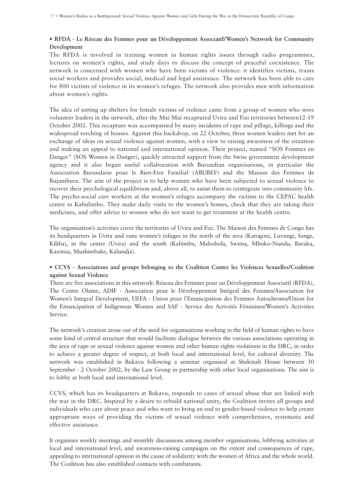#### **• RFDA - Le Réseau des Femmes pour un Développement Associatif/Women's Network for Community Development**

The RFDA is involved in training women in human rights issues through radio programmes, lectures on women's rights, and study days to discuss the concept of peaceful coexistence. The network is concerned with women who have been victims of violence: it identifies victims, trains social workers and provides social, medical and legal assistance. The network has been able to care for 800 victims of violence in its women's refuges. The network also provides men with information about women's rights.

The idea of setting up shelters for female victims of violence came from a group of women who were volunteer leaders in the network, after the Maï Maï recaptured Uvira and Fizi territories between12-19 October 2002. This recapture was accompanied by many incidents of rape and pillage, killings and the widespread torching of houses. Against this backdrop, on 22 October, three women leaders met for an exchange of ideas on sexual violence against women, with a view to raising awareness of the situation and making an appeal to national and international opinion. Their project, named "SOS Femmes en Danger" (SOS Women in Danger), quickly attracted support from the Swiss government development agency and it also began useful collaboration with Burundian organisations, in particular the Association Burundaise pour le Bien-Etre Familial (ABUBEF) and the Maison des Femmes de Bujumbura. The aim of the project is to help women who have been subjected to sexual violence to recover their psychological equilibrium and, above all, to assist them to reintegrate into community life. The psycho-social care workers at the women's refuges accompany the victims to the CEPAC health centre in Kabulimbo. They make daily visits to the women's homes, check that they are taking their medicines, and offer advice to women who do not want to get treatment at the health centre.

The organisation's activities cover the territories of Uvira and Fizi. The Maison des Femmes de Congo has its headquarters in Uvira and runs women's refuges in the north of the area (Katogota, Luvungi, Sange, Kiliba), in the centre (Uvira) and the south (Kabimba, Makobola, Swima, Mboko-Nundu, Baraka, Kazimia, Mushimbake, Kalundja).

#### **• CCVS - Associations and groups belonging to the Coalition Contre les Violences Sexuelles/Coalition against Sexual Violence**

There are five associations in this network: Réseau des Femmes pour un Développement Associatif (RFDA), The Centre Olame, ADIF - Association pour le Développement Intégral des Femmes/Association for Women's Integral Development, UEFA - Union pour l'Emancipation des Femmes Autochtones/Union for the Emancipation of Indigenous Women and SAF - Service des Activités Féminines/Women's Activities Service.

The network's creation arose out of the need for organisations working in the field of human rights to have some kind of central structure that would facilitate dialogue between the various associations operating in the area of rape or sexual violence against women and other human rights violations in the DRC, in order to achieve a greater degree of respect, at both local and international level, for cultural diversity. The network was established in Bukavu following a seminar organised at Shekinah House between 30 September - 2 October 2002, by the Law Group in partnership with other local organisations. The aim is to lobby at both local and international level.

CCVS, which has its headquarters at Bukavu, responds to cases of sexual abuse that are linked with the war in the DRC. Inspired by a desire to rebuild national unity, the Coalition invites all groups and individuals who care about peace and who want to bring an end to gender-based violence to help create appropriate ways of providing the victims of sexual violence with comprehensive, systematic and effective assistance.

It organises weekly meetings and monthly discussions among member organisations, lobbying activities at local and international level, and awareness-raising campaigns on the extent and consequences of rape, appealing to international opinion in the cause of solidarity with the women of Africa and the whole world. The Coalition has also established contacts with combatants.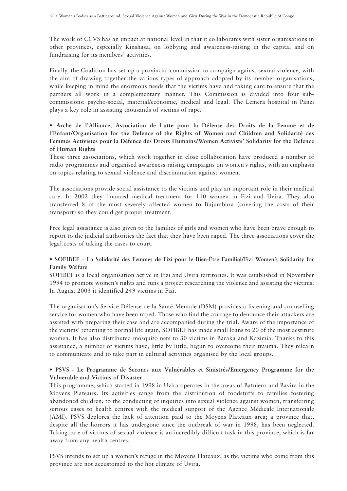The work of CCVS has an impact at national level in that it collaborates with sister organisations in other provinces, especially Kinshasa, on lobbying and awareness-raising in the capital and on fundraising for its members' activities.

Finally, the Coalition has set up a provincial commission to campaign against sexual violence, with the aim of drawing together the various types of approach adopted by its member organisations, while keeping in mind the enormous needs that the victims have and taking care to ensure that the partners all work in a complementary manner. This Commission is divided into four subcommissions: psycho-social, material/economic, medical and legal. The Lemera hospital in Panzi plays a key role in assisting thousands of victims of rape.

**• Arche de l'Alliance, Association de Lutte pour la Défense des Droits de la Femme et de l'Enfant/Organisation for the Defence of the Rights of Women and Children and Solidarité des Femmes Activistes pour la Défence des Droits Humains/Women Activists' Solidarity for the Defence of Human Rights**

These three associations, which work together in close collaboration have produced a number of radio programmes and organised awareness-raising campaigns on women's rights, with an emphasis on topics relating to sexual violence and discrimination against women.

The associations provide social assistance to the victims and play an important role in their medical care. In 2002 they financed medical treatment for 110 women in Fizi and Uvira. They also transferred 8 of the most severely affected women to Bujumbura (covering the costs of their transport) so they could get proper treatment.

Free legal assistance is also given to the families of girls and women who have been brave enough to report to the judicial authorities the fact that they have been raped. The three associations cover the legal costs of taking the cases to court.

#### **• SOFIBEF** - **La Solidarité des Femmes de Fizi pour le Bien-Être Familial/Fizi Women's Solidarity for Family Welfare**

SOFIBEF is a local organisation active in Fizi and Uvira territories. It was established in November 1994 to promote women's rights and runs a project researching the violence and assisting the victims. In August 2003 it identified 249 victims in Fizi.

The organisation's Service Défense de la Santé Mentale (DSM) provides a listening and counselling service for women who have been raped. Those who find the courage to denounce their attackers are assisted with preparing their case and are accompanied during the trial. Aware of the importance of the victims' returning to normal life again, SOFIBEF has made small loans to 20 of the most destitute women. It has also distributed mosquito nets to 30 victims in Baraka and Kazimia. Thanks to this assistance, a number of victims have, little by little, begun to overcome their trauma. They relearn to communicate and to take part in cultural activities organised by the local groups.

#### **• PSVS - Le Programme de Secours aux Vulnérables et Sinistrés/Emergency Programme for the Vulnerable and Victims of Disaster**

This programme, which started in 1998 in Uvira operates in the areas of Bafulero and Bavira in the Moyens Plateaux. Its activities range from the distribution of foodstuffs to families fostering abandoned children, to the conducting of inquiries into sexual violence against women, transferring serious cases to health centres with the medical support of the Agence Médicale Internationale (AMI). PSVS deplores the lack of attention paid to the Moyens Plateaux area; a province that, despite all the horrors it has undergone since the outbreak of war in 1998, has been neglected. Taking care of victims of sexual violence is an incredibly difficult task in this province, which is far away from any health centres.

PSVS intends to set up a women's refuge in the Moyens Plateaux, as the victims who come from this province are not accustomed to the hot climate of Uvira.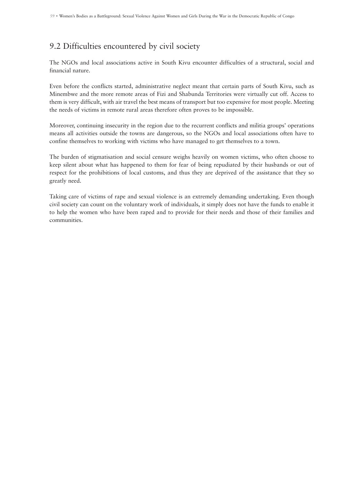# 9.2 Difficulties encountered by civil society

The NGOs and local associations active in South Kivu encounter difficulties of a structural, social and financial nature.

Even before the conflicts started, administrative neglect meant that certain parts of South Kivu, such as Minembwe and the more remote areas of Fizi and Shabunda Territories were virtually cut off. Access to them is very difficult, with air travel the best means of transport but too expensive for most people. Meeting the needs of victims in remote rural areas therefore often proves to be impossible.

Moreover, continuing insecurity in the region due to the recurrent conflicts and militia groups' operations means all activities outside the towns are dangerous, so the NGOs and local associations often have to confine themselves to working with victims who have managed to get themselves to a town.

The burden of stigmatisation and social censure weighs heavily on women victims, who often choose to keep silent about what has happened to them for fear of being repudiated by their husbands or out of respect for the prohibitions of local customs, and thus they are deprived of the assistance that they so greatly need.

Taking care of victims of rape and sexual violence is an extremely demanding undertaking. Even though civil society can count on the voluntary work of individuals, it simply does not have the funds to enable it to help the women who have been raped and to provide for their needs and those of their families and communities.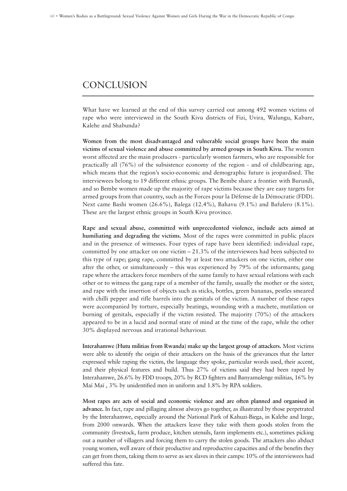# **CONCLUSION**

What have we learned at the end of this survey carried out among 492 women victims of rape who were interviewed in the South Kivu districts of Fizi, Uvira, Walungu, Kabare, Kalehe and Shabunda?

**Women from the most disadvantaged and vulnerable social groups have been the main victims of sexual violence and abuse committed by armed groups in South Kivu.** The women worst affected are the main producers - particularly women farmers, who are responsible for practically all (76%) of the subsistence economy of the region - and of childbearing age, which means that the region's socio-economic and demographic future is jeopardised. The interviewees belong to 19 different ethnic groups. The Bembe share a frontier with Burundi, and so Bembe women made up the majority of rape victims because they are easy targets for armed groups from that country, such as the Forces pour la Défense de la Démocratie (FDD). Next came Bashi women (26.6%), Balega (12.4%), Bahavu (9.1%) and Bafulero (8.1%). These are the largest ethnic groups in South Kivu province.

**Rape and sexual abuse, committed with unprecedented violence, include acts aimed at humiliating and degrading the victims.** Most of the rapes were committed in public places and in the presence of witnesses. Four types of rape have been identified: individual rape, committed by one attacker on one victim  $-21.3\%$  of the interviewees had been subjected to this type of rape; gang rape, committed by at least two attackers on one victim, either one after the other, or simultaneously – this was experienced by 79% of the informants; gang rape where the attackers force members of the same family to have sexual relations with each other or to witness the gang rape of a member of the family, usually the mother or the sister, and rape with the insertion of objects such as sticks, bottles, green bananas, pestles smeared with chilli pepper and rifle barrels into the genitals of the victim. A number of these rapes were accompanied by torture, especially beatings, wounding with a machete, mutilation or burning of genitals, especially if the victim resisted. The majority (70%) of the attackers appeared to be in a lucid and normal state of mind at the time of the rape, while the other 30% displayed nervous and irrational behaviour.

**Interahamwe (Hutu militias from Rwanda) make up the largest group of attackers.** Most victims were able to identify the origin of their attackers on the basis of the grievances that the latter expressed while raping the victim, the language they spoke, particular words used, their accent, and their physical features and build. Thus 27% of victims said they had been raped by Interahamwe, 26.6% by FDD troops, 20% by RCD fighters and Banyamulenge militias, 16% by Maï Maï , 3% by unidentified men in uniform and 1.8% by RPA soldiers.

**Most rapes are acts of social and economic violence and are often planned and organised in advance.** In fact, rape and pillaging almost always go together, as illustrated by those perpetrated by the Interahamwe, especially around the National Park of Kahuzi-Biega, in Kalehe and Izege, from 2000 onwards. When the attackers leave they take with them goods stolen from the community (livestock, farm produce, kitchen utensils, farm implements etc.), sometimes picking out a number of villagers and forcing them to carry the stolen goods. The attackers also abduct young women, well aware of their productive and reproductive capacities and of the benefits they can get from them, taking them to serve as sex slaves in their camps: 10% of the interviewees had suffered this fate.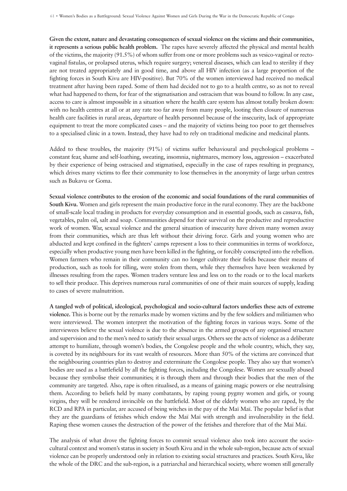**Given the extent, nature and devastating consequences of sexual violence on the victims and their communities, it represents a serious public health problem.** The rapes have severely affected the physical and mental health of the victims, the majority (91.5%) of whom suffer from one or more problems such as vesico-vaginal or rectovaginal fistulas, or prolapsed uterus, which require surgery; venereal diseases, which can lead to sterility if they are not treated appropriately and in good time, and above all HIV infection (as a large proportion of the fighting forces in South Kivu are HIV-positive). But 70% of the women interviewed had received no medical treatment after having been raped. Some of them had decided not to go to a health centre, so as not to reveal what had happened to them, for fear of the stigmatisation and ostracism that was bound to follow. In any case, access to care is almost impossible in a situation where the health care system has almost totally broken down: with no health centres at all or at any rate too far away from many people, looting then closure of numerous health care facilities in rural areas, departure of health personnel because of the insecurity, lack of appropriate equipment to treat the more complicated cases – and the majority of victims being too poor to get themselves to a specialised clinic in a town. Instead, they have had to rely on traditional medicine and medicinal plants.

Added to these troubles, the majority (91%) of victims suffer behavioural and psychological problems – constant fear, shame and self-loathing, sweating, insomnia, nightmares, memory loss, aggression – exacerbated by their experience of being ostracised and stigmatised, especially in the case of rapes resulting in pregnancy, which drives many victims to flee their community to lose themselves in the anonymity of large urban centres such as Bukavu or Goma.

**Sexual violence contributes to the erosion of the economic and social foundations of the rural communities of South Kivu.** Women and girls represent the main productive force in the rural economy. They are the backbone of small-scale local trading in products for everyday consumption and in essential goods, such as cassava, fish, vegetables, palm oil, salt and soap. Communities depend for their survival on the productive and reproductive work of women. War, sexual violence and the general situation of insecurity have driven many women away from their communities, which are thus left without their driving force. Girls and young women who are abducted and kept confined in the fighters' camps represent a loss to their communities in terms of workforce, especially when productive young men have been killed in the fighting, or forcibly conscripted into the rebellion. Women farmers who remain in their community can no longer cultivate their fields because their means of production, such as tools for tilling, were stolen from them, while they themselves have been weakened by illnesses resulting from the rapes. Women traders venture less and less on to the roads or to the local markets to sell their produce. This deprives numerous rural communities of one of their main sources of supply, leading to cases of severe malnutrition.

**A tangled web of political, ideological, psychological and socio-cultural factors underlies these acts of extreme violence.** This is borne out by the remarks made by women victims and by the few soldiers and militiamen who were interviewed. The women interpret the motivation of the fighting forces in various ways. Some of the interviewees believe the sexual violence is due to the absence in the armed groups of any organised structure and supervision and to the men's need to satisfy their sexual urges. Others see the acts of violence as a deliberate attempt to humiliate, through women's bodies, the Congolese people and the whole country, which, they say, is coveted by its neighbours for its vast wealth of resources. More than 50% of the victims are convinced that the neighbouring countries plan to destroy and exterminate the Congolese people. They also say that women's bodies are used as a battlefield by all the fighting forces, including the Congolese. Women are sexually abused because they symbolise their communities; it is through them and through their bodies that the men of the community are targeted. Also, rape is often ritualised, as a means of gaining magic powers or else neutralising them. According to beliefs held by many combatants, by raping young pygmy women and girls, or young virgins, they will be rendered invincible on the battlefield. Most of the elderly women who are raped, by the RCD and RPA in particular, are accused of being witches in the pay of the Maï Maï. The popular belief is that they are the guardians of fetishes which endow the Maï Maï with strength and invulnerability in the field. Raping these women causes the destruction of the power of the fetishes and therefore that of the Maï Maï.

The analysis of what drove the fighting forces to commit sexual violence also took into account the sociocultural context and women's status in society in South Kivu and in the whole sub-region, because acts of sexual violence can be properly understood only in relation to existing social structures and practices. South Kivu, like the whole of the DRC and the sub-region, is a patriarchal and hierarchical society, where women still generally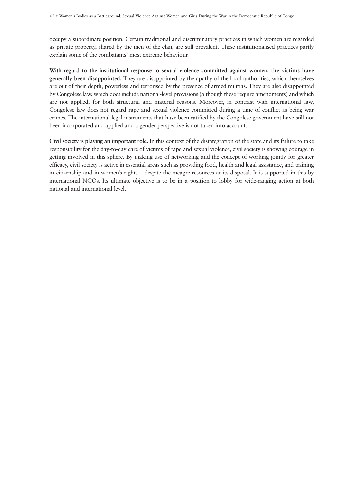occupy a subordinate position. Certain traditional and discriminatory practices in which women are regarded as private property, shared by the men of the clan, are still prevalent. These institutionalised practices partly explain some of the combatants' most extreme behaviour.

**With regard to the institutional response to sexual violence committed against women, the victims have generally been disappointed.** They are disappointed by the apathy of the local authorities, which themselves are out of their depth, powerless and terrorised by the presence of armed militias. They are also disappointed by Congolese law, which does include national-level provisions (although these require amendments) and which are not applied, for both structural and material reasons. Moreover, in contrast with international law, Congolese law does not regard rape and sexual violence committed during a time of conflict as being war crimes. The international legal instruments that have been ratified by the Congolese government have still not been incorporated and applied and a gender perspective is not taken into account.

**Civil society is playing an important role.** In this context of the disintegration of the state and its failure to take responsibility for the day-to-day care of victims of rape and sexual violence, civil society is showing courage in getting involved in this sphere. By making use of networking and the concept of working jointly for greater efficacy, civil society is active in essential areas such as providing food, health and legal assistance, and training in citizenship and in women's rights – despite the meagre resources at its disposal. It is supported in this by international NGOs. Its ultimate objective is to be in a position to lobby for wide-ranging action at both national and international level.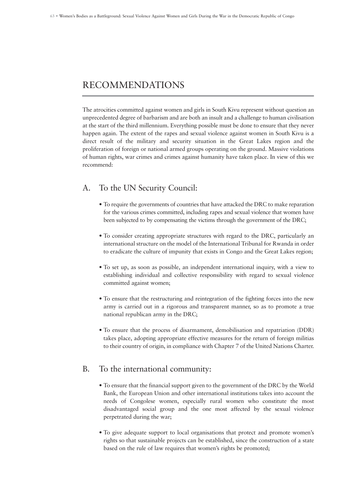# RECOMMENDATIONS

The atrocities committed against women and girls in South Kivu represent without question an unprecedented degree of barbarism and are both an insult and a challenge to human civilisation at the start of the third millennium. Everything possible must be done to ensure that they never happen again. The extent of the rapes and sexual violence against women in South Kivu is a direct result of the military and security situation in the Great Lakes region and the proliferation of foreign or national armed groups operating on the ground. Massive violations of human rights, war crimes and crimes against humanity have taken place. In view of this we recommend:

# A. To the UN Security Council:

- To require the governments of countries that have attacked the DRC to make reparation for the various crimes committed, including rapes and sexual violence that women have been subjected to by compensating the victims through the government of the DRC;
- To consider creating appropriate structures with regard to the DRC, particularly an international structure on the model of the International Tribunal for Rwanda in order to eradicate the culture of impunity that exists in Congo and the Great Lakes region;
- To set up, as soon as possible, an independent international inquiry, with a view to establishing individual and collective responsibility with regard to sexual violence committed against women;
- To ensure that the restructuring and reintegration of the fighting forces into the new army is carried out in a rigorous and transparent manner, so as to promote a true national republican army in the DRC;
- To ensure that the process of disarmament, demobilisation and repatriation (DDR) takes place, adopting appropriate effective measures for the return of foreign militias to their country of origin, in compliance with Chapter 7 of the United Nations Charter.

# B. To the international community:

- To ensure that the financial support given to the government of the DRC by the World Bank, the European Union and other international institutions takes into account the needs of Congolese women, especially rural women who constitute the most disadvantaged social group and the one most affected by the sexual violence perpetrated during the war;
- To give adequate support to local organisations that protect and promote women's rights so that sustainable projects can be established, since the construction of a state based on the rule of law requires that women's rights be promoted;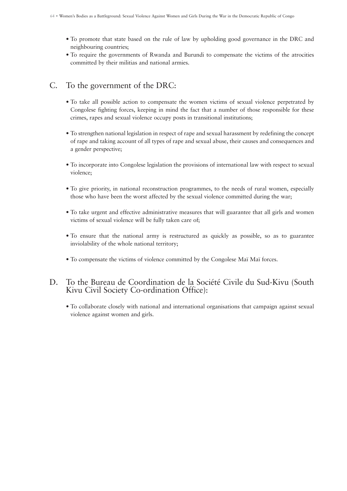- To promote that state based on the rule of law by upholding good governance in the DRC and neighbouring countries;
- To require the governments of Rwanda and Burundi to compensate the victims of the atrocities committed by their militias and national armies.

# C. To the government of the DRC:

- To take all possible action to compensate the women victims of sexual violence perpetrated by Congolese fighting forces, keeping in mind the fact that a number of those responsible for these crimes, rapes and sexual violence occupy posts in transitional institutions;
- To strengthen national legislation in respect of rape and sexual harassment by redefining the concept of rape and taking account of all types of rape and sexual abuse, their causes and consequences and a gender perspective;
- To incorporate into Congolese legislation the provisions of international law with respect to sexual violence;
- To give priority, in national reconstruction programmes, to the needs of rural women, especially those who have been the worst affected by the sexual violence committed during the war;
- To take urgent and effective administrative measures that will guarantee that all girls and women victims of sexual violence will be fully taken care of;
- To ensure that the national army is restructured as quickly as possible, so as to guarantee inviolability of the whole national territory;
- To compensate the victims of violence committed by the Congolese Maï Maï forces.

# D. To the Bureau de Coordination de la Société Civile du Sud-Kivu (South Kivu Civil Society Co-ordination Office):

• To collaborate closely with national and international organisations that campaign against sexual violence against women and girls.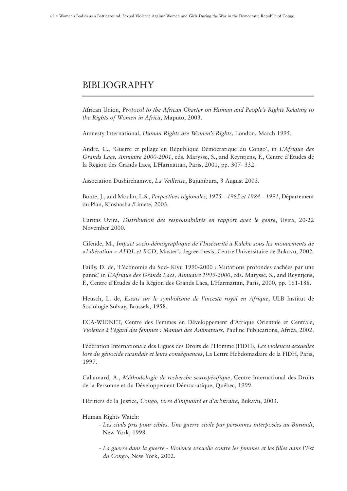# BIBLIOGRAPHY

African Union, *Protocol to the African Charter on Human and People's Rights Relating to the Rights of Women in Africa*, Maputo, 2003.

Amnesty International, *Human Rights are Women's Rights*, London, March 1995.

Andre, C., 'Guerre et pillage en République Démocratique du Congo', in *L'Afrique des Grands Lacs, Annuaire 2000-2001*, eds. Marysse, S., and Reyntjens, F., Centre d'Etudes de la Région des Grands Lacs, L'Harmattan, Paris, 2001, pp. 307- 332.

Association Dushirehamwe, *La Veilleuse*, Bujumbura, 3 August 2003.

Boute, J., and Moulin, L.S., *Perpectives régionales, 1975 – 1985 et 1984 – 1991*, Département du Plan, Kinshasha /Limete, 2003.

Caritas Uvira, *Distribution des responsabilités en rapport avec le genre*, Uvira, 20-22 November 2000.

Cifende, M., *Impact socio-démographique de l'Insécurité à Kalehe sous les mouvements de «Libération » AFDL et RCD*, Master's degree thesis, Centre Universitaire de Bukavu, 2002.

Failly, D. de, 'L'économie du Sud- Kivu 1990-2000 : Mutations profondes cachées par une panne' in *L'Afrique des Grands Lacs, Annuaire 1999-2000*, eds. Marysse, S., and Reyntjens, F., Centre d'Etudes de la Région des Grands Lacs, L'Harmattan, Paris, 2000, pp. 161-188.

Heusch, L. de, *Essais sur le symbolisme de l'inceste royal en Afrique*, ULB Institut de Sociologie Solvay, Brussels, 1958.

ECA-WIDNET, Centre des Femmes en Développement d'Afrique Orientale et Centrale, *Violence à l'égard des femmes : Manuel des Animateurs*, Pauline Publications, Africa, 2002.

Fédération Internationale des Ligues des Droits de l'Homme (FIDH), *Les violences sexuelles lors du génocide rwandais et leurs conséquences*, La Lettre Hebdomadaire de la FIDH, Paris, 1997.

Callamard, A., *Méthodologie de recherche sexospécifique*, Centre International des Droits de la Personne et du Développement Démocratique, Québec, 1999.

Héritiers de la Justice, *Congo, terre d'impunité et d'arbitraire*, Bukavu, 2003.

Human Rights Watch:

- *Les civils pris pour cibles. Une guerre civile par personnes interposées au Burundi*, New York, 1998.
- *La guerre dans la guerre Violence sexuelle contre les femmes et les filles dans l'Est du Congo*, New York, 2002.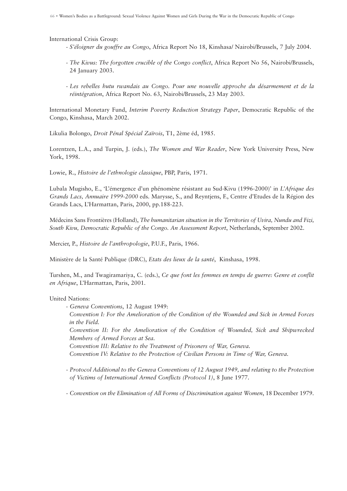International Crisis Group:

- *S'éloigner du gouffre au Congo*, Africa Report No 18, Kinshasa/ Nairobi/Brussels, 7 July 2004.
- *The Kivus: The forgotten crucible of the Congo conflict*, Africa Report No 56, Nairobi/Brussels, 24 January 2003.
- *Les rebelles hutu rwandais au Congo. Pour une nouvelle approche du désarmement et de la réintégration*, Africa Report No. 63, Nairobi/Brussels, 23 May 2003.

International Monetary Fund, *Interim Poverty Reduction Strategy Paper*, Democratic Republic of the Congo, Kinshasa, March 2002.

Likulia Bolongo, *Droit Pénal Spécial Zaïrois*, T1, 2ème éd, 1985.

Lorentzen, L.A., and Turpin, J. (eds.), *The Women and War Reader*, New York University Press, New York, 1998.

Lowie, R., *Histoire de l'ethnologie classique*, PBP, Paris, 1971.

Lubala Mugisho, E., 'L'émergence d'un phénomène résistant au Sud-Kivu (1996-2000)' in *L'Afrique des Grands Lacs, Annuaire 1999-2000* eds. Marysse, S., and Reyntjens, F., Centre d'Etudes de la Région des Grands Lacs, L'Harmattan, Paris, 2000, pp.188-223.

Médecins Sans Frontières (Holland), *The humanitarian situation in the Territories of Uvira, Nundu and Fizi, South Kivu, Democratic Republic of the Congo. An Assessment Report*, Netherlands, September 2002.

Mercier, P., *Histoire de l'anthropologie*, P.U.F., Paris, 1966.

Ministère de la Santé Publique (DRC), *Etats des lieux de la santé*, Kinshasa, 1998.

Turshen, M., and Twagiramariya, C. (eds.), *Ce que font les femmes en temps de guerre: Genre et conflit en Afrique*, L'Harmattan, Paris, 2001.

#### United Nations:

- *Geneva Conventions*, 12 August 1949: *Convention I: For the Amelioration of the Condition of the Wounded and Sick in Armed Forces in the Field. Convention II: For the Amelioration of the Condition of Wounded, Sick and Shipwrecked Members of Armed Forces at Sea. Convention III: Relative to the Treatment of Prisoners of War, Geneva. Convention IV: Relative to the Protection of Civilian Persons in Time of War, Geneva.*
- *Protocol Additional to the Geneva Conventions of 12 August 1949, and relating to the Protection of Victims of International Armed Conflicts (Protocol 1)*, 8 June 1977.
- *Convention on the Elimination of All Forms of Discrimination against Women*, 18 December 1979.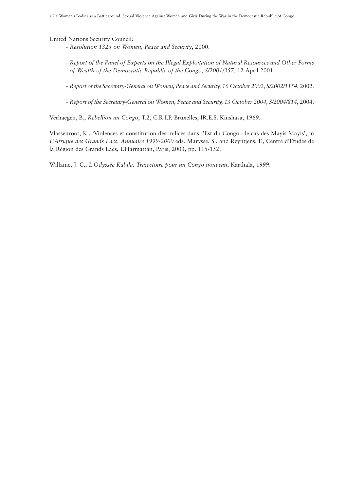United Nations Security Council:

- *Resolution 1325 on Women, Peace and Security*, 2000.
- *Report of the Panel of Experts on the Illegal Exploitation of Natural Resources and Other Forms of Wealth of the Democratic Republic of the Congo, S/2001/357*, 12 April 2001.
- *Report of the Secretary-General on Women, Peace and Security, 16 October 2002, S/2002/1154*, 2002.
- *Report of the Secretary-General on Women, Peace and Security, 13 October 2004, S/2004/814*, 2004.

Verhaegen, B., *Rébellion au Congo*, T.2, C.R.I.P. Bruxelles, IR.E.S. Kinshasa, 1969.

Vlassenroot, K., 'Violences et constitution des milices dans l'Est du Congo : le cas des Mayis Mayis', in *L'Afrique des Grands Lacs, Annuaire 1999-2000* eds. Marysse, S., and Reyntjens, F., Centre d'Etudes de la Région des Grands Lacs, L'Harmattan, Paris, 2003, pp. 115-152.

Willame, J. C., *L'Odyssée Kabila. Trajectoire pour un Congo nouveau*, Karthala, 1999.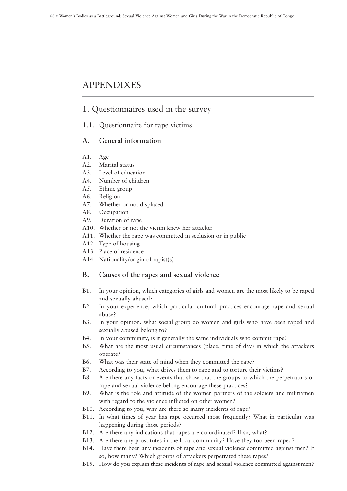# APPENDIXES

# 1. Questionnaires used in the survey

#### 1.1. Questionnaire for rape victims

#### **A. General information**

- A1. Age
- A2. Marital status
- A3. Level of education
- A4. Number of children
- A5. Ethnic group
- A6. Religion
- A7. Whether or not displaced
- A8. Occupation
- A9. Duration of rape
- A10. Whether or not the victim knew her attacker
- A11. Whether the rape was committed in seclusion or in public
- A12. Type of housing
- A13. Place of residence
- A14. Nationality/origin of rapist(s)

#### **B. Causes of the rapes and sexual violence**

- B1. In your opinion, which categories of girls and women are the most likely to be raped and sexually abused?
- B2. In your experience, which particular cultural practices encourage rape and sexual abuse?
- B3. In your opinion, what social group do women and girls who have been raped and sexually abused belong to?
- B4. In your community, is it generally the same individuals who commit rape?
- B5. What are the most usual circumstances (place, time of day) in which the attackers operate?
- B6. What was their state of mind when they committed the rape?
- B7. According to you, what drives them to rape and to torture their victims?
- B8. Are there any facts or events that show that the groups to which the perpetrators of rape and sexual violence belong encourage these practices?
- B9. What is the role and attitude of the women partners of the soldiers and militiamen with regard to the violence inflicted on other women?
- B10. According to you, why are there so many incidents of rape?
- B11. In what times of year has rape occurred most frequently? What in particular was happening during those periods?
- B12. Are there any indications that rapes are co-ordinated? If so, what?
- B13. Are there any prostitutes in the local community? Have they too been raped?
- B14. Have there been any incidents of rape and sexual violence committed against men? If so, how many? Which groups of attackers perpetrated these rapes?
- B15. How do you explain these incidents of rape and sexual violence committed against men?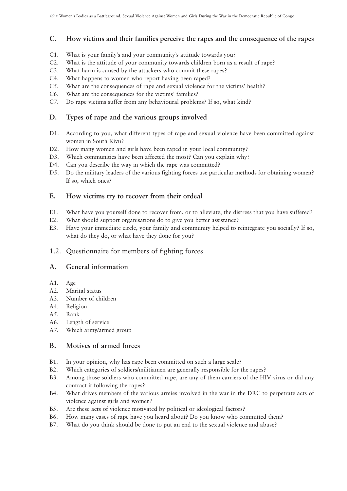## **C. How victims and their families perceive the rapes and the consequence of the rapes**

- C1. What is your family's and your community's attitude towards you?
- C2. What is the attitude of your community towards children born as a result of rape?
- C3. What harm is caused by the attackers who commit these rapes?
- C4. What happens to women who report having been raped?
- C5. What are the consequences of rape and sexual violence for the victims' health?
- C6. What are the consequences for the victims' families?
- C7. Do rape victims suffer from any behavioural problems? If so, what kind?

#### **D. Types of rape and the various groups involved**

- D1. According to you, what different types of rape and sexual violence have been committed against women in South Kivu?
- D2. How many women and girls have been raped in your local community?
- D3. Which communities have been affected the most? Can you explain why?
- D4. Can you describe the way in which the rape was committed?
- D5. Do the military leaders of the various fighting forces use particular methods for obtaining women? If so, which ones?

#### **E. How victims try to recover from their ordeal**

- E1. What have you yourself done to recover from, or to alleviate, the distress that you have suffered?
- E2. What should support organisations do to give you better assistance?
- E3. Have your immediate circle, your family and community helped to reintegrate you socially? If so, what do they do, or what have they done for you?

#### 1.2. Questionnaire for members of fighting forces

#### **A. General information**

- A1. Age
- A2. Marital status
- A3. Number of children
- A4. Religion
- A5. Rank
- A6. Length of service
- A7. Which army/armed group

#### **B. Motives of armed forces**

- B1. In your opinion, why has rape been committed on such a large scale?
- B2. Which categories of soldiers/militiamen are generally responsible for the rapes?
- B3. Among those soldiers who committed rape, are any of them carriers of the HIV virus or did any contract it following the rapes?
- B4. What drives members of the various armies involved in the war in the DRC to perpetrate acts of violence against girls and women?
- B5. Are these acts of violence motivated by political or ideological factors?
- B6. How many cases of rape have you heard about? Do you know who committed them?
- B7. What do you think should be done to put an end to the sexual violence and abuse?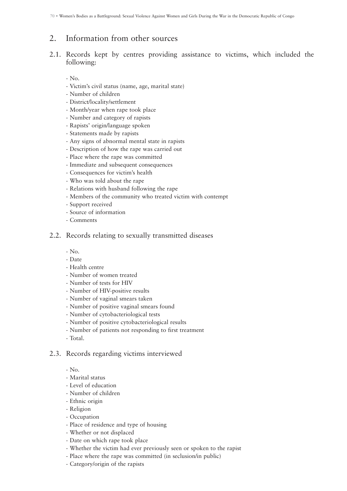# 2. Information from other sources

- 2.1. Records kept by centres providing assistance to victims, which included the following:
	- No.
	- Victim's civil status (name, age, marital state)
	- Number of children
	- District/locality/settlement
	- Month/year when rape took place
	- Number and category of rapists
	- Rapists' origin/language spoken
	- Statements made by rapists
	- Any signs of abnormal mental state in rapists
	- Description of how the rape was carried out
	- Place where the rape was committed
	- Immediate and subsequent consequences
	- Consequences for victim's health
	- Who was told about the rape
	- Relations with husband following the rape
	- Members of the community who treated victim with contempt
	- Support received
	- Source of information
	- Comments

#### 2.2. Records relating to sexually transmitted diseases

- No.

- Date
- Health centre
- Number of women treated
- Number of tests for HIV
- Number of HIV-positive results
- Number of vaginal smears taken
- Number of positive vaginal smears found
- Number of cytobacteriological tests
- Number of positive cytobacteriological results
- Number of patients not responding to first treatment
- Total.

## 2.3. Records regarding victims interviewed

- No.

- Marital status
- Level of education
- Number of children
- Ethnic origin
- Religion
- Occupation
- Place of residence and type of housing
- Whether or not displaced
- Date on which rape took place
- Whether the victim had ever previously seen or spoken to the rapist
- Place where the rape was committed (in seclusion/in public)
- Category/origin of the rapists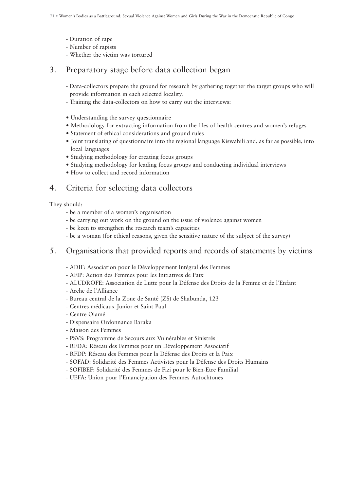- Duration of rape
- Number of rapists
- Whether the victim was tortured

## 3. Preparatory stage before data collection began

- Data-collectors prepare the ground for research by gathering together the target groups who will provide information in each selected locality.
- Training the data-collectors on how to carry out the interviews:
- Understanding the survey questionnaire
- Methodology for extracting information from the files of health centres and women's refuges
- Statement of ethical considerations and ground rules
- Joint translating of questionnaire into the regional language Kiswahili and, as far as possible, into local languages
- Studying methodology for creating focus groups
- Studying methodology for leading focus groups and conducting individual interviews
- How to collect and record information

## 4. Criteria for selecting data collectors

They should:

- be a member of a women's organisation
- be carrying out work on the ground on the issue of violence against women
- be keen to strengthen the research team's capacities
- be a woman (for ethical reasons, given the sensitive nature of the subject of the survey)

## 5. Organisations that provided reports and records of statements by victims

- ADIF: Association pour le Développement Intégral des Femmes
- AFIP: Action des Femmes pour les Initiatives de Paix
- ALUDROFE: Association de Lutte pour la Défense des Droits de la Femme et de l'Enfant
- Arche de l'Alliance
- Bureau central de la Zone de Santé (ZS) de Shabunda, 123
- Centres médicaux Junior et Saint Paul
- Centre Olamé
- Dispensaire Ordonnance Baraka
- Maison des Femmes
- PSVS: Programme de Secours aux Vulnérables et Sinistrés
- RFDA: Réseau des Femmes pour un Développement Associatif
- RFDP: Réseau des Femmes pour la Défense des Droits et la Paix
- SOFAD: Solidarité des Femmes Activistes pour la Défense des Droits Humains
- SOFIBEF: Solidarité des Femmes de Fizi pour le Bien-Etre Familial
- UEFA: Union pour l'Emancipation des Femmes Autochtones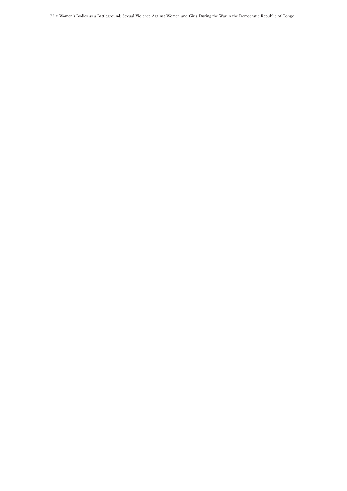**72 •** Women's Bodies as a Battleground: Sexual Violence Against Women and Girls During the War in the Democratic Republic of Congo